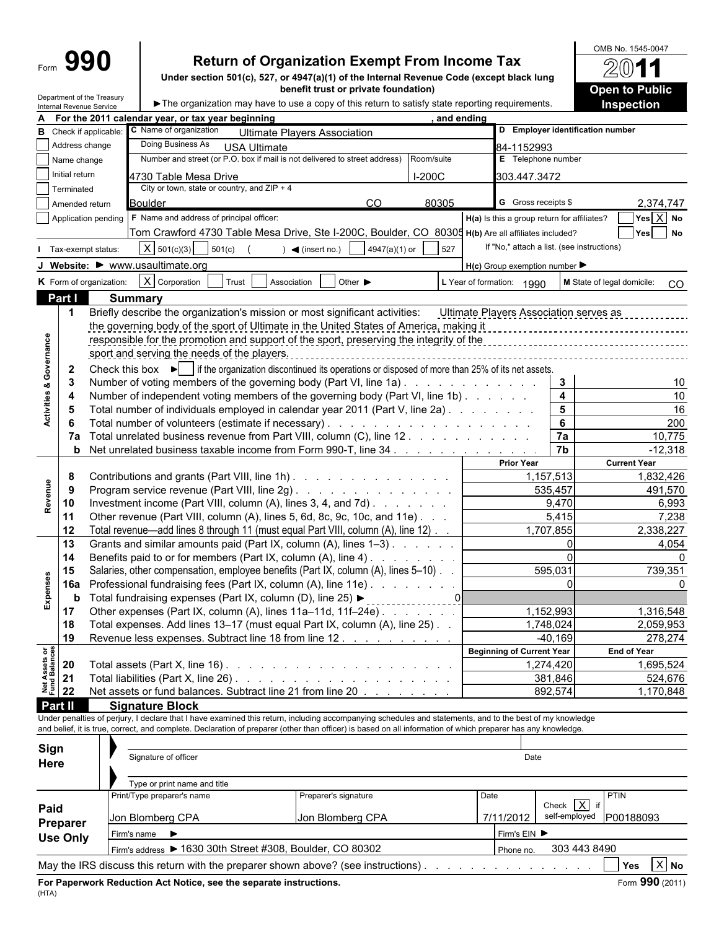Department of the Treasury

## **Return of Organization Exempt From Income Tax**

**Under section 501(c), 527, or 4947(a)(1) of the Internal Revenue Code (except black lung benefit trust or private foundation)**

OMB No. 1545-0047  $\widetilde{2}$ 1 **Open to Public Inspection**

 $\blacktriangleright$  The organization may have to use a copy of this return to satisfy state reporting requirements.

| A                                      |                 | internal Revenue Service                                                                                                                           | For the 2011 calendar year, or tax year beginning                                       | , and ending                                                                                                                                                 |                                  |                   |                                                     |                                         |  |  |  |  |  |
|----------------------------------------|-----------------|----------------------------------------------------------------------------------------------------------------------------------------------------|-----------------------------------------------------------------------------------------|--------------------------------------------------------------------------------------------------------------------------------------------------------------|----------------------------------|-------------------|-----------------------------------------------------|-----------------------------------------|--|--|--|--|--|
|                                        |                 | <b>B</b> Check if applicable:                                                                                                                      | C Name of organization                                                                  |                                                                                                                                                              |                                  |                   | D Employer identification number                    |                                         |  |  |  |  |  |
|                                        |                 | Address change                                                                                                                                     | Doing Business As                                                                       | <b>Ultimate Players Association</b>                                                                                                                          |                                  |                   |                                                     |                                         |  |  |  |  |  |
|                                        |                 |                                                                                                                                                    |                                                                                         | <b>USA Ultimate</b><br>Number and street (or P.O. box if mail is not delivered to street address)<br>Room/suite                                              |                                  | 84-1152993        | E Telephone number                                  |                                         |  |  |  |  |  |
|                                        | Name change     |                                                                                                                                                    |                                                                                         |                                                                                                                                                              |                                  |                   |                                                     |                                         |  |  |  |  |  |
|                                        | Initial return  |                                                                                                                                                    | 4730 Table Mesa Drive                                                                   | $I-200C$                                                                                                                                                     |                                  | 303.447.3472      |                                                     |                                         |  |  |  |  |  |
|                                        | Terminated      |                                                                                                                                                    | City or town, state or country, and $ZIP + 4$                                           |                                                                                                                                                              |                                  |                   |                                                     |                                         |  |  |  |  |  |
|                                        |                 | Amended return                                                                                                                                     | <b>Boulder</b>                                                                          | 80305<br><sub>CO</sub>                                                                                                                                       |                                  |                   | <b>G</b> Gross receipts \$                          | 2,374,747                               |  |  |  |  |  |
|                                        |                 |                                                                                                                                                    | Application pending   F Name and address of principal officer:                          |                                                                                                                                                              |                                  |                   | H(a) Is this a group return for affiliates?         | Yes $\boxed{X}$ No                      |  |  |  |  |  |
|                                        |                 |                                                                                                                                                    |                                                                                         | Tom Crawford 4730 Table Mesa Drive, Ste I-200C, Boulder, CO 80305 H(b) Are all affiliates included?                                                          |                                  |                   |                                                     | Yes No                                  |  |  |  |  |  |
|                                        |                 | Tax-exempt status:                                                                                                                                 | $X \mid 501(c)(3)$<br>501(c)                                                            | 527<br>4947(a)(1) or<br>$\triangleleft$ (insert no.)                                                                                                         |                                  |                   | If "No," attach a list. (see instructions)          |                                         |  |  |  |  |  |
|                                        |                 |                                                                                                                                                    | J Website: I www.usaultimate.org                                                        |                                                                                                                                                              |                                  |                   | $H(c)$ Group exemption number $\blacktriangleright$ |                                         |  |  |  |  |  |
|                                        |                 |                                                                                                                                                    |                                                                                         |                                                                                                                                                              |                                  |                   |                                                     |                                         |  |  |  |  |  |
|                                        |                 | K Form of organization:                                                                                                                            | $X$ Corporation<br>Trust                                                                | Other $\blacktriangleright$<br>Association                                                                                                                   | L Year of formation: 1990        |                   |                                                     | <b>M</b> State of legal domicile:<br>CO |  |  |  |  |  |
|                                        | Part I          |                                                                                                                                                    | <b>Summary</b>                                                                          |                                                                                                                                                              |                                  |                   |                                                     |                                         |  |  |  |  |  |
|                                        | $\mathbf{1}$    |                                                                                                                                                    |                                                                                         | Briefly describe the organization's mission or most significant activities: Ultimate Players Association serves as                                           |                                  |                   |                                                     |                                         |  |  |  |  |  |
|                                        |                 |                                                                                                                                                    | the governing body of the sport of Ultimate in the United States of America, making it  |                                                                                                                                                              |                                  |                   |                                                     |                                         |  |  |  |  |  |
|                                        |                 |                                                                                                                                                    | responsible for the promotion and support of the sport, preserving the integrity of the |                                                                                                                                                              |                                  |                   |                                                     |                                         |  |  |  |  |  |
|                                        |                 |                                                                                                                                                    | sport and serving the needs of the players.                                             |                                                                                                                                                              |                                  |                   |                                                     |                                         |  |  |  |  |  |
|                                        | $\mathbf{2}$    |                                                                                                                                                    |                                                                                         | Check this box $\blacktriangleright$ $\blacktriangleright$ if the organization discontinued its operations or disposed of more than 25% of its net assets.   |                                  |                   |                                                     |                                         |  |  |  |  |  |
|                                        | 3               |                                                                                                                                                    |                                                                                         | Number of voting members of the governing body (Part VI, line 1a).                                                                                           |                                  |                   | $\mathbf{3}$                                        | 10                                      |  |  |  |  |  |
|                                        | 4               |                                                                                                                                                    |                                                                                         | Number of independent voting members of the governing body (Part VI, line 1b)                                                                                |                                  |                   | $\overline{\mathbf{4}}$                             | 10                                      |  |  |  |  |  |
| <b>Activities &amp; Governance</b>     | 5               |                                                                                                                                                    |                                                                                         | Total number of individuals employed in calendar year 2011 (Part V, line 2a)                                                                                 |                                  |                   | $5\phantom{1}$                                      | 16                                      |  |  |  |  |  |
|                                        |                 |                                                                                                                                                    |                                                                                         |                                                                                                                                                              |                                  |                   | $6\phantom{1}$                                      | 200                                     |  |  |  |  |  |
|                                        |                 |                                                                                                                                                    |                                                                                         | 7a Total unrelated business revenue from Part VIII, column (C), line 12                                                                                      |                                  |                   | 7a                                                  | 10,775                                  |  |  |  |  |  |
|                                        |                 |                                                                                                                                                    |                                                                                         | <b>b</b> Net unrelated business taxable income from Form 990-T, line 34                                                                                      |                                  |                   | 7b                                                  | $-12,318$                               |  |  |  |  |  |
|                                        |                 |                                                                                                                                                    |                                                                                         |                                                                                                                                                              |                                  | <b>Prior Year</b> |                                                     | <b>Current Year</b>                     |  |  |  |  |  |
|                                        | 8               |                                                                                                                                                    |                                                                                         | Contributions and grants (Part VIII, line 1h)                                                                                                                |                                  |                   | 1,157,513                                           | 1,832,426                               |  |  |  |  |  |
| Revenue                                | 9               |                                                                                                                                                    |                                                                                         | Program service revenue (Part VIII, line 2g)                                                                                                                 |                                  |                   | 535,457                                             | 491,570                                 |  |  |  |  |  |
|                                        | 10              |                                                                                                                                                    |                                                                                         | Investment income (Part VIII, column (A), lines 3, 4, and 7d)                                                                                                |                                  |                   | 9,470                                               | 6,993                                   |  |  |  |  |  |
|                                        | 11              |                                                                                                                                                    |                                                                                         | Other revenue (Part VIII, column (A), lines 5, 6d, 8c, 9c, 10c, and 11e).                                                                                    |                                  |                   | 5,415                                               | 7,238                                   |  |  |  |  |  |
|                                        | 12              |                                                                                                                                                    |                                                                                         | Total revenue—add lines 8 through 11 (must equal Part VIII, column (A), line 12)                                                                             |                                  |                   | 1,707,855                                           | 2,338,227                               |  |  |  |  |  |
|                                        | 13              |                                                                                                                                                    |                                                                                         | Grants and similar amounts paid (Part IX, column (A), lines 1-3)                                                                                             |                                  |                   | $\Omega$                                            | 4,054                                   |  |  |  |  |  |
|                                        | 14              |                                                                                                                                                    |                                                                                         | Benefits paid to or for members (Part IX, column (A), line 4)                                                                                                |                                  |                   |                                                     |                                         |  |  |  |  |  |
|                                        | 15              |                                                                                                                                                    |                                                                                         |                                                                                                                                                              |                                  | 595,031           | 739,351                                             |                                         |  |  |  |  |  |
| Expenses                               | 16a             | Salaries, other compensation, employee benefits (Part IX, column (A), lines 5-10)<br>Professional fundraising fees (Part IX, column (A), line 11e) |                                                                                         |                                                                                                                                                              |                                  |                   | $\Omega$                                            |                                         |  |  |  |  |  |
|                                        | b               | Total fundraising expenses (Part IX, column (D), line 25) ►                                                                                        |                                                                                         |                                                                                                                                                              |                                  |                   |                                                     |                                         |  |  |  |  |  |
|                                        | 17              |                                                                                                                                                    | Other expenses (Part IX, column (A), lines 11a-11d, 11f-24e).                           |                                                                                                                                                              |                                  |                   | 1,152,993                                           | 1,316,548                               |  |  |  |  |  |
|                                        | 18              |                                                                                                                                                    |                                                                                         | Total expenses. Add lines 13-17 (must equal Part IX, column (A), line 25). .                                                                                 |                                  |                   | 1,748,024                                           | 2,059,953                               |  |  |  |  |  |
|                                        | 19              |                                                                                                                                                    |                                                                                         | Revenue less expenses. Subtract line 18 from line 12.                                                                                                        |                                  |                   | $-40,169$                                           | 278,274                                 |  |  |  |  |  |
|                                        |                 |                                                                                                                                                    |                                                                                         |                                                                                                                                                              | <b>Beginning of Current Year</b> |                   |                                                     | <b>End of Year</b>                      |  |  |  |  |  |
|                                        | 20              |                                                                                                                                                    |                                                                                         | Total assets (Part X, line 16) $\ldots$ $\ldots$ $\ldots$ $\ldots$ $\ldots$ $\ldots$ $\ldots$ $\ldots$ $\ldots$                                              |                                  |                   | 1,274,420                                           | 1,695,524                               |  |  |  |  |  |
|                                        | 21              |                                                                                                                                                    |                                                                                         |                                                                                                                                                              |                                  |                   | 381,846                                             | 524,676                                 |  |  |  |  |  |
| <b>Net Assets or<br/>Fund Balances</b> | 22              |                                                                                                                                                    |                                                                                         | Net assets or fund balances. Subtract line 21 from line 20                                                                                                   |                                  |                   | 892,574                                             | 1,170,848                               |  |  |  |  |  |
|                                        | Part II         |                                                                                                                                                    | <b>Signature Block</b>                                                                  |                                                                                                                                                              |                                  |                   |                                                     |                                         |  |  |  |  |  |
|                                        |                 |                                                                                                                                                    |                                                                                         | Under penalties of perjury, I declare that I have examined this return, including accompanying schedules and statements, and to the best of my knowledge     |                                  |                   |                                                     |                                         |  |  |  |  |  |
|                                        |                 |                                                                                                                                                    |                                                                                         | and belief, it is true, correct, and complete. Declaration of preparer (other than officer) is based on all information of which preparer has any knowledge. |                                  |                   |                                                     |                                         |  |  |  |  |  |
|                                        |                 |                                                                                                                                                    |                                                                                         |                                                                                                                                                              |                                  |                   |                                                     |                                         |  |  |  |  |  |
| Sign                                   |                 |                                                                                                                                                    | Signature of officer                                                                    |                                                                                                                                                              |                                  | Date              |                                                     |                                         |  |  |  |  |  |
| Here                                   |                 |                                                                                                                                                    |                                                                                         |                                                                                                                                                              |                                  |                   |                                                     |                                         |  |  |  |  |  |
|                                        |                 |                                                                                                                                                    | Type or print name and title                                                            |                                                                                                                                                              |                                  |                   |                                                     |                                         |  |  |  |  |  |
|                                        |                 |                                                                                                                                                    | Print/Type preparer's name                                                              | Preparer's signature                                                                                                                                         | Date                             |                   |                                                     | <b>PTIN</b>                             |  |  |  |  |  |
| Paid                                   |                 |                                                                                                                                                    |                                                                                         |                                                                                                                                                              |                                  |                   | Check $\overline{X}$ if                             |                                         |  |  |  |  |  |
|                                        |                 |                                                                                                                                                    | Jon Blomberg CPA                                                                        | Jon Blomberg CPA                                                                                                                                             | 7/11/2012                        |                   | self-employed                                       | P00188093                               |  |  |  |  |  |
|                                        | Preparer        |                                                                                                                                                    | Firm's name $\blacktriangleright$                                                       |                                                                                                                                                              |                                  | Firm's EIN ▶      |                                                     |                                         |  |  |  |  |  |
|                                        | <b>Use Only</b> |                                                                                                                                                    |                                                                                         | Firm's address ▶ 1630 30th Street #308, Boulder, CO 80302                                                                                                    |                                  | Phone no.         | 303 443 8490                                        |                                         |  |  |  |  |  |
|                                        |                 |                                                                                                                                                    |                                                                                         |                                                                                                                                                              |                                  |                   |                                                     |                                         |  |  |  |  |  |
|                                        |                 |                                                                                                                                                    |                                                                                         | May the IRS discuss this return with the preparer shown above? (see instructions). And Allen Line and Allen Li                                               |                                  |                   |                                                     | Yes $\boxed{X}$ No                      |  |  |  |  |  |
|                                        |                 |                                                                                                                                                    | For Paperwork Reduction Act Notice, see the separate instructions.                      |                                                                                                                                                              |                                  |                   |                                                     | Form 990 (2011)                         |  |  |  |  |  |
| (HTA)                                  |                 |                                                                                                                                                    |                                                                                         |                                                                                                                                                              |                                  |                   |                                                     |                                         |  |  |  |  |  |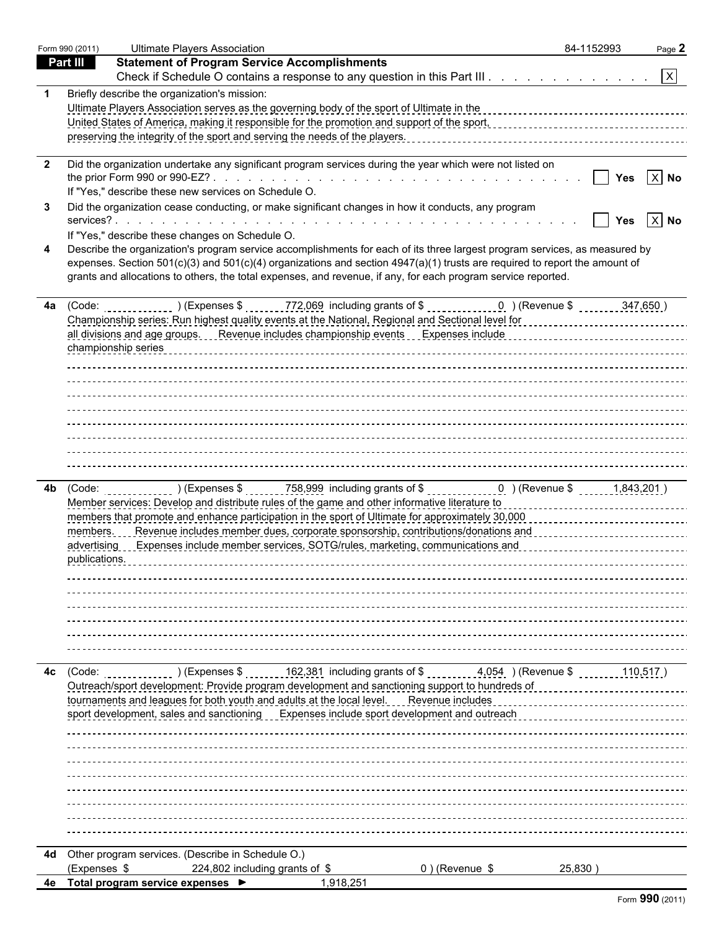|                 | Form 990 (2011) | <b>Ultimate Players Association</b>                                                                                                                                                                                            | 84-1152993 | Page 2   |
|-----------------|-----------------|--------------------------------------------------------------------------------------------------------------------------------------------------------------------------------------------------------------------------------|------------|----------|
| <b>Part III</b> |                 | <b>Statement of Program Service Accomplishments</b>                                                                                                                                                                            |            |          |
|                 |                 | Check if Schedule O contains a response to any question in this Part III. $\vert x \vert$                                                                                                                                      |            |          |
|                 |                 | Briefly describe the organization's mission:                                                                                                                                                                                   |            |          |
|                 |                 | Ultimate Players Association serves as the governing body of the sport of Ultimate in the                                                                                                                                      |            |          |
|                 |                 | United States of America, making it responsible for the promotion and support of the sport, contract content content content content of the states of American content of the sport,                                           |            |          |
|                 |                 |                                                                                                                                                                                                                                |            |          |
|                 |                 |                                                                                                                                                                                                                                |            |          |
| $\overline{2}$  |                 | Did the organization undertake any significant program services during the year which were not listed on                                                                                                                       | Yes        | $ X $ No |
|                 |                 | If "Yes," describe these new services on Schedule O.                                                                                                                                                                           |            |          |
| -3              |                 | Did the organization cease conducting, or make significant changes in how it conducts, any program                                                                                                                             |            |          |
|                 |                 |                                                                                                                                                                                                                                | Yes        | $ X $ No |
|                 |                 | If "Yes," describe these changes on Schedule O.                                                                                                                                                                                |            |          |
|                 |                 | Describe the organization's program service accomplishments for each of its three largest program services, as measured by                                                                                                     |            |          |
|                 |                 | expenses. Section $501(c)(3)$ and $501(c)(4)$ organizations and section $4947(a)(1)$ trusts are required to report the amount of                                                                                               |            |          |
|                 |                 | grants and allocations to others, the total expenses, and revenue, if any, for each program service reported.                                                                                                                  |            |          |
|                 |                 |                                                                                                                                                                                                                                |            |          |
|                 |                 |                                                                                                                                                                                                                                |            |          |
|                 |                 |                                                                                                                                                                                                                                |            |          |
|                 |                 |                                                                                                                                                                                                                                |            |          |
|                 |                 |                                                                                                                                                                                                                                |            |          |
|                 |                 |                                                                                                                                                                                                                                |            |          |
|                 |                 |                                                                                                                                                                                                                                |            |          |
|                 |                 |                                                                                                                                                                                                                                |            |          |
|                 |                 |                                                                                                                                                                                                                                |            |          |
|                 |                 |                                                                                                                                                                                                                                |            |          |
|                 |                 |                                                                                                                                                                                                                                |            |          |
|                 |                 |                                                                                                                                                                                                                                |            |          |
|                 |                 |                                                                                                                                                                                                                                |            |          |
|                 |                 | Member services: Develop and distribute rules of the game and other informative literature to concentration of the services: Develop and distribute rules of the game and other informative literature to concentration of the |            |          |
|                 |                 | members that promote and enhance participation in the sport of Ultimate for approximately 30,000                                                                                                                               |            |          |
|                 | members.        | Revenue includes member dues, corporate sponsorship, contributions/donations and contract contract contract to                                                                                                                 |            |          |
|                 |                 | advertising Expenses include member services, SOTG/rules, marketing, communications and entity and according to Expenses include members and according to Expenses include the members of the service of the service of the se |            |          |
|                 | publications.   |                                                                                                                                                                                                                                |            |          |
|                 |                 |                                                                                                                                                                                                                                |            |          |
|                 |                 |                                                                                                                                                                                                                                |            |          |
|                 |                 |                                                                                                                                                                                                                                |            |          |
|                 |                 |                                                                                                                                                                                                                                |            |          |
|                 |                 |                                                                                                                                                                                                                                |            |          |
|                 |                 |                                                                                                                                                                                                                                |            |          |
|                 |                 |                                                                                                                                                                                                                                |            |          |
| 4с              | (Code:          | 162,381 including grants of \$ 1, 1,054 (Revenue \$<br>$\frac{1}{2}$ (Expenses \$                                                                                                                                              |            | 110,517) |
|                 |                 | Outreach/sport development: Provide program development and sanctioning support to hundreds of                                                                                                                                 |            |          |
|                 |                 | tournaments and leagues for both youth and adults at the local level. Revenue includes<br>sport development, sales and sanctioning Expenses include sport development and outreach                                             |            |          |
|                 |                 |                                                                                                                                                                                                                                |            |          |
|                 |                 |                                                                                                                                                                                                                                |            |          |
|                 |                 |                                                                                                                                                                                                                                |            |          |
|                 |                 |                                                                                                                                                                                                                                |            |          |
|                 |                 |                                                                                                                                                                                                                                |            |          |
|                 |                 |                                                                                                                                                                                                                                |            |          |
|                 |                 |                                                                                                                                                                                                                                |            |          |
|                 |                 |                                                                                                                                                                                                                                |            |          |
|                 |                 |                                                                                                                                                                                                                                |            |          |
|                 |                 | 4d Other program services. (Describe in Schedule O.)                                                                                                                                                                           |            |          |
|                 | (Expenses \$    | 224,802 including grants of \$<br>0) (Revenue \$                                                                                                                                                                               | 25,830)    |          |
| 4e              |                 | 1,918,251<br>Total program service expenses ▶                                                                                                                                                                                  |            |          |

|  |  | Form 990 (2011) |
|--|--|-----------------|
|--|--|-----------------|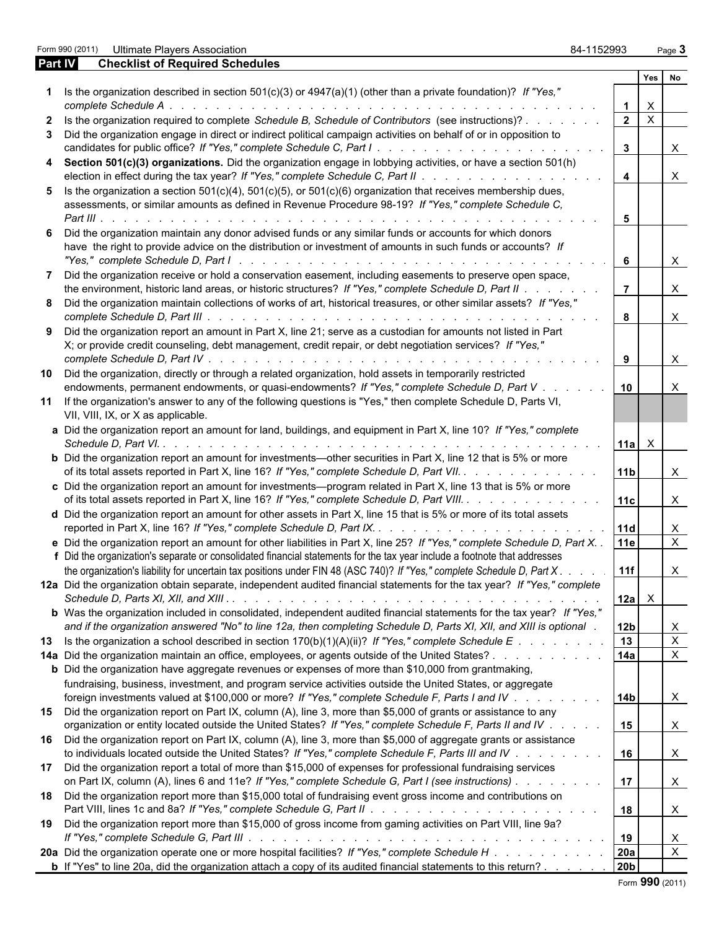Form 990 (2011) Ultimate Players Association 84-1152993 Page **3**

| <b>Part IV</b> | <b>Checklist of Required Schedules</b>                                                                                                                                                                                        |                         |                           |              |
|----------------|-------------------------------------------------------------------------------------------------------------------------------------------------------------------------------------------------------------------------------|-------------------------|---------------------------|--------------|
|                |                                                                                                                                                                                                                               |                         | Yes No                    |              |
|                | 1 Is the organization described in section 501(c)(3) or 4947(a)(1) (other than a private foundation)? If "Yes,"                                                                                                               |                         |                           |              |
|                |                                                                                                                                                                                                                               |                         | $\mathsf{X}$              |              |
|                | 2 Is the organization required to complete Schedule B, Schedule of Contributors (see instructions)?                                                                                                                           | $\overline{2}$          | $\boldsymbol{\mathsf{X}}$ |              |
| 3              | Did the organization engage in direct or indirect political campaign activities on behalf of or in opposition to                                                                                                              | $3\overline{3}$         |                           | $\mathsf{X}$ |
|                | 4 Section 501(c)(3) organizations. Did the organization engage in lobbying activities, or have a section 501(h)                                                                                                               |                         |                           |              |
|                |                                                                                                                                                                                                                               | $\overline{\mathbf{4}}$ |                           | $\mathsf{X}$ |
|                | 5 Is the organization a section $501(c)(4)$ , $501(c)(5)$ , or $501(c)(6)$ organization that receives membership dues,                                                                                                        |                         |                           |              |
|                | assessments, or similar amounts as defined in Revenue Procedure 98-19? If "Yes," complete Schedule C,                                                                                                                         | 5                       |                           |              |
|                | Did the organization maintain any donor advised funds or any similar funds or accounts for which donors                                                                                                                       |                         |                           |              |
|                | have the right to provide advice on the distribution or investment of amounts in such funds or accounts? If                                                                                                                   | 6                       |                           | $\mathsf{X}$ |
|                | Did the organization receive or hold a conservation easement, including easements to preserve open space,                                                                                                                     |                         |                           |              |
|                | the environment, historic land areas, or historic structures? If "Yes," complete Schedule D, Part II<br>8 Did the organization maintain collections of works of art, historical treasures, or other similar assets? If "Yes," |                         |                           | $\mathsf{X}$ |
|                |                                                                                                                                                                                                                               | 8                       |                           | $\mathsf{X}$ |
|                | 9 Did the organization report an amount in Part X, line 21; serve as a custodian for amounts not listed in Part                                                                                                               |                         |                           |              |
|                | X; or provide credit counseling, debt management, credit repair, or debt negotiation services? If "Yes,"                                                                                                                      |                         |                           |              |
|                |                                                                                                                                                                                                                               | 9                       |                           | $\mathsf{X}$ |
|                | 10 Did the organization, directly or through a related organization, hold assets in temporarily restricted                                                                                                                    |                         |                           |              |
|                | endowments, permanent endowments, or quasi-endowments? If "Yes," complete Schedule D, Part V                                                                                                                                  | 10                      |                           | X            |
|                | 11 If the organization's answer to any of the following questions is "Yes," then complete Schedule D, Parts VI,                                                                                                               |                         |                           |              |
|                | VII, VIII, IX, or X as applicable.                                                                                                                                                                                            |                         |                           |              |
|                | a Did the organization report an amount for land, buildings, and equipment in Part X, line 10? If "Yes," complete                                                                                                             |                         |                           |              |
|                |                                                                                                                                                                                                                               | 11a                     | $\mathsf{X}$              |              |
|                | <b>b</b> Did the organization report an amount for investments—other securities in Part X, line 12 that is 5% or more                                                                                                         |                         |                           |              |
|                | of its total assets reported in Part X, line 16? If "Yes," complete Schedule D, Part VII.                                                                                                                                     | 11 <sub>b</sub>         |                           | $\mathsf{X}$ |
|                | c Did the organization report an amount for investments—program related in Part X, line 13 that is 5% or more                                                                                                                 |                         |                           |              |
|                | of its total assets reported in Part X, line 16? If "Yes," complete Schedule D, Part VIII.                                                                                                                                    | 11c                     |                           | $\mathsf{X}$ |
|                | d Did the organization report an amount for other assets in Part X, line 15 that is 5% or more of its total assets                                                                                                            |                         |                           |              |
|                |                                                                                                                                                                                                                               |                         |                           | $\mathsf{X}$ |
|                | e Did the organization report an amount for other liabilities in Part X, line 25? If "Yes," complete Schedule D, Part X. .                                                                                                    | 11e                     |                           | $\mathsf{X}$ |
|                | f Did the organization's separate or consolidated financial statements for the tax year include a footnote that addresses                                                                                                     |                         |                           |              |
|                | the organization's liability for uncertain tax positions under FIN 48 (ASC 740)? If "Yes," complete Schedule D, Part X                                                                                                        | 11f                     |                           | $\mathsf{X}$ |
|                | 12a Did the organization obtain separate, independent audited financial statements for the tax year? If "Yes," complete                                                                                                       |                         |                           |              |
|                |                                                                                                                                                                                                                               | 12a                     | $\mathsf{X}$              |              |
|                | b Was the organization included in consolidated, independent audited financial statements for the tax year? If "Yes,"                                                                                                         |                         |                           |              |
|                | and if the organization answered "No" to line 12a, then completing Schedule D, Parts XI, XII, and XIII is optional.                                                                                                           | 12b                     |                           | X            |
|                | 13 Is the organization a school described in section 170(b)(1)(A)(ii)? If "Yes," complete Schedule E                                                                                                                          | 13                      |                           | $\mathsf{X}$ |
|                | 14a Did the organization maintain an office, employees, or agents outside of the United States?                                                                                                                               | 14a                     |                           | $\mathsf{X}$ |
|                | <b>b</b> Did the organization have aggregate revenues or expenses of more than \$10,000 from grantmaking,                                                                                                                     |                         |                           |              |
|                | fundraising, business, investment, and program service activities outside the United States, or aggregate                                                                                                                     |                         |                           |              |
|                | foreign investments valued at \$100,000 or more? If "Yes," complete Schedule F, Parts I and IV                                                                                                                                | 14 <sub>b</sub>         |                           | $\mathsf{X}$ |
|                | 15 Did the organization report on Part IX, column (A), line 3, more than \$5,000 of grants or assistance to any                                                                                                               |                         |                           |              |
|                | organization or entity located outside the United States? If "Yes," complete Schedule F, Parts II and IV                                                                                                                      | 15                      |                           | X            |
|                | 16 Did the organization report on Part IX, column (A), line 3, more than \$5,000 of aggregate grants or assistance                                                                                                            |                         |                           |              |
|                | to individuals located outside the United States? If "Yes," complete Schedule F, Parts III and IV                                                                                                                             | 16                      |                           | $\mathsf{X}$ |
|                | 17 Did the organization report a total of more than \$15,000 of expenses for professional fundraising services                                                                                                                |                         |                           |              |
|                | on Part IX, column (A), lines 6 and 11e? If "Yes," complete Schedule G, Part I (see instructions)                                                                                                                             | 17                      |                           | X            |
|                | 18 Did the organization report more than \$15,000 total of fundraising event gross income and contributions on                                                                                                                |                         |                           |              |
|                |                                                                                                                                                                                                                               | 18                      |                           | X            |
| 19             | Did the organization report more than \$15,000 of gross income from gaming activities on Part VIII, line 9a?                                                                                                                  |                         |                           |              |
|                |                                                                                                                                                                                                                               | 19                      |                           | $\mathsf{X}$ |
|                | 20a Did the organization operate one or more hospital facilities? If "Yes," complete Schedule H                                                                                                                               | 20a                     |                           | $\mathsf{X}$ |
|                | <b>b</b> If "Yes" to line 20a, did the organization attach a copy of its audited financial statements to this return?                                                                                                         | 20 <sub>b</sub>         |                           |              |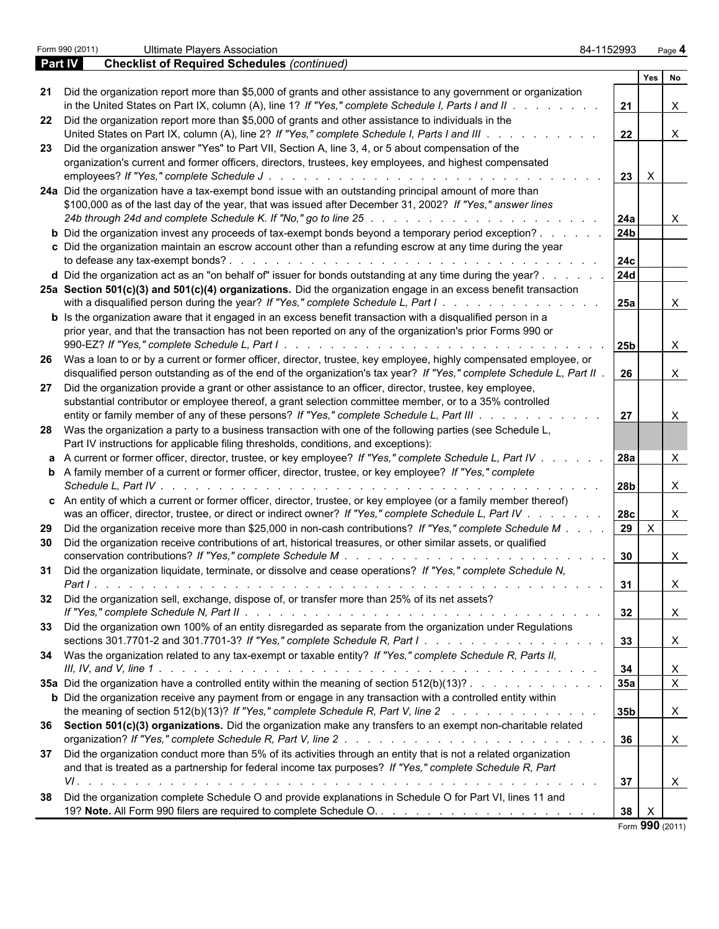|         | Form 990 (2011)<br><b>Ultimate Players Association</b>                                                                                                                                                                         | 84-1152993      | Page 4         |  |
|---------|--------------------------------------------------------------------------------------------------------------------------------------------------------------------------------------------------------------------------------|-----------------|----------------|--|
| Part IV | <b>Checklist of Required Schedules (continued)</b>                                                                                                                                                                             |                 |                |  |
|         |                                                                                                                                                                                                                                |                 | Yes<br>No      |  |
|         | 21 Did the organization report more than \$5,000 of grants and other assistance to any government or organization                                                                                                              |                 |                |  |
|         | in the United States on Part IX, column (A), line 1? If "Yes," complete Schedule I, Parts I and II $\ldots$                                                                                                                    | 21              | X              |  |
|         | 22 Did the organization report more than \$5,000 of grants and other assistance to individuals in the                                                                                                                          |                 |                |  |
|         | United States on Part IX, column (A), line 2? If "Yes," complete Schedule I, Parts I and III.<br>$\mathbf{r}$ , and $\mathbf{r}$ , and $\mathbf{r}$ , and $\mathbf{r}$                                                         | 22              | $\mathsf{X}$   |  |
|         | 23 Did the organization answer "Yes" to Part VII, Section A, line 3, 4, or 5 about compensation of the                                                                                                                         |                 |                |  |
|         | organization's current and former officers, directors, trustees, key employees, and highest compensated                                                                                                                        |                 |                |  |
|         |                                                                                                                                                                                                                                | $23 \mid$       | $\mathsf{X}$   |  |
|         | 24a Did the organization have a tax-exempt bond issue with an outstanding principal amount of more than                                                                                                                        |                 |                |  |
|         | \$100,000 as of the last day of the year, that was issued after December 31, 2002? If "Yes," answer lines                                                                                                                      |                 |                |  |
|         | 24b through 24d and complete Schedule K. If "No," go to line 25 \noting the state of the state of the state of the Schedule K. If "No," go to line 25 \noting the state of the state of the state of the state of the state of | 24a             | X              |  |
|         | <b>b</b> Did the organization invest any proceeds of tax-exempt bonds beyond a temporary period exception?                                                                                                                     | 24 <sub>b</sub> |                |  |
|         | c Did the organization maintain an escrow account other than a refunding escrow at any time during the year                                                                                                                    |                 |                |  |
|         |                                                                                                                                                                                                                                | <b>24c</b>      |                |  |
|         | d Did the organization act as an "on behalf of" issuer for bonds outstanding at any time during the year?                                                                                                                      | 24d             |                |  |
|         | 25a Section 501(c)(3) and 501(c)(4) organizations. Did the organization engage in an excess benefit transaction                                                                                                                |                 |                |  |
|         | with a disqualified person during the year? If "Yes," complete Schedule L, Part I.                                                                                                                                             | 25a             | X              |  |
|         | <b>b</b> Is the organization aware that it engaged in an excess benefit transaction with a disqualified person in a                                                                                                            |                 |                |  |
|         | prior year, and that the transaction has not been reported on any of the organization's prior Forms 990 or                                                                                                                     |                 |                |  |
|         |                                                                                                                                                                                                                                | 25 <sub>b</sub> | X              |  |
|         | 26 Was a loan to or by a current or former officer, director, trustee, key employee, highly compensated employee, or                                                                                                           |                 |                |  |
|         | disqualified person outstanding as of the end of the organization's tax year? If "Yes," complete Schedule L, Part II                                                                                                           | 26              | X              |  |
|         | 27 Did the organization provide a grant or other assistance to an officer, director, trustee, key employee,                                                                                                                    |                 |                |  |
|         |                                                                                                                                                                                                                                |                 |                |  |
|         | substantial contributor or employee thereof, a grant selection committee member, or to a 35% controlled                                                                                                                        |                 |                |  |
|         | entity or family member of any of these persons? If "Yes," complete Schedule L, Part III                                                                                                                                       | 27              | X              |  |
|         | 28 Was the organization a party to a business transaction with one of the following parties (see Schedule L,                                                                                                                   |                 |                |  |
|         | Part IV instructions for applicable filing thresholds, conditions, and exceptions):                                                                                                                                            |                 |                |  |
|         | a A current or former officer, director, trustee, or key employee? If "Yes," complete Schedule L, Part IV                                                                                                                      | 28a             | X              |  |
|         | <b>b</b> A family member of a current or former officer, director, trustee, or key employee? If "Yes," complete                                                                                                                |                 |                |  |
|         |                                                                                                                                                                                                                                | 28 <sub>b</sub> | X              |  |
|         | c An entity of which a current or former officer, director, trustee, or key employee (or a family member thereof)                                                                                                              |                 |                |  |
|         | was an officer, director, trustee, or direct or indirect owner? If "Yes," complete Schedule L, Part IV                                                                                                                         | 28c             | X              |  |
|         | 29 Did the organization receive more than \$25,000 in non-cash contributions? If "Yes," complete Schedule M                                                                                                                    | 29 <sup>1</sup> | $\mathsf{X}$   |  |
| 30      | Did the organization receive contributions of art, historical treasures, or other similar assets, or qualified                                                                                                                 |                 |                |  |
|         |                                                                                                                                                                                                                                | 30              | X              |  |
|         | 31 Did the organization liquidate, terminate, or dissolve and cease operations? If "Yes," complete Schedule N,                                                                                                                 |                 |                |  |
|         |                                                                                                                                                                                                                                | 31              | X              |  |
|         | 32 Did the organization sell, exchange, dispose of, or transfer more than 25% of its net assets?                                                                                                                               |                 |                |  |
|         |                                                                                                                                                                                                                                | 32              | X              |  |
|         | 33 Did the organization own 100% of an entity disregarded as separate from the organization under Regulations                                                                                                                  |                 |                |  |
|         |                                                                                                                                                                                                                                | 33              | X              |  |
|         | 34 Was the organization related to any tax-exempt or taxable entity? If "Yes," complete Schedule R, Parts II,                                                                                                                  |                 |                |  |
|         |                                                                                                                                                                                                                                | 34              | X              |  |
|         | 35a Did the organization have a controlled entity within the meaning of section 512(b)(13)?                                                                                                                                    | 35a             | $\mathsf{X}$   |  |
|         | <b>b</b> Did the organization receive any payment from or engage in any transaction with a controlled entity within                                                                                                            |                 |                |  |
|         | the meaning of section 512(b)(13)? If "Yes," complete Schedule R, Part V, line 2                                                                                                                                               | 35 <sub>b</sub> | $\mathsf{X}$   |  |
|         | 36 Section 501(c)(3) organizations. Did the organization make any transfers to an exempt non-charitable related                                                                                                                |                 |                |  |
|         |                                                                                                                                                                                                                                | 36              | $\mathsf{X}$   |  |
|         | 37 Did the organization conduct more than 5% of its activities through an entity that is not a related organization                                                                                                            |                 |                |  |
|         | and that is treated as a partnership for federal income tax purposes? If "Yes," complete Schedule R, Part                                                                                                                      |                 |                |  |
|         |                                                                                                                                                                                                                                | 37              | X              |  |
|         | 38 Did the organization complete Schedule O and provide explanations in Schedule O for Part VI, lines 11 and                                                                                                                   |                 |                |  |
|         |                                                                                                                                                                                                                                | 38              | $\mathsf{X}$   |  |
|         |                                                                                                                                                                                                                                |                 | $\overline{2}$ |  |

Form **990** (2011)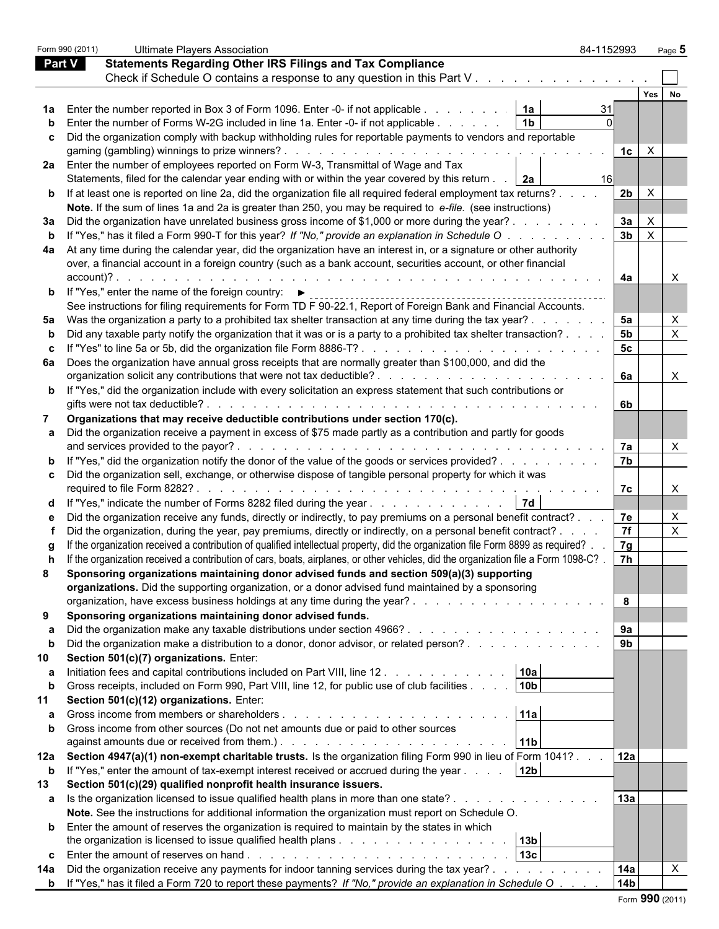|               | Form 990 (2011) | <b>Ultimate Players Association</b>                                                                                                                                                                                                    | 84-1152993     |              | Page 5 |  |
|---------------|-----------------|----------------------------------------------------------------------------------------------------------------------------------------------------------------------------------------------------------------------------------------|----------------|--------------|--------|--|
| <b>Part V</b> |                 | <b>Statements Regarding Other IRS Filings and Tax Compliance</b>                                                                                                                                                                       |                |              |        |  |
|               |                 | Check if Schedule O contains a response to any question in this Part V                                                                                                                                                                 |                |              |        |  |
|               |                 |                                                                                                                                                                                                                                        |                | Yes          |        |  |
|               |                 | 1a Enter the number reported in Box 3 of Form 1096. Enter -0- if not applicable<br>1a                                                                                                                                                  |                |              |        |  |
|               |                 | <b>b</b> Enter the number of Forms W-2G included in line 1a. Enter -0- if not applicable<br>1 <sub>b</sub>                                                                                                                             |                |              |        |  |
|               |                 | c Did the organization comply with backup withholding rules for reportable payments to vendors and reportable                                                                                                                          |                |              |        |  |
|               |                 |                                                                                                                                                                                                                                        | 1c             | $\mathsf{X}$ |        |  |
|               |                 | 2a Enter the number of employees reported on Form W-3, Transmittal of Wage and Tax                                                                                                                                                     |                |              |        |  |
|               |                 | Statements, filed for the calendar year ending with or within the year covered by this return   2a                                                                                                                                     | 16             |              |        |  |
|               |                 |                                                                                                                                                                                                                                        |                |              |        |  |
|               |                 | <b>b</b> If at least one is reported on line 2a, did the organization file all required federal employment tax returns?                                                                                                                | 2 <sub>b</sub> | $\mathsf{x}$ |        |  |
|               |                 | Note. If the sum of lines 1a and 2a is greater than 250, you may be required to e-file. (see instructions)                                                                                                                             |                |              |        |  |
|               |                 | 3a Did the organization have unrelated business gross income of \$1,000 or more during the year?                                                                                                                                       | 3a             |              |        |  |
|               |                 | b If "Yes," has it filed a Form 990-T for this year? If "No," provide an explanation in Schedule O.                                                                                                                                    | 3 <sub>b</sub> | $\mathsf{X}$ |        |  |
|               |                 | 4a At any time during the calendar year, did the organization have an interest in, or a signature or other authority                                                                                                                   |                |              |        |  |
|               |                 | over, a financial account in a foreign country (such as a bank account, securities account, or other financial                                                                                                                         |                |              |        |  |
|               | account)?.      |                                                                                                                                                                                                                                        | 4a             |              |        |  |
|               |                 | <b>b</b> If "Yes," enter the name of the foreign country: $\blacktriangleright$                                                                                                                                                        |                |              |        |  |
|               |                 | See instructions for filing requirements for Form TD F 90-22.1, Report of Foreign Bank and Financial Accounts.                                                                                                                         |                |              |        |  |
|               |                 | 5a Was the organization a party to a prohibited tax shelter transaction at any time during the tax year?.                                                                                                                              | 5a             |              |        |  |
|               |                 | b Did any taxable party notify the organization that it was or is a party to a prohibited tax shelter transaction?.                                                                                                                    | 5 <sub>b</sub> |              | X      |  |
|               |                 |                                                                                                                                                                                                                                        | 5 <sub>c</sub> |              |        |  |
|               |                 | 6a Does the organization have annual gross receipts that are normally greater than \$100,000, and did the                                                                                                                              |                |              |        |  |
|               |                 |                                                                                                                                                                                                                                        | 6а             |              | X      |  |
|               |                 | <b>b</b> If "Yes," did the organization include with every solicitation an express statement that such contributions or                                                                                                                |                |              |        |  |
|               |                 |                                                                                                                                                                                                                                        | 6b             |              |        |  |
| 7             |                 | Organizations that may receive deductible contributions under section 170(c).                                                                                                                                                          |                |              |        |  |
|               |                 |                                                                                                                                                                                                                                        |                |              |        |  |
|               |                 | a Did the organization receive a payment in excess of \$75 made partly as a contribution and partly for goods                                                                                                                          |                |              |        |  |
|               |                 |                                                                                                                                                                                                                                        | 7a             |              |        |  |
|               |                 | <b>b</b> If "Yes," did the organization notify the donor of the value of the goods or services provided?                                                                                                                               | 7 <sub>b</sub> |              |        |  |
|               |                 | c Did the organization sell, exchange, or otherwise dispose of tangible personal property for which it was                                                                                                                             |                |              |        |  |
|               |                 |                                                                                                                                                                                                                                        | 7с             |              |        |  |
|               |                 | d If "Yes," indicate the number of Forms 8282 filed during the year $\ldots$ $\ldots$ $\ldots$ $\ldots$ $\ldots$ $\ldots$ $\mid$ 7d $\mid$                                                                                             |                |              |        |  |
|               |                 | e Did the organization receive any funds, directly or indirectly, to pay premiums on a personal benefit contract?.                                                                                                                     | 7e             |              |        |  |
|               |                 | Did the organization, during the year, pay premiums, directly or indirectly, on a personal benefit contract?.                                                                                                                          | 7f             |              | X      |  |
|               |                 | If the organization received a contribution of qualified intellectual property, did the organization file Form 8899 as required?.                                                                                                      | 7g             |              |        |  |
|               |                 | h If the organization received a contribution of cars, boats, airplanes, or other vehicles, did the organization file a Form 1098-C?                                                                                                   | 7h             |              |        |  |
| 8             |                 | Sponsoring organizations maintaining donor advised funds and section 509(a)(3) supporting                                                                                                                                              |                |              |        |  |
|               |                 | organizations. Did the supporting organization, or a donor advised fund maintained by a sponsoring                                                                                                                                     |                |              |        |  |
|               |                 |                                                                                                                                                                                                                                        | 8              |              |        |  |
|               |                 |                                                                                                                                                                                                                                        |                |              |        |  |
| 9             |                 | Sponsoring organizations maintaining donor advised funds.                                                                                                                                                                              |                |              |        |  |
| а             |                 |                                                                                                                                                                                                                                        | 9а             |              |        |  |
| b             |                 | Did the organization make a distribution to a donor, donor advisor, or related person?                                                                                                                                                 | 9 <sub>b</sub> |              |        |  |
| 10            |                 | Section 501(c)(7) organizations. Enter:                                                                                                                                                                                                |                |              |        |  |
| а             |                 | Initiation fees and capital contributions included on Part VIII, line 12.<br>10a                                                                                                                                                       |                |              |        |  |
| b             |                 | 10 <sub>b</sub><br>Gross receipts, included on Form 990, Part VIII, line 12, for public use of club facilities                                                                                                                         |                |              |        |  |
| 11            |                 | Section 501(c)(12) organizations. Enter:                                                                                                                                                                                               |                |              |        |  |
| а             |                 | 11a                                                                                                                                                                                                                                    |                |              |        |  |
|               |                 | <b>b</b> Gross income from other sources (Do not net amounts due or paid to other sources                                                                                                                                              |                |              |        |  |
|               |                 | against amounts due or received from them.). The state of the state of the state of the state of the state of the state of the state of the state of the state of the state of the state of the state of the state of the stat<br> 11b |                |              |        |  |
|               |                 | 12a Section 4947(a)(1) non-exempt charitable trusts. Is the organization filing Form 990 in lieu of Form 1041?                                                                                                                         | 12a            |              |        |  |
| $\mathbf b$   |                 | If "Yes," enter the amount of tax-exempt interest received or accrued during the year<br>12 <sub>b</sub>                                                                                                                               |                |              |        |  |
| 13            |                 | Section 501(c)(29) qualified nonprofit health insurance issuers.                                                                                                                                                                       |                |              |        |  |
|               |                 | a Is the organization licensed to issue qualified health plans in more than one state?                                                                                                                                                 | 13a            |              |        |  |
|               |                 | Note. See the instructions for additional information the organization must report on Schedule O.                                                                                                                                      |                |              |        |  |
|               |                 | <b>b</b> Enter the amount of reserves the organization is required to maintain by the states in which                                                                                                                                  |                |              |        |  |
|               |                 |                                                                                                                                                                                                                                        |                |              |        |  |
|               |                 | 13b                                                                                                                                                                                                                                    |                |              |        |  |
|               |                 | 13c<br><b>c</b> Enter the amount of reserves on hand $\ldots$ $\ldots$ $\ldots$ $\ldots$ $\ldots$ $\ldots$ $\ldots$ $\ldots$                                                                                                           |                |              |        |  |
| 14a           |                 | Did the organization receive any payments for indoor tanning services during the tax year?                                                                                                                                             | 14a            |              |        |  |
|               |                 | <b>b</b> If "Yes," has it filed a Form 720 to report these payments? If "No," provide an explanation in Schedule O                                                                                                                     | 14b            |              |        |  |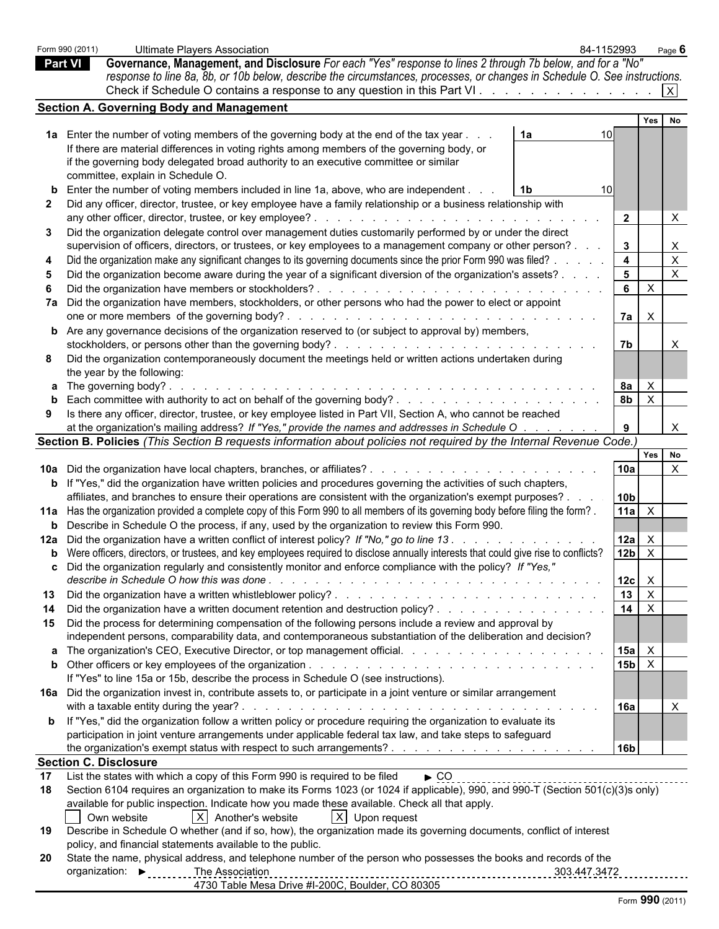|                | Form 990 (2011)                     | 84-1152993<br>Ultimate Plavers Association                                                                                                   |                         | Page 6       |  |  |
|----------------|-------------------------------------|----------------------------------------------------------------------------------------------------------------------------------------------|-------------------------|--------------|--|--|
| <b>Part VI</b> |                                     | Governance, Management, and Disclosure For each "Yes" response to lines 2 through 7b below, and for a "No"                                   |                         |              |  |  |
|                |                                     | response to line 8a, 8b, or 10b below, describe the circumstances, processes, or changes in Schedule O. See instructions.                    |                         |              |  |  |
|                |                                     | Check if Schedule O contains a response to any question in this Part VI.                                                                     |                         | X            |  |  |
|                |                                     | <b>Section A. Governing Body and Management</b>                                                                                              |                         |              |  |  |
|                |                                     |                                                                                                                                              |                         | Yes<br>No    |  |  |
|                |                                     | 1a Enter the number of voting members of the governing body at the end of the tax year.<br>1a                                                |                         |              |  |  |
|                |                                     | If there are material differences in voting rights among members of the governing body, or                                                   |                         |              |  |  |
|                |                                     | if the governing body delegated broad authority to an executive committee or similar                                                         |                         |              |  |  |
|                |                                     | committee, explain in Schedule O.                                                                                                            |                         |              |  |  |
|                |                                     | <b>b</b> Enter the number of voting members included in line 1a, above, who are independent.<br>1b.                                          |                         |              |  |  |
|                |                                     | Did any officer, director, trustee, or key employee have a family relationship or a business relationship with                               |                         |              |  |  |
|                |                                     | any other officer, director, trustee, or key employee?                                                                                       | $\overline{2}$          | X            |  |  |
| 3              |                                     | Did the organization delegate control over management duties customarily performed by or under the direct                                    |                         |              |  |  |
|                |                                     | supervision of officers, directors, or trustees, or key employees to a management company or other person?.                                  | 3                       |              |  |  |
|                |                                     | Did the organization make any significant changes to its governing documents since the prior Form 990 was filed?.                            | $\overline{\mathbf{4}}$ | $\times$     |  |  |
|                |                                     | Did the organization become aware during the year of a significant diversion of the organization's assets?.                                  | $5\phantom{.0}$         | $\times$     |  |  |
|                |                                     | Did the organization have members or stockholders?                                                                                           | 6                       | $\times$     |  |  |
|                |                                     | 7a Did the organization have members, stockholders, or other persons who had the power to elect or appoint                                   |                         |              |  |  |
|                |                                     |                                                                                                                                              | 7a l                    | $\times$     |  |  |
|                |                                     | <b>b</b> Are any governance decisions of the organization reserved to (or subject to approval by) members,                                   |                         |              |  |  |
|                |                                     |                                                                                                                                              | 7b                      |              |  |  |
|                |                                     | Did the organization contemporaneously document the meetings held or written actions undertaken during                                       |                         |              |  |  |
|                |                                     | the year by the following:                                                                                                                   |                         |              |  |  |
|                |                                     | a The governing body?.                                                                                                                       | 8a                      | $\times$     |  |  |
|                |                                     | Each committee with authority to act on behalf of the governing body?                                                                        | 8 <sub>b</sub>          | $\mathsf{X}$ |  |  |
| 9              |                                     | Is there any officer, director, trustee, or key employee listed in Part VII, Section A, who cannot be reached                                |                         |              |  |  |
|                |                                     | at the organization's mailing address? If "Yes," provide the names and addresses in Schedule O.                                              |                         |              |  |  |
|                |                                     | Section B. Policies (This Section B requests information about policies not required by the Internal Revenue Code.)                          |                         |              |  |  |
|                |                                     |                                                                                                                                              |                         | Yes No       |  |  |
|                |                                     | 10a Did the organization have local chapters, branches, or affiliates?.                                                                      | 10a                     | $\mathsf{X}$ |  |  |
|                |                                     | <b>b</b> If "Yes," did the organization have written policies and procedures governing the activities of such chapters,                      |                         |              |  |  |
|                |                                     | affiliates, and branches to ensure their operations are consistent with the organization's exempt purposes?.                                 | 10 <sub>b</sub>         |              |  |  |
|                |                                     | 11a Has the organization provided a complete copy of this Form 990 to all members of its governing body before filing the form?.             | 11a $\mid$ X            |              |  |  |
|                |                                     | <b>b</b> Describe in Schedule O the process, if any, used by the organization to review this Form 990.                                       |                         |              |  |  |
|                |                                     | 12a Did the organization have a written conflict of interest policy? If "No," go to line 13.                                                 | $12a$ $\times$          |              |  |  |
|                |                                     | <b>b</b> Were officers, directors, or trustees, and key employees required to disclose annually interests that could give rise to conflicts? | $12b \times$            |              |  |  |
|                |                                     | Did the organization regularly and consistently monitor and enforce compliance with the policy? If "Yes,"                                    |                         |              |  |  |
|                |                                     |                                                                                                                                              | $ 12c  \times$          |              |  |  |
| 13             |                                     |                                                                                                                                              | $13 \mid X$             |              |  |  |
| 14             |                                     | Did the organization have a written document retention and destruction policy?                                                               | 14 $\overline{X}$       |              |  |  |
|                |                                     | 15 Did the process for determining compensation of the following persons include a review and approval by                                    |                         |              |  |  |
|                |                                     | independent persons, comparability data, and contemporaneous substantiation of the deliberation and decision?                                |                         |              |  |  |
|                |                                     | a The organization's CEO, Executive Director, or top management official.                                                                    | $15a$ $X$               |              |  |  |
|                |                                     |                                                                                                                                              | $15b \times$            |              |  |  |
|                |                                     | If "Yes" to line 15a or 15b, describe the process in Schedule O (see instructions).                                                          |                         |              |  |  |
|                |                                     | 16a Did the organization invest in, contribute assets to, or participate in a joint venture or similar arrangement                           |                         |              |  |  |
|                |                                     |                                                                                                                                              | 16a                     |              |  |  |
|                |                                     | <b>b</b> If "Yes," did the organization follow a written policy or procedure requiring the organization to evaluate its                      |                         |              |  |  |
|                |                                     | participation in joint venture arrangements under applicable federal tax law, and take steps to safeguard                                    |                         |              |  |  |
|                |                                     |                                                                                                                                              | 16b                     |              |  |  |
|                |                                     | <b>Section C. Disclosure</b>                                                                                                                 |                         |              |  |  |
| 17             |                                     | List the states with which a copy of this Form 990 is required to be filed<br>$\triangleright$ CO                                            |                         |              |  |  |
| 18             |                                     | Section 6104 requires an organization to make its Forms 1023 (or 1024 if applicable), 990, and 990-T (Section 501(c)(3)s only)               |                         |              |  |  |
|                |                                     | available for public inspection. Indicate how you made these available. Check all that apply.                                                |                         |              |  |  |
|                |                                     | $ X $ Another's website<br>$ X $ Upon request<br>Own website                                                                                 |                         |              |  |  |
| 19             |                                     | Describe in Schedule O whether (and if so, how), the organization made its governing documents, conflict of interest                         |                         |              |  |  |
|                |                                     | policy, and financial statements available to the public.                                                                                    |                         |              |  |  |
| <b>20</b>      |                                     | State the name, physical address, and telephone number of the person who possesses the books and records of the                              |                         |              |  |  |
|                | organization: $\blacktriangleright$ | 303.447.3472<br>The Association                                                                                                              |                         |              |  |  |
|                |                                     | 4730 Table Mesa Drive #I-200C, Boulder, CO 80305                                                                                             |                         |              |  |  |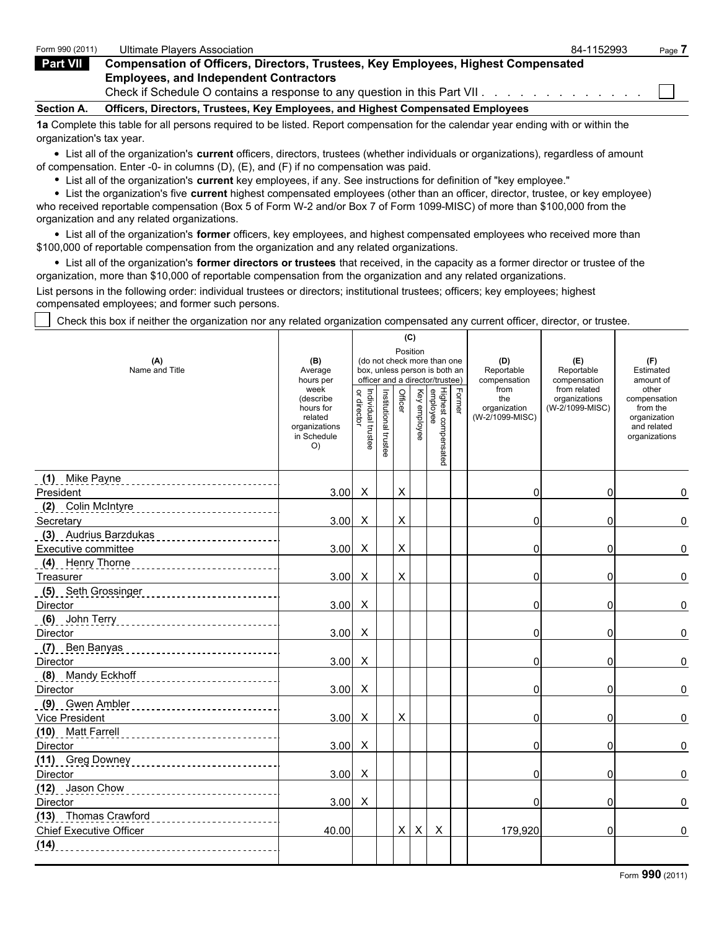| Form 990 (2011)   | Ultimate Plavers Association                                                             | 84-1152993 | Page. |
|-------------------|------------------------------------------------------------------------------------------|------------|-------|
| Part VII          | <b>Compensation of Officers, Directors, Trustees, Key Employees, Highest Compensated</b> |            |       |
|                   | <b>Employees, and Independent Contractors</b>                                            |            |       |
|                   | Check if Schedule O contains a response to any question in this Part VII.                |            |       |
| <b>Section A.</b> | Officers, Directors, Trustees, Key Employees, and Highest Compensated Employees          |            |       |

**1a** Complete this table for all persons required to be listed. Report compensation for the calendar year ending with or within the organization's tax year.

List all of the organization's **current** officers, directors, trustees (whether individuals or organizations), regardless of amount of compensation. Enter -0- in columns (D), (E), and (F) if no compensation was paid.

List all of the organization's **current** key employees, if any. See instructions for definition of "key employee."

List the organization's five **current** highest compensated employees (other than an officer, director, trustee, or key employee) who received reportable compensation (Box 5 of Form W-2 and/or Box 7 of Form 1099-MISC) of more than \$100,000 from the organization and any related organizations.

List all of the organization's **former** officers, key employees, and highest compensated employees who received more than \$100,000 of reportable compensation from the organization and any related organizations.

List all of the organization's **former directors or trustees** that received, in the capacity as a former director or trustee of the organization, more than \$10,000 of reportable compensation from the organization and any related organizations.

List persons in the following order: individual trustees or directors; institutional trustees; officers; key employees; highest compensated employees; and former such persons.

Check this box if neither the organization nor any related organization compensated any current officer, director, or trustee.

| (B)<br>Average<br>hours per<br>week<br>(describe<br>hours for<br>related<br>organizations<br>in Schedule<br>O) | Individual trustee<br>or director | Institutional trustee                                                                                                                                                                                                                                                 | Position<br>Officer |                                    | (do not check more than one<br>box, unless person is both an<br>officer and a director/trustee) |                           | (D)<br>Reportable<br>compensation              | (E)<br>Reportable<br>compensation                                                         | (F)<br>Estimated<br>amount of                                                     |
|----------------------------------------------------------------------------------------------------------------|-----------------------------------|-----------------------------------------------------------------------------------------------------------------------------------------------------------------------------------------------------------------------------------------------------------------------|---------------------|------------------------------------|-------------------------------------------------------------------------------------------------|---------------------------|------------------------------------------------|-------------------------------------------------------------------------------------------|-----------------------------------------------------------------------------------|
|                                                                                                                |                                   |                                                                                                                                                                                                                                                                       |                     |                                    |                                                                                                 |                           |                                                |                                                                                           |                                                                                   |
|                                                                                                                |                                   |                                                                                                                                                                                                                                                                       |                     | Key employee                       | Highest compensated<br>employee                                                                 | Former                    | from<br>the<br>organization<br>(W-2/1099-MISC) | from related<br>organizations<br>(W-2/1099-MISC)                                          | other<br>compensation<br>from the<br>organization<br>and related<br>organizations |
|                                                                                                                |                                   |                                                                                                                                                                                                                                                                       |                     |                                    |                                                                                                 |                           |                                                |                                                                                           |                                                                                   |
| 3.00                                                                                                           | $\mathsf{X}$                      |                                                                                                                                                                                                                                                                       | $\pmb{\times}$      |                                    |                                                                                                 |                           | $\Omega$                                       | 0                                                                                         | 0                                                                                 |
|                                                                                                                |                                   |                                                                                                                                                                                                                                                                       |                     |                                    |                                                                                                 |                           |                                                |                                                                                           |                                                                                   |
| 3.00                                                                                                           | $\boldsymbol{\mathsf{X}}$         |                                                                                                                                                                                                                                                                       | $\times$            |                                    |                                                                                                 |                           | $\Omega$                                       | 0                                                                                         | 0                                                                                 |
|                                                                                                                |                                   |                                                                                                                                                                                                                                                                       |                     |                                    |                                                                                                 |                           |                                                |                                                                                           |                                                                                   |
|                                                                                                                |                                   |                                                                                                                                                                                                                                                                       |                     |                                    |                                                                                                 |                           |                                                |                                                                                           | 0                                                                                 |
|                                                                                                                |                                   |                                                                                                                                                                                                                                                                       |                     |                                    |                                                                                                 |                           |                                                |                                                                                           |                                                                                   |
|                                                                                                                |                                   |                                                                                                                                                                                                                                                                       |                     |                                    |                                                                                                 |                           |                                                |                                                                                           | 0                                                                                 |
|                                                                                                                |                                   |                                                                                                                                                                                                                                                                       |                     |                                    |                                                                                                 |                           |                                                |                                                                                           |                                                                                   |
|                                                                                                                |                                   |                                                                                                                                                                                                                                                                       |                     |                                    |                                                                                                 |                           |                                                |                                                                                           | 0                                                                                 |
|                                                                                                                |                                   |                                                                                                                                                                                                                                                                       |                     |                                    |                                                                                                 |                           |                                                |                                                                                           |                                                                                   |
|                                                                                                                |                                   |                                                                                                                                                                                                                                                                       |                     |                                    |                                                                                                 |                           |                                                |                                                                                           | 0                                                                                 |
|                                                                                                                |                                   |                                                                                                                                                                                                                                                                       |                     |                                    |                                                                                                 |                           |                                                |                                                                                           |                                                                                   |
|                                                                                                                |                                   |                                                                                                                                                                                                                                                                       |                     |                                    |                                                                                                 |                           |                                                |                                                                                           | 0                                                                                 |
|                                                                                                                |                                   |                                                                                                                                                                                                                                                                       |                     |                                    |                                                                                                 |                           |                                                |                                                                                           |                                                                                   |
|                                                                                                                |                                   |                                                                                                                                                                                                                                                                       |                     |                                    |                                                                                                 |                           |                                                |                                                                                           | 0                                                                                 |
|                                                                                                                |                                   |                                                                                                                                                                                                                                                                       |                     |                                    |                                                                                                 |                           |                                                |                                                                                           |                                                                                   |
|                                                                                                                |                                   |                                                                                                                                                                                                                                                                       |                     |                                    |                                                                                                 |                           |                                                |                                                                                           | 0                                                                                 |
|                                                                                                                |                                   |                                                                                                                                                                                                                                                                       |                     |                                    |                                                                                                 |                           |                                                |                                                                                           |                                                                                   |
|                                                                                                                |                                   |                                                                                                                                                                                                                                                                       |                     |                                    |                                                                                                 |                           | $\Omega$                                       |                                                                                           | 0                                                                                 |
|                                                                                                                |                                   |                                                                                                                                                                                                                                                                       |                     |                                    |                                                                                                 |                           |                                                |                                                                                           |                                                                                   |
|                                                                                                                |                                   |                                                                                                                                                                                                                                                                       |                     |                                    |                                                                                                 |                           |                                                |                                                                                           | 0                                                                                 |
|                                                                                                                |                                   |                                                                                                                                                                                                                                                                       |                     |                                    |                                                                                                 |                           |                                                |                                                                                           |                                                                                   |
|                                                                                                                |                                   |                                                                                                                                                                                                                                                                       |                     |                                    |                                                                                                 |                           | 0                                              | 0                                                                                         | 0                                                                                 |
|                                                                                                                |                                   |                                                                                                                                                                                                                                                                       |                     |                                    |                                                                                                 |                           |                                                |                                                                                           |                                                                                   |
| 40.00                                                                                                          |                                   |                                                                                                                                                                                                                                                                       |                     |                                    |                                                                                                 |                           |                                                | $\Omega$                                                                                  | 0                                                                                 |
|                                                                                                                |                                   |                                                                                                                                                                                                                                                                       |                     |                                    |                                                                                                 |                           |                                                |                                                                                           |                                                                                   |
|                                                                                                                | 3.00<br>3.00<br>3.00<br>3.00      | $\boldsymbol{\mathsf{X}}$<br>3.00<br>$\mathsf{X}$<br>$\boldsymbol{\mathsf{X}}$<br>3.00<br>$\times$<br>3.00<br>$\mathsf{X}$<br>$\boldsymbol{\mathsf{X}}$<br>3.00<br>$\boldsymbol{\mathsf{X}}$<br>3.00<br>$\mathsf{X}$<br>3.00<br>$\boldsymbol{\mathsf{X}}$<br>$\times$ |                     | X<br>$\times$<br>X<br>$\mathsf{X}$ | $\boldsymbol{\mathsf{X}}$                                                                       | $\boldsymbol{\mathsf{X}}$ |                                                | $\Omega$<br>$\Omega$<br>$\Omega$<br>0<br>$\Omega$<br>$\Omega$<br>0<br>$\Omega$<br>179,920 | 0<br><sub>0</sub><br>0<br>0<br>$\Omega$<br>0<br>0<br><sub>0</sub><br>0            |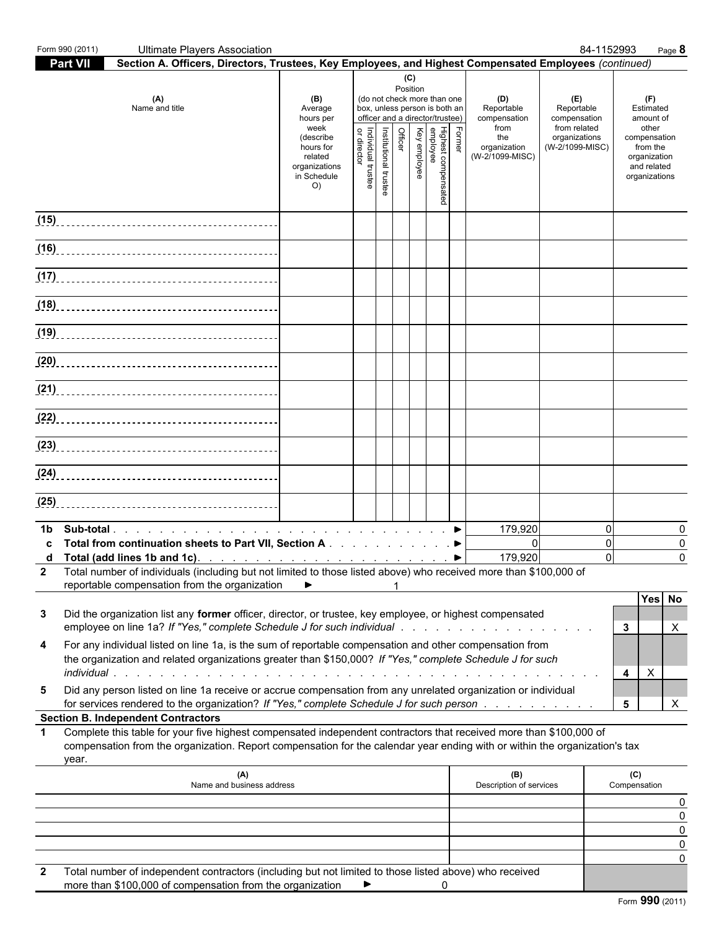|             | Form 990 (2011) | <b>Ultimate Players Association</b>                                                                                                                                                                                                              |                                                                                                                 |                                                                    |                       |                            |              |                                                                                                   |        |                                                                                     |                                                                                       | 84-1152993<br>Page 8                                                                                               |
|-------------|-----------------|--------------------------------------------------------------------------------------------------------------------------------------------------------------------------------------------------------------------------------------------------|-----------------------------------------------------------------------------------------------------------------|--------------------------------------------------------------------|-----------------------|----------------------------|--------------|---------------------------------------------------------------------------------------------------|--------|-------------------------------------------------------------------------------------|---------------------------------------------------------------------------------------|--------------------------------------------------------------------------------------------------------------------|
|             | Part VII        | Section A. Officers, Directors, Trustees, Key Employees, and Highest Compensated Employees (continued)                                                                                                                                           |                                                                                                                 |                                                                    |                       |                            |              |                                                                                                   |        |                                                                                     |                                                                                       |                                                                                                                    |
|             |                 | (A)<br>Name and title                                                                                                                                                                                                                            | (B)<br>Average<br>hours per<br>week<br>(describe<br>hours for<br>related<br>organizations<br>in Schedule<br>O() | box, unless person is both an<br>Individual trustee<br>or director | Institutional trustee | (C)<br>Position<br>Officer | Key employee | (do not check more than one<br>officer and a director/trustee)<br>Highest compensated<br>employee | Former | (D)<br>Reportable<br>compensation<br>from<br>the<br>organization<br>(W-2/1099-MISC) | (E)<br>Reportable<br>compensation<br>from related<br>organizations<br>(W-2/1099-MISC) | (F)<br>Estimated<br>amount of<br>other<br>compensation<br>from the<br>organization<br>and related<br>organizations |
|             |                 |                                                                                                                                                                                                                                                  |                                                                                                                 |                                                                    |                       |                            |              |                                                                                                   |        |                                                                                     |                                                                                       |                                                                                                                    |
|             |                 |                                                                                                                                                                                                                                                  |                                                                                                                 |                                                                    |                       |                            |              |                                                                                                   |        |                                                                                     |                                                                                       |                                                                                                                    |
|             |                 |                                                                                                                                                                                                                                                  |                                                                                                                 |                                                                    |                       |                            |              |                                                                                                   |        |                                                                                     |                                                                                       |                                                                                                                    |
|             |                 |                                                                                                                                                                                                                                                  |                                                                                                                 |                                                                    |                       |                            |              |                                                                                                   |        |                                                                                     |                                                                                       |                                                                                                                    |
|             |                 |                                                                                                                                                                                                                                                  |                                                                                                                 |                                                                    |                       |                            |              |                                                                                                   |        |                                                                                     |                                                                                       |                                                                                                                    |
|             |                 |                                                                                                                                                                                                                                                  |                                                                                                                 |                                                                    |                       |                            |              |                                                                                                   |        |                                                                                     |                                                                                       |                                                                                                                    |
|             |                 |                                                                                                                                                                                                                                                  |                                                                                                                 |                                                                    |                       |                            |              |                                                                                                   |        |                                                                                     |                                                                                       |                                                                                                                    |
|             |                 |                                                                                                                                                                                                                                                  |                                                                                                                 |                                                                    |                       |                            |              |                                                                                                   |        |                                                                                     |                                                                                       |                                                                                                                    |
|             |                 |                                                                                                                                                                                                                                                  |                                                                                                                 |                                                                    |                       |                            |              |                                                                                                   |        |                                                                                     |                                                                                       |                                                                                                                    |
|             |                 |                                                                                                                                                                                                                                                  |                                                                                                                 |                                                                    |                       |                            |              |                                                                                                   |        |                                                                                     |                                                                                       |                                                                                                                    |
|             |                 |                                                                                                                                                                                                                                                  |                                                                                                                 |                                                                    |                       |                            |              |                                                                                                   |        |                                                                                     |                                                                                       |                                                                                                                    |
| 1b.         |                 |                                                                                                                                                                                                                                                  |                                                                                                                 |                                                                    |                       |                            |              |                                                                                                   |        | 179,920                                                                             |                                                                                       | $\Omega$<br>$\Omega$                                                                                               |
| C           |                 | Total from continuation sheets to Part VII, Section A ▶                                                                                                                                                                                          |                                                                                                                 |                                                                    |                       |                            |              |                                                                                                   |        | $\Omega$<br>179,920                                                                 |                                                                                       | 0<br>0<br>$\mathbf 0$<br>$\Omega$                                                                                  |
|             |                 | 2 Total number of individuals (including but not limited to those listed above) who received more than \$100,000 of<br>reportable compensation from the organization                                                                             | ▶                                                                                                               |                                                                    |                       |                            |              |                                                                                                   |        |                                                                                     |                                                                                       |                                                                                                                    |
| 3           |                 | Did the organization list any former officer, director, or trustee, key employee, or highest compensated<br>employee on line 1a? If "Yes," complete Schedule J for such individual response to the content of the content of                     |                                                                                                                 |                                                                    |                       |                            |              |                                                                                                   |        |                                                                                     |                                                                                       | Yes No<br>$3^{\circ}$<br>Х                                                                                         |
| 4           |                 | For any individual listed on line 1a, is the sum of reportable compensation and other compensation from<br>the organization and related organizations greater than \$150,000? If "Yes," complete Schedule J for such                             |                                                                                                                 |                                                                    |                       |                            |              |                                                                                                   |        |                                                                                     |                                                                                       | X<br>4                                                                                                             |
| 5           |                 | Did any person listed on line 1a receive or accrue compensation from any unrelated organization or individual<br>for services rendered to the organization? If "Yes," complete Schedule J for such person                                        |                                                                                                                 |                                                                    |                       |                            |              |                                                                                                   |        |                                                                                     |                                                                                       | $5\overline{)}$<br>X                                                                                               |
|             |                 | <b>Section B. Independent Contractors</b>                                                                                                                                                                                                        |                                                                                                                 |                                                                    |                       |                            |              |                                                                                                   |        |                                                                                     |                                                                                       |                                                                                                                    |
| $\mathbf 1$ | year.           | Complete this table for your five highest compensated independent contractors that received more than \$100,000 of<br>compensation from the organization. Report compensation for the calendar year ending with or within the organization's tax |                                                                                                                 |                                                                    |                       |                            |              |                                                                                                   |        |                                                                                     |                                                                                       |                                                                                                                    |
|             |                 | (A)<br>Name and business address                                                                                                                                                                                                                 |                                                                                                                 |                                                                    |                       |                            |              |                                                                                                   |        | (B)<br>Description of services                                                      |                                                                                       | (C)<br>Compensation                                                                                                |
|             |                 |                                                                                                                                                                                                                                                  |                                                                                                                 |                                                                    |                       |                            |              |                                                                                                   |        |                                                                                     |                                                                                       |                                                                                                                    |
|             |                 |                                                                                                                                                                                                                                                  |                                                                                                                 |                                                                    |                       |                            |              |                                                                                                   |        |                                                                                     |                                                                                       |                                                                                                                    |
| 2           |                 | Total number of independent contractors (including but not limited to those listed above) who received                                                                                                                                           |                                                                                                                 |                                                                    |                       |                            |              |                                                                                                   |        |                                                                                     |                                                                                       |                                                                                                                    |
|             |                 | more than \$100,000 of compensation from the organization                                                                                                                                                                                        |                                                                                                                 |                                                                    |                       |                            |              | 0                                                                                                 |        |                                                                                     |                                                                                       | Form 990 (2011)                                                                                                    |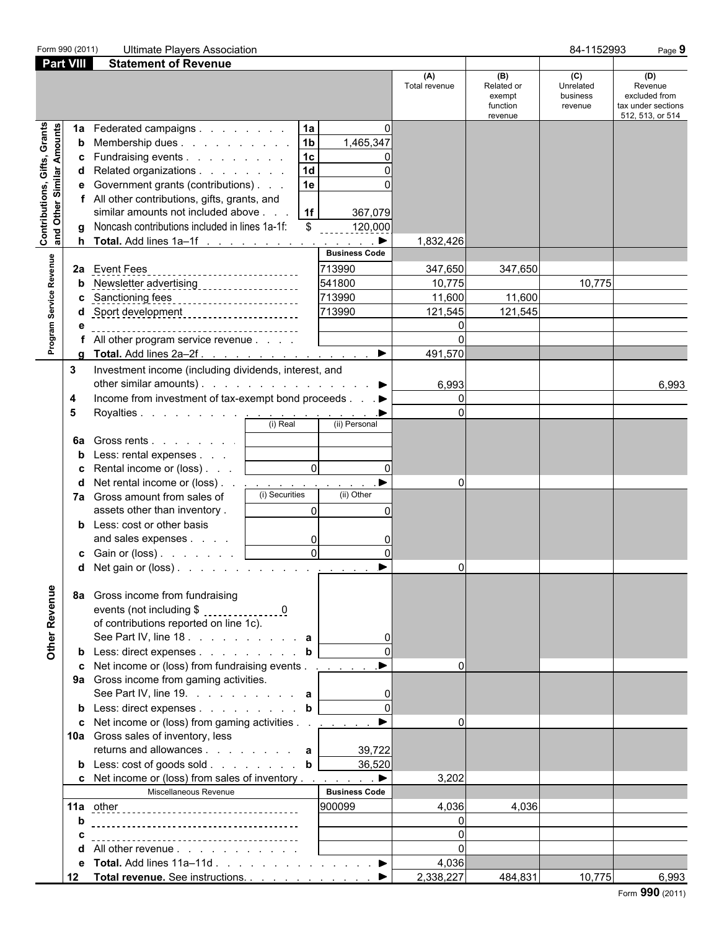| Form 990 (2011)                                                  |                                   | <b>Ultimate Players Association</b>                                                                                                                                                                                                                                                                                                                                                                                                                                                                                                                                                                                                                                                                                        |                                                                                                                                  |                                                                |                                                    | 84-1152993                              | Page 9                                                                    |
|------------------------------------------------------------------|-----------------------------------|----------------------------------------------------------------------------------------------------------------------------------------------------------------------------------------------------------------------------------------------------------------------------------------------------------------------------------------------------------------------------------------------------------------------------------------------------------------------------------------------------------------------------------------------------------------------------------------------------------------------------------------------------------------------------------------------------------------------------|----------------------------------------------------------------------------------------------------------------------------------|----------------------------------------------------------------|----------------------------------------------------|-----------------------------------------|---------------------------------------------------------------------------|
| <b>Part VIII</b>                                                 |                                   | <b>Statement of Revenue</b>                                                                                                                                                                                                                                                                                                                                                                                                                                                                                                                                                                                                                                                                                                |                                                                                                                                  |                                                                |                                                    |                                         |                                                                           |
|                                                                  |                                   |                                                                                                                                                                                                                                                                                                                                                                                                                                                                                                                                                                                                                                                                                                                            |                                                                                                                                  | (A)<br>Total revenue                                           | (B)<br>Related or<br>exempt<br>function<br>revenue | (C)<br>Unrelated<br>business<br>revenue | (D)<br>Revenue<br>excluded from<br>tax under sections<br>512, 513, or 514 |
| <b>Contributions, Gifts, Grants</b><br>and Other Similar Amounts | 1a<br>b<br>c<br>d<br>е<br>g       | 1a<br>Federated campaigns<br>1 <sub>b</sub><br>Membership dues<br>1c<br>Fundraising events<br>1 <sub>d</sub><br>Related organizations<br>Government grants (contributions)<br>1e<br>All other contributions, gifts, grants, and<br>1f<br>similar amounts not included above<br>Noncash contributions included in lines 1a-1f:<br>\$                                                                                                                                                                                                                                                                                                                                                                                        | $\Omega$<br>1,465,347<br>367,079<br>120,000                                                                                      | 1,832,426                                                      |                                                    |                                         |                                                                           |
|                                                                  |                                   |                                                                                                                                                                                                                                                                                                                                                                                                                                                                                                                                                                                                                                                                                                                            | <b>Business Code</b>                                                                                                             |                                                                |                                                    |                                         |                                                                           |
| Program Service Revenue                                          |                                   | 2a Event Fees<br>--------------------------<br>Newsletter advertising ____________________<br>Sanctioning fees<br>Sanctioning fees<br>Sport development ______________________                                                                                                                                                                                                                                                                                                                                                                                                                                                                                                                                             | 713990<br>541800<br>713990<br>713990                                                                                             | 347,650<br>10,775<br>11,600<br>121,545                         | 347,650<br>11,600<br>121,545                       | 10,775                                  |                                                                           |
|                                                                  | a                                 | All other program service revenue<br>Total. Add lines 2a-2f.                                                                                                                                                                                                                                                                                                                                                                                                                                                                                                                                                                                                                                                               | $\blacktriangleright$                                                                                                            | 491,570                                                        |                                                    |                                         |                                                                           |
|                                                                  | 3<br>4<br>5<br>6a<br>d<br>7а<br>b | Investment income (including dividends, interest, and<br>other similar amounts). $\ldots$ $\ldots$ $\ldots$ $\ldots$ $\ldots$<br>Income from investment of tax-exempt bond proceeds ▶<br>(i) Real<br>Gross rents  <br>Less: rental expenses<br>Rental income or (loss)<br>Net rental income or (loss)<br>(i) Securities<br>Gross amount from sales of<br>assets other than inventory.<br>Less: cost or other basis<br>and sales expenses<br><b>c</b> Gain or (loss) $\ldots$ $\ldots$ $\ldots$<br>d Net gain or (loss). <u>.</u><br>8a Gross income from fundraising                                                                                                                                                       | (ii) Personal<br>$\Omega$<br>$\Omega$<br>(ii) Other<br>$\Omega$<br>$\Omega$<br>$\overline{0}$<br>0<br>$\overline{0}$<br>$\Omega$ | 6,993<br>$\overline{0}$<br>$\Omega$<br>$\Omega$<br>υı          |                                                    |                                         | 6,993                                                                     |
| Other Revenue                                                    | d                                 | events (not including \$ 0<br>of contributions reported on line 1c).<br>See Part IV, line 18. $\ldots$ $\ldots$ $\ldots$ $\ldots$ a<br><b>b</b> Less: direct expenses <b>b</b><br>c Net income or (loss) from fundraising events $\dots$ $\dots$<br>9a Gross income from gaming activities.<br>See Part IV, line 19. $\ldots$ $\ldots$ $\ldots$ a<br>b Less: direct expenses b<br>c Net income or (loss) from gaming activities $\ldots$ $\ldots$ $\blacktriangleright$<br>10a Gross sales of inventory, less<br>returns and allowances $\mathbf{a}$<br><b>b</b> Less: cost of goods sold <b>b</b><br>c Net income or (loss) from sales of inventory $\dots$ $\dots$ $\dots$<br>Miscellaneous Revenue<br>All other revenue | $\Omega$<br>39,722<br>36,520<br><b>Business Code</b><br>900099                                                                   | $\Omega$<br>$\Omega$<br>3,202<br>4,036<br>$\Omega$<br>$\Omega$ | 4,036                                              |                                         |                                                                           |
|                                                                  | е<br>12                           | Total. Add lines $11a-11d$ . $\blacktriangleright$                                                                                                                                                                                                                                                                                                                                                                                                                                                                                                                                                                                                                                                                         |                                                                                                                                  | 4,036<br>2,338,227                                             | 484,831                                            | 10,775                                  | 6,993                                                                     |
|                                                                  |                                   | Total revenue. See instructions. ▶                                                                                                                                                                                                                                                                                                                                                                                                                                                                                                                                                                                                                                                                                         |                                                                                                                                  |                                                                |                                                    |                                         |                                                                           |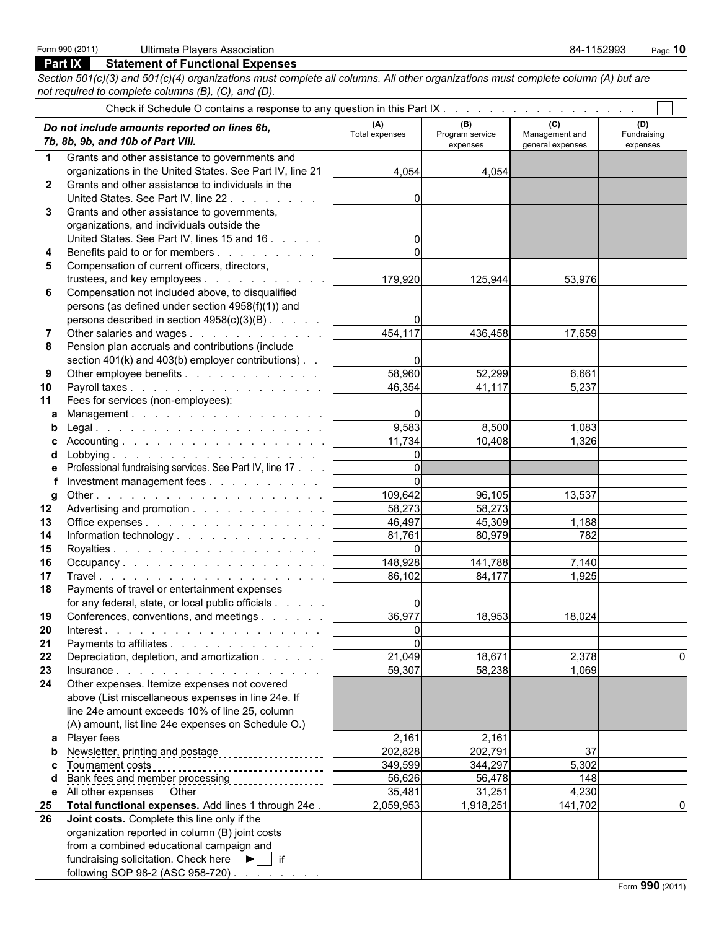### **Part IX Statement of Functional Expenses**

*Section 501(c)(3) and 501(c)(4) organizations must complete all columns. All other organizations must complete column (A) but are not required to complete columns (B), (C), and (D).*

|                  | Do not include amounts reported on lines 6b,<br>7b, 8b, 9b, and 10b of Part VIII. | (A)<br>Total expenses | (B)<br>Program service<br>expenses | (C)<br>Management and<br>general expenses | (D)<br>Fundraising<br>expenses |
|------------------|-----------------------------------------------------------------------------------|-----------------------|------------------------------------|-------------------------------------------|--------------------------------|
| $\mathbf 1$      | Grants and other assistance to governments and                                    |                       |                                    |                                           |                                |
|                  | organizations in the United States. See Part IV, line 21                          | 4,054                 | 4,054                              |                                           |                                |
| $\mathbf{2}$     | Grants and other assistance to individuals in the                                 |                       |                                    |                                           |                                |
|                  | United States. See Part IV, line 22.                                              | 0                     |                                    |                                           |                                |
| 3                | Grants and other assistance to governments,                                       |                       |                                    |                                           |                                |
|                  | organizations, and individuals outside the                                        |                       |                                    |                                           |                                |
|                  | United States. See Part IV, lines 15 and 16                                       | 0                     |                                    |                                           |                                |
|                  | Benefits paid to or for members                                                   | $\Omega$              |                                    |                                           |                                |
| 5                | Compensation of current officers, directors,                                      |                       |                                    |                                           |                                |
|                  | trustees, and key employees                                                       | 179,920               | 125,944                            | 53,976                                    |                                |
| 6                | Compensation not included above, to disqualified                                  |                       |                                    |                                           |                                |
|                  | persons (as defined under section 4958(f)(1)) and                                 |                       |                                    |                                           |                                |
|                  | persons described in section 4958(c)(3)(B)                                        |                       |                                    |                                           |                                |
|                  | Other salaries and wages                                                          | 454,117               | 436,458                            | 17,659                                    |                                |
| 8                | Pension plan accruals and contributions (include                                  |                       |                                    |                                           |                                |
|                  | section 401(k) and 403(b) employer contributions). .                              |                       |                                    |                                           |                                |
| 9                | Other employee benefits                                                           | 58,960                | 52,299                             | 6,661                                     |                                |
| 10               | Payroll taxes                                                                     | 46,354                | 41,117                             | 5,237                                     |                                |
| 11               | Fees for services (non-employees):                                                |                       |                                    |                                           |                                |
| a                | Management.                                                                       |                       |                                    |                                           |                                |
|                  |                                                                                   | 9,583                 | 8,500                              | 1,083                                     |                                |
|                  |                                                                                   | 11,734                | 10,408                             | 1,326                                     |                                |
| d                |                                                                                   | $\Omega$              |                                    |                                           |                                |
|                  | Professional fundraising services. See Part IV, line 17                           | $\Omega$              |                                    |                                           |                                |
|                  | Investment management fees                                                        |                       |                                    |                                           |                                |
| q                |                                                                                   | 109,642               | 96,105                             | 13,537                                    |                                |
| $12\phantom{.0}$ | Advertising and promotion                                                         | 58,273                | 58,273                             |                                           |                                |
| 13               | Office expenses                                                                   | 46,497                | 45,309                             | 1,188                                     |                                |
| 14               | Information technology                                                            | 81,761                | 80,979                             | 782                                       |                                |
| 15               |                                                                                   | $\Omega$              |                                    |                                           |                                |
| 16               | Occupancy                                                                         | 148,928               | 141,788                            | 7,140                                     |                                |
| 17               |                                                                                   | 86,102                | 84,177                             | 1,925                                     |                                |
| 18               | Payments of travel or entertainment expenses                                      |                       |                                    |                                           |                                |
|                  | for any federal, state, or local public officials                                 |                       |                                    |                                           |                                |
| 19               | Conferences, conventions, and meetings                                            | 36,977                | 18,953                             | 18,024                                    |                                |
|                  | 20 Interest.                                                                      | $\overline{0}$        |                                    |                                           |                                |
| 21               | Payments to affiliates                                                            | $\Omega$              |                                    |                                           |                                |
| 22               | Depreciation, depletion, and amortization                                         | 21,049                | 18,671                             | 2,378                                     | $\Omega$                       |
| 23               |                                                                                   | 59,307                | 58,238                             | 1,069                                     |                                |
| 24               | Other expenses. Itemize expenses not covered                                      |                       |                                    |                                           |                                |
|                  | above (List miscellaneous expenses in line 24e. If                                |                       |                                    |                                           |                                |
|                  | line 24e amount exceeds 10% of line 25, column                                    |                       |                                    |                                           |                                |
|                  | (A) amount, list line 24e expenses on Schedule O.)                                |                       |                                    |                                           |                                |
|                  | a Player fees                                                                     | 2,161                 | 2,161                              |                                           |                                |
|                  | b Newsletter, printing and postage                                                | 202,828               | 202,791                            | 37                                        |                                |
|                  |                                                                                   | 349,599               | 344,297                            | 5,302                                     |                                |
|                  |                                                                                   | 56,626                | 56,478                             | 148                                       |                                |
|                  | e All other expenses Other                                                        | 35,481                | 31,251                             | 4,230                                     |                                |
| 25               | Total functional expenses. Add lines 1 through 24e.                               | 2,059,953             | 1,918,251                          | 141,702                                   | $\Omega$                       |
| 26               | Joint costs. Complete this line only if the                                       |                       |                                    |                                           |                                |
|                  | organization reported in column (B) joint costs                                   |                       |                                    |                                           |                                |
|                  | from a combined educational campaign and                                          |                       |                                    |                                           |                                |
|                  | fundraising solicitation. Check here $\blacktriangleright$   if                   |                       |                                    |                                           |                                |
|                  | following SOP 98-2 (ASC 958-720)                                                  |                       |                                    |                                           |                                |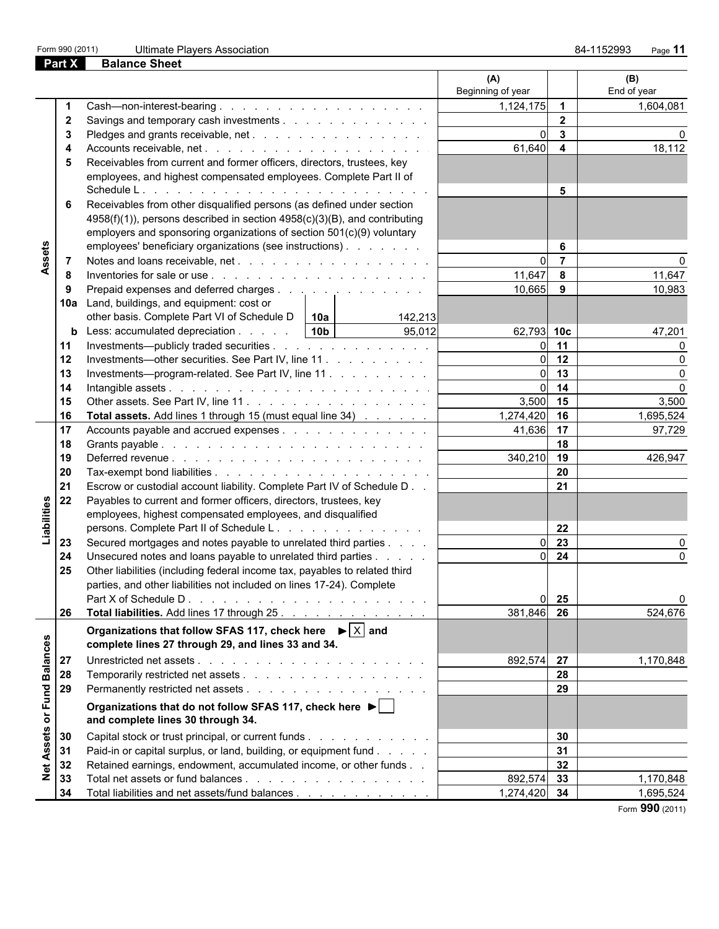**Part X Balance Sheet**

|                 |              |                                                                                                                    | (A)<br>Beginning of year |                         | (B)<br>End of year |
|-----------------|--------------|--------------------------------------------------------------------------------------------------------------------|--------------------------|-------------------------|--------------------|
|                 |              |                                                                                                                    | 1,124,175                | $\overline{\mathbf{1}}$ | 1,604,081          |
|                 | $\mathbf{2}$ | Savings and temporary cash investments                                                                             |                          | $\overline{2}$          |                    |
|                 | 3            |                                                                                                                    | $\Omega$                 | $\mathbf{3}$            |                    |
|                 | 4            |                                                                                                                    | 61,640                   | $\overline{\mathbf{4}}$ | 18,112             |
|                 | 5            | Receivables from current and former officers, directors, trustees, key                                             |                          |                         |                    |
|                 |              | employees, and highest compensated employees. Complete Part II of                                                  |                          |                         |                    |
|                 |              |                                                                                                                    |                          | 5                       |                    |
|                 | 6            | Receivables from other disqualified persons (as defined under section                                              |                          |                         |                    |
|                 |              | 4958(f)(1)), persons described in section 4958(c)(3)(B), and contributing                                          |                          |                         |                    |
|                 |              | employers and sponsoring organizations of section 501(c)(9) voluntary                                              |                          |                         |                    |
|                 |              | employees' beneficiary organizations (see instructions)                                                            |                          | 6                       |                    |
| Assets          | -7           |                                                                                                                    | $\Omega$                 | $\overline{7}$          |                    |
|                 | 8            |                                                                                                                    | 11,647                   | 8                       | 11,647             |
|                 | 9            | Prepaid expenses and deferred charges                                                                              | 10,665                   | 9                       | 10,983             |
|                 |              | 10a Land, buildings, and equipment: cost or                                                                        |                          |                         |                    |
|                 |              | other basis. Complete Part VI of Schedule D $\vert$ 10a<br>142,213                                                 |                          |                         |                    |
|                 |              | <b>b</b> Less: accumulated depreciation $\ldots$ $\ldots$   10b  <br>95,012                                        | 62,793 10c               |                         | 47,201             |
|                 | 11           | Investments—publicly traded securities                                                                             | $\overline{0}$           | 11                      |                    |
|                 | 12           | Investments—other securities. See Part IV, line 11                                                                 | $\overline{0}$           | 12                      |                    |
|                 | 13           | Investments—program-related. See Part IV, line 11                                                                  | 0l                       | 13                      |                    |
|                 | 14           |                                                                                                                    | $\overline{0}$           | 14                      | $\Omega$           |
|                 | 15           |                                                                                                                    | 3,500 15                 |                         | 3,500              |
|                 | 16           | <b>Total assets.</b> Add lines 1 through 15 (must equal line 34)                                                   | 1,274,420 16             |                         | 1,695,524          |
|                 | 17           | Accounts payable and accrued expenses                                                                              | 41,636 17                |                         | 97,729             |
|                 | 18           |                                                                                                                    |                          | 18                      |                    |
|                 | 19           |                                                                                                                    | 340,210                  | 19                      | 426,947            |
|                 | 20           |                                                                                                                    |                          | 20                      |                    |
|                 | 21           | Escrow or custodial account liability. Complete Part IV of Schedule D                                              |                          | 21                      |                    |
|                 | 22           | Payables to current and former officers, directors, trustees, key                                                  |                          |                         |                    |
| Liabilities     |              | employees, highest compensated employees, and disqualified                                                         |                          |                         |                    |
|                 |              | persons. Complete Part II of Schedule L.                                                                           |                          | 22                      |                    |
|                 | 23           | Secured mortgages and notes payable to unrelated third parties                                                     | $\Omega$                 | 23                      |                    |
|                 | 24           | Unsecured notes and loans payable to unrelated third parties                                                       | <sub>0</sub>             | 24                      |                    |
|                 | 25           | Other liabilities (including federal income tax, payables to related third                                         |                          |                         |                    |
|                 |              | parties, and other liabilities not included on lines 17-24). Complete                                              |                          |                         |                    |
|                 |              |                                                                                                                    |                          | 0 <sub>25</sub>         |                    |
|                 | 26           | Total liabilities. Add lines 17 through 25.                                                                        | 381,846 26               |                         | 524,676            |
|                 |              | Organizations that follow SFAS 117, check here $\blacktriangleright$ $\boxed{\times}$ and                          |                          |                         |                    |
|                 |              | complete lines 27 through 29, and lines 33 and 34.                                                                 |                          |                         |                    |
|                 | 27           |                                                                                                                    | 892,574 27               |                         | 1,170,848          |
| <b>Balances</b> | 28           |                                                                                                                    |                          | 28                      |                    |
|                 | 29           |                                                                                                                    |                          | 29                      |                    |
|                 |              |                                                                                                                    |                          |                         |                    |
| or Fund         |              | Organizations that do not follow SFAS 117, check here $\blacktriangleright$  <br>and complete lines 30 through 34. |                          |                         |                    |
| <b>Assets</b>   | 30           | Capital stock or trust principal, or current funds                                                                 |                          | 30                      |                    |
|                 | 31           | Paid-in or capital surplus, or land, building, or equipment fund                                                   |                          | 31                      |                    |
|                 | 32           | Retained earnings, endowment, accumulated income, or other funds                                                   |                          | 32                      |                    |
| $\frac{1}{2}$   | 33           |                                                                                                                    | 892,574                  | 33                      | 1,170,848          |
|                 | 34           | Total liabilities and net assets/fund balances                                                                     | 1,274,420 34             |                         | 1,695,524          |
|                 |              |                                                                                                                    |                          |                         | Form 990 (2011)    |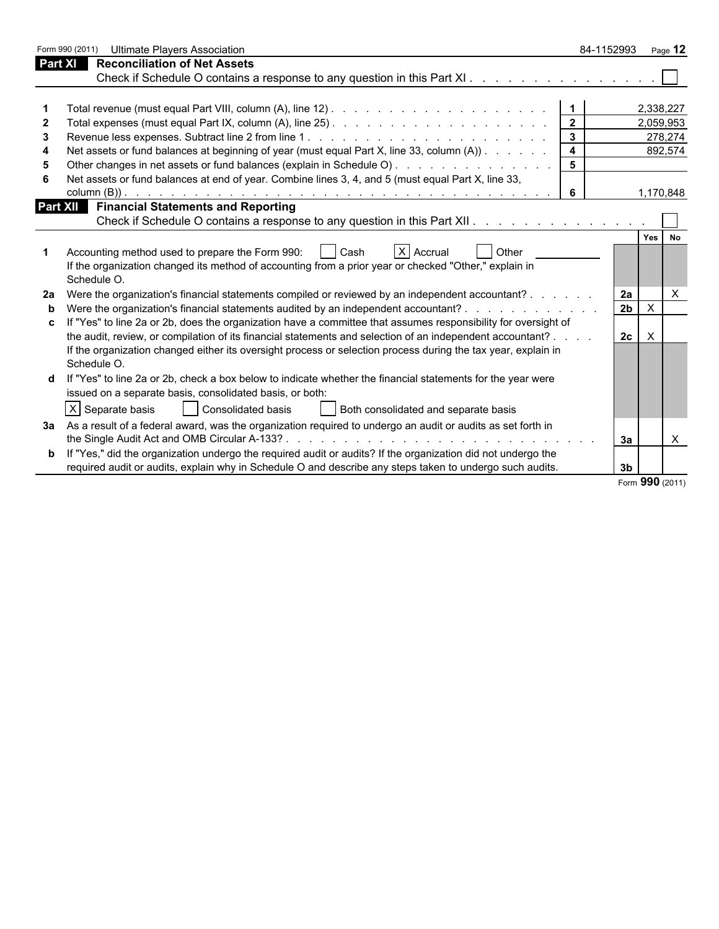|   | Form 990 (2011)<br><b>Ultimate Players Association</b>                                                                                                                         | 84-1152993              |                                             | Page $12$       |
|---|--------------------------------------------------------------------------------------------------------------------------------------------------------------------------------|-------------------------|---------------------------------------------|-----------------|
|   | <b>Reconciliation of Net Assets</b><br>Part XI                                                                                                                                 |                         |                                             |                 |
|   | Check if Schedule O contains a response to any question in this Part XI.                                                                                                       |                         |                                             |                 |
|   |                                                                                                                                                                                |                         |                                             |                 |
|   |                                                                                                                                                                                |                         |                                             | 2,338,227       |
|   |                                                                                                                                                                                |                         |                                             | 2,059,953       |
| З |                                                                                                                                                                                |                         |                                             | 278,274         |
| 4 | Net assets or fund balances at beginning of year (must equal Part X, line 33, column (A))                                                                                      | $\overline{\mathbf{4}}$ |                                             | 892,574         |
|   |                                                                                                                                                                                |                         |                                             |                 |
|   | Net assets or fund balances at end of year. Combine lines 3, 4, and 5 (must equal Part X, line 33,                                                                             |                         |                                             |                 |
|   |                                                                                                                                                                                | 6                       |                                             | 1,170,848       |
|   | <b>Part XII</b> Financial Statements and Reporting                                                                                                                             |                         |                                             |                 |
|   | Check if Schedule O contains a response to any question in this Part XII. A contained a contained by Check if Schedule O contains a response to any question in this Part XII. |                         |                                             |                 |
|   |                                                                                                                                                                                |                         | Yes                                         | No              |
|   | Accounting method used to prepare the Form 990:<br>X Accrual<br><b>Other</b><br>Cash                                                                                           |                         |                                             |                 |
|   | If the organization changed its method of accounting from a prior year or checked "Other," explain in                                                                          |                         |                                             |                 |
|   | Schedule O.                                                                                                                                                                    |                         |                                             |                 |
|   | Were the organization's financial statements compiled or reviewed by an independent accountant?                                                                                |                         | 2a                                          | X               |
| b | Were the organization's financial statements audited by an independent accountant?                                                                                             |                         | 2 <sub>b</sub><br>$\boldsymbol{\mathsf{X}}$ |                 |
|   | "Yes" to line 2a or 2b, does the organization have a committee that assumes responsibility for oversight of                                                                    |                         |                                             |                 |
|   | the audit, review, or compilation of its financial statements and selection of an independent accountant? .                                                                    |                         | $\mathsf{X}$<br>2c                          |                 |
|   | If the organization changed either its oversight process or selection process during the tax year, explain in                                                                  |                         |                                             |                 |
|   | Schedule O.                                                                                                                                                                    |                         |                                             |                 |
|   | If "Yes" to line 2a or 2b, check a box below to indicate whether the financial statements for the year were                                                                    |                         |                                             |                 |
|   | issued on a separate basis, consolidated basis, or both:                                                                                                                       |                         |                                             |                 |
|   | $ X $ Separate basis<br>Consolidated basis<br>Both consolidated and separate basis                                                                                             |                         |                                             |                 |
|   | 3a As a result of a federal award, was the organization required to undergo an audit or audits as set forth in                                                                 |                         |                                             |                 |
|   |                                                                                                                                                                                |                         | 3a                                          | X               |
|   | <b>b</b> If "Yes," did the organization undergo the required audit or audits? If the organization did not undergo the                                                          |                         |                                             |                 |
|   | required audit or audits, explain why in Schedule O and describe any steps taken to undergo such audits.                                                                       |                         | 3 <sub>b</sub>                              |                 |
|   |                                                                                                                                                                                |                         |                                             | Form 990 (2011) |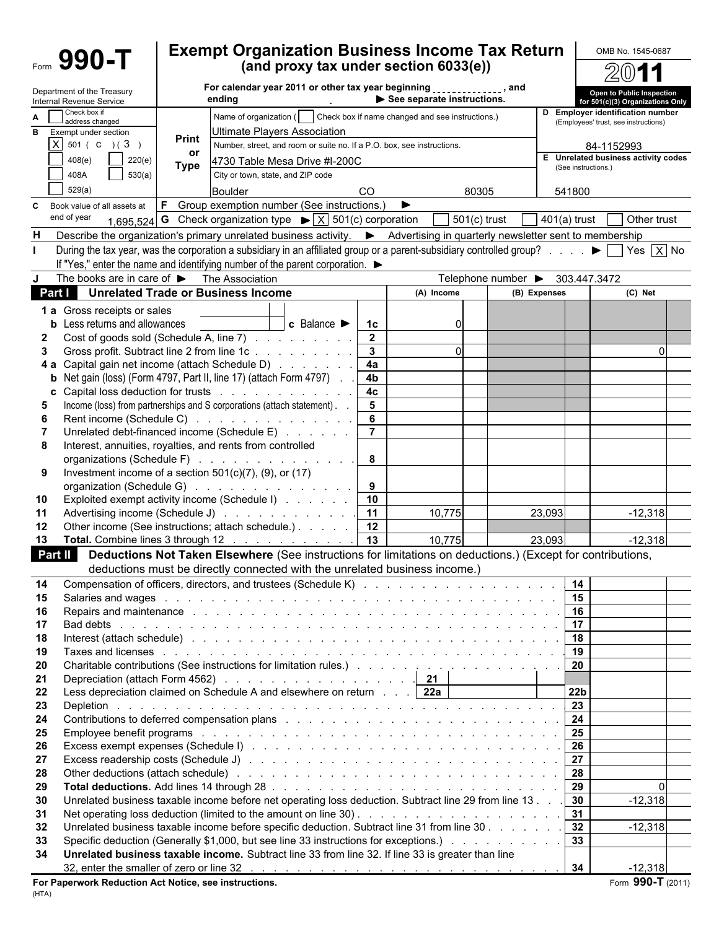|          | Form 990-T                                                          |              | <b>Exempt Organization Business Income Tax Return</b>                                                                                                                                                                                                                                                                                                                  |                                   |                            |                                 |                |                     | OMB No. 1545-0687                                                        |
|----------|---------------------------------------------------------------------|--------------|------------------------------------------------------------------------------------------------------------------------------------------------------------------------------------------------------------------------------------------------------------------------------------------------------------------------------------------------------------------------|-----------------------------------|----------------------------|---------------------------------|----------------|---------------------|--------------------------------------------------------------------------|
|          |                                                                     |              | (and proxy tax under section 6033(e))                                                                                                                                                                                                                                                                                                                                  |                                   |                            |                                 |                |                     |                                                                          |
|          | Department of the Treasury<br>Internal Revenue Service              |              | For calendar year 2011 or other tax year beginning [11][11][12], and<br>ending                                                                                                                                                                                                                                                                                         |                                   | See separate instructions. |                                 |                |                     | Open to Public Inspection<br>for 501(c)(3) Organizations Only            |
| A        | Check box if<br>address changed                                     |              | Name of organization (     Check box if name changed and see instructions.)                                                                                                                                                                                                                                                                                            |                                   |                            |                                 |                |                     | D Employer identification number<br>(Employees' trust, see instructions) |
|          | <b>B</b> Exempt under section<br>$X$ 501 ( C ) ( 3 )                | <b>Print</b> | Jltimate Players Association                                                                                                                                                                                                                                                                                                                                           |                                   |                            |                                 |                |                     |                                                                          |
|          | 220(e)<br>408(e)                                                    | or           | Number, street, and room or suite no. If a P.O. box, see instructions.                                                                                                                                                                                                                                                                                                 |                                   |                            |                                 |                |                     | 84-1152993<br>E Unrelated business activity codes                        |
|          | 530(a)<br>408A                                                      | <b>Type</b>  | 4730 Table Mesa Drive #I-200C<br>City or town, state, and ZIP code                                                                                                                                                                                                                                                                                                     |                                   |                            |                                 |                | (See instructions.) |                                                                          |
|          | 529(a)                                                              |              | Boulder                                                                                                                                                                                                                                                                                                                                                                | <b>CO</b>                         |                            | 80305                           |                | 541800              |                                                                          |
| C        | Book value of all assets at                                         |              | <b>F</b> Group exemption number (See instructions.)                                                                                                                                                                                                                                                                                                                    |                                   |                            |                                 |                |                     |                                                                          |
|          | end of year                                                         |              | 1,695,524 <b>G</b> Check organization type $\triangleright \boxed{X}$ 501(c) corporation                                                                                                                                                                                                                                                                               |                                   |                            | $501(c)$ trust                  | $401(a)$ trust |                     | Other trust                                                              |
| н        |                                                                     |              | Describe the organization's primary unrelated business activity. ▶ Advertising in quarterly newsletter sent to membership                                                                                                                                                                                                                                              |                                   |                            |                                 |                |                     |                                                                          |
|          |                                                                     |              | During the tax year, was the corporation a subsidiary in an affiliated group or a parent-subsidiary controlled group? $\blacktriangleright \Box$ Yes $\overline{\times}$ No                                                                                                                                                                                            |                                   |                            |                                 |                |                     |                                                                          |
|          |                                                                     |              | If "Yes," enter the name and identifying number of the parent corporation. $\blacktriangleright$                                                                                                                                                                                                                                                                       |                                   |                            |                                 |                |                     |                                                                          |
| J        | The books are in care of $\blacktriangleright$ The Association      |              |                                                                                                                                                                                                                                                                                                                                                                        |                                   |                            | Telephone number > 303.447.3472 |                |                     |                                                                          |
| Part I   |                                                                     |              | <b>Unrelated Trade or Business Income</b>                                                                                                                                                                                                                                                                                                                              |                                   | (A) Income                 |                                 | (B) Expenses   |                     | (C) Net                                                                  |
|          | 1 a Gross receipts or sales<br><b>b</b> Less returns and allowances |              | $\overline{\phantom{a}}$ c Balance $\blacktriangleright$                                                                                                                                                                                                                                                                                                               | 1c                                | 0                          |                                 |                |                     |                                                                          |
|          |                                                                     |              | Cost of goods sold (Schedule A, line 7)                                                                                                                                                                                                                                                                                                                                | $\mathbf{2}$                      |                            |                                 |                |                     |                                                                          |
| 3        |                                                                     |              | Gross profit. Subtract line 2 from line 1c                                                                                                                                                                                                                                                                                                                             | $\mathbf{3}$                      | $\Omega$                   |                                 |                |                     | $\Omega$                                                                 |
| 4а       |                                                                     |              | Capital gain net income (attach Schedule D)                                                                                                                                                                                                                                                                                                                            | 4a                                |                            |                                 |                |                     |                                                                          |
|          |                                                                     |              | Net gain (loss) (Form 4797, Part II, line 17) (attach Form 4797)                                                                                                                                                                                                                                                                                                       | 4b                                |                            |                                 |                |                     |                                                                          |
|          |                                                                     |              | Capital loss deduction for trusts<br>Income (loss) from partnerships and S corporations (attach statement). .                                                                                                                                                                                                                                                          | 4 <sub>c</sub><br>$5\phantom{.0}$ |                            |                                 |                |                     |                                                                          |
| 6        |                                                                     |              | Rent income (Schedule C)                                                                                                                                                                                                                                                                                                                                               | 6                                 |                            |                                 |                |                     |                                                                          |
|          |                                                                     |              | Unrelated debt-financed income (Schedule E)                                                                                                                                                                                                                                                                                                                            | $\overline{7}$                    |                            |                                 |                |                     |                                                                          |
| 8        |                                                                     |              | Interest, annuities, royalties, and rents from controlled                                                                                                                                                                                                                                                                                                              |                                   |                            |                                 |                |                     |                                                                          |
|          |                                                                     |              | organizations (Schedule F)                                                                                                                                                                                                                                                                                                                                             | 8                                 |                            |                                 |                |                     |                                                                          |
| 9        |                                                                     |              | Investment income of a section $501(c)(7)$ , (9), or (17)<br>organization (Schedule G)                                                                                                                                                                                                                                                                                 | 9                                 |                            |                                 |                |                     |                                                                          |
| 10       |                                                                     |              | Exploited exempt activity income (Schedule I)                                                                                                                                                                                                                                                                                                                          | 10                                |                            |                                 |                |                     |                                                                          |
| 11       |                                                                     |              | Advertising income (Schedule J)                                                                                                                                                                                                                                                                                                                                        | 11                                | 10,775                     |                                 | 23,093         |                     | $-12,318$                                                                |
| 12       |                                                                     |              | Other income (See instructions; attach schedule.)                                                                                                                                                                                                                                                                                                                      | 12                                |                            |                                 |                |                     |                                                                          |
| 13       |                                                                     |              | Total. Combine lines 3 through 12                                                                                                                                                                                                                                                                                                                                      | 13                                | 10,775                     |                                 | 23,093         |                     | $-12,318$                                                                |
|          | Part II                                                             |              | Deductions Not Taken Elsewhere (See instructions for limitations on deductions.) (Except for contributions.                                                                                                                                                                                                                                                            |                                   |                            |                                 |                |                     |                                                                          |
| 14       |                                                                     |              | deductions must be directly connected with the unrelated business income.)                                                                                                                                                                                                                                                                                             |                                   |                            |                                 |                | 14                  |                                                                          |
| 15       |                                                                     |              | Salaries and wages entertainment in the contract of the contract of the contract of the contract of the contract of the contract of the contract of the contract of the contract of the contract of the contract of the contra                                                                                                                                         |                                   |                            |                                 |                | 15                  |                                                                          |
| 16       |                                                                     |              | Repairs and maintenance enterprise and contact the contract of the contract of the contract of the contract of                                                                                                                                                                                                                                                         |                                   |                            |                                 |                | 16                  |                                                                          |
| 17       |                                                                     |              |                                                                                                                                                                                                                                                                                                                                                                        |                                   |                            |                                 |                | 17                  |                                                                          |
| 18       |                                                                     |              | Interest (attach schedule) by a contract of the contract of the contract of the contract of the contract of the contract of the contract of the contract of the contract of the contract of the contract of the contract of th                                                                                                                                         |                                   |                            |                                 |                | 18                  |                                                                          |
| 19<br>20 |                                                                     |              | Taxes and licenses entering the contract of the contract of the contract of the contract of the contract of the contract of the contract of the contract of the contract of the contract of the contract of the contract of th<br>Charitable contributions (See instructions for limitation rules.) (Charitable contributions (See instructions for limitation rules.) |                                   |                            |                                 |                | 19<br>20            |                                                                          |
| 21       |                                                                     |              | Depreciation (attach Form 4562) 21                                                                                                                                                                                                                                                                                                                                     |                                   |                            |                                 |                |                     |                                                                          |
| 22       |                                                                     |              | Less depreciation claimed on Schedule A and elsewhere on return 22a                                                                                                                                                                                                                                                                                                    |                                   |                            |                                 |                | 22 <sub>b</sub>     |                                                                          |
| 23       |                                                                     |              |                                                                                                                                                                                                                                                                                                                                                                        |                                   |                            |                                 |                | 23                  |                                                                          |
| 24       |                                                                     |              | Contributions to deferred compensation plans (enterprise and enterprise and enterprise of the contributions to deferred compensation plans (e.g., e.g., e.g., e.g., e.g., e.g., e.g., e.g., e.g., e.g., e.g., e.g., e.g., e.g.                                                                                                                                         |                                   |                            |                                 |                | 24                  |                                                                          |
| 25       |                                                                     |              | Employee benefit programs response to a contract of the contract of the contract of the contract of the contract of the contract of the contract of the contract of the contract of the contract of the contract of the contra                                                                                                                                         |                                   |                            |                                 |                | 25                  |                                                                          |
| 26<br>27 |                                                                     |              |                                                                                                                                                                                                                                                                                                                                                                        |                                   |                            |                                 |                | 26<br>27            |                                                                          |
| 28       |                                                                     |              | Other deductions (attach schedule) enterprise and and all the set of the set of the set of the set of the set of the set of the set of the set of the set of the set of the set of the set of the set of the set of the set of                                                                                                                                         |                                   |                            |                                 |                | 28                  |                                                                          |
| 29       |                                                                     |              |                                                                                                                                                                                                                                                                                                                                                                        |                                   |                            |                                 |                | 29                  | $\Omega$                                                                 |
| 30       |                                                                     |              | Unrelated business taxable income before net operating loss deduction. Subtract line 29 from line 13                                                                                                                                                                                                                                                                   |                                   |                            |                                 |                | 30 <sub>o</sub>     | $-12,318$                                                                |
| 31       |                                                                     |              |                                                                                                                                                                                                                                                                                                                                                                        |                                   |                            |                                 |                | 31                  |                                                                          |
| 32       |                                                                     |              | Unrelated business taxable income before specific deduction. Subtract line 31 from line 30                                                                                                                                                                                                                                                                             |                                   |                            |                                 |                | 32<br>33            | $-12,318$                                                                |
| 33<br>34 |                                                                     |              | Specific deduction (Generally \$1,000, but see line 33 instructions for exceptions.)<br>Unrelated business taxable income. Subtract line 33 from line 32. If line 33 is greater than line                                                                                                                                                                              |                                   |                            |                                 |                |                     |                                                                          |
|          |                                                                     |              |                                                                                                                                                                                                                                                                                                                                                                        |                                   |                            |                                 |                | 34                  | $-12,318$                                                                |
|          |                                                                     |              |                                                                                                                                                                                                                                                                                                                                                                        |                                   |                            |                                 |                |                     |                                                                          |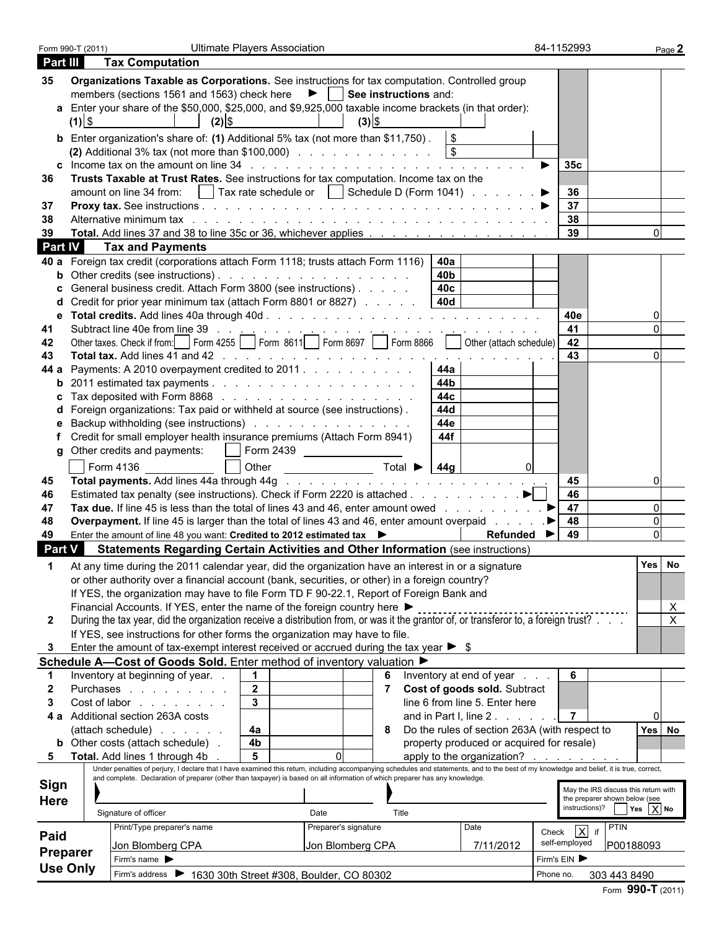| Form 990-T (2011) |          |                                                                                                                                                                                                                                                                                                                           | <b>Ultimate Players Association</b> |                      |                                                       | 84-1152993           |                                      |
|-------------------|----------|---------------------------------------------------------------------------------------------------------------------------------------------------------------------------------------------------------------------------------------------------------------------------------------------------------------------------|-------------------------------------|----------------------|-------------------------------------------------------|----------------------|--------------------------------------|
| Part III          |          | <b>Tax Computation</b>                                                                                                                                                                                                                                                                                                    |                                     |                      |                                                       |                      |                                      |
|                   |          |                                                                                                                                                                                                                                                                                                                           |                                     |                      |                                                       |                      |                                      |
| 35                |          | Organizations Taxable as Corporations. See instructions for tax computation. Controlled group                                                                                                                                                                                                                             |                                     |                      |                                                       |                      |                                      |
|                   |          | members (sections 1561 and 1563) check here $\blacktriangleright$   See instructions and:                                                                                                                                                                                                                                 |                                     |                      |                                                       |                      |                                      |
|                   |          | a Enter your share of the \$50,000, \$25,000, and \$9,925,000 taxable income brackets (in that order):                                                                                                                                                                                                                    |                                     |                      |                                                       |                      |                                      |
|                   | $(1)$ \$ | $(2)$ \$                                                                                                                                                                                                                                                                                                                  |                                     | $(3)$ \$             |                                                       |                      |                                      |
|                   |          | <b>b</b> Enter organization's share of: (1) Additional 5% tax (not more than \$11,750). $\sqrt{\$}$                                                                                                                                                                                                                       |                                     |                      |                                                       |                      |                                      |
|                   |          | (2) Additional 3% tax (not more than \$100,000) $\ldots$ $\ldots$ $\ldots$ $\ldots$ $\ldots$ $\qquad$                                                                                                                                                                                                                     |                                     |                      |                                                       |                      |                                      |
|                   |          | c Income tax on the amount on line $34$ by $34$ by $34$ by $34$ by $34$ by $34$ by $34$ by $34$ by $34$ by $34$ by $34$ by $34$ by $34$                                                                                                                                                                                   |                                     |                      |                                                       | 35c                  |                                      |
| 36                |          | Trusts Taxable at Trust Rates. See instructions for tax computation. Income tax on the                                                                                                                                                                                                                                    |                                     |                      |                                                       |                      |                                      |
|                   |          |                                                                                                                                                                                                                                                                                                                           |                                     |                      |                                                       | 36                   |                                      |
| -37               |          |                                                                                                                                                                                                                                                                                                                           |                                     |                      |                                                       | 37                   |                                      |
| 38                |          | Alternative minimum tax response to a series and contact the contact of the contact of the contact of the contact of the contact of the contact of the contact of the contact of the contact of the contact of the contact of                                                                                             |                                     |                      |                                                       | $\vert$ 38           |                                      |
| 39                |          |                                                                                                                                                                                                                                                                                                                           |                                     |                      |                                                       | 39                   |                                      |
| <b>Part IV</b>    |          | <b>Tax and Payments</b>                                                                                                                                                                                                                                                                                                   |                                     |                      |                                                       |                      |                                      |
|                   |          | 40 a Foreign tax credit (corporations attach Form 1118; trusts attach Form 1116)   40a                                                                                                                                                                                                                                    |                                     |                      |                                                       |                      |                                      |
|                   |          |                                                                                                                                                                                                                                                                                                                           |                                     |                      | 40 <b>b</b>                                           |                      |                                      |
|                   |          | General business credit. Attach Form 3800 (see instructions)                                                                                                                                                                                                                                                              |                                     |                      | 40c                                                   |                      |                                      |
|                   |          | Credit for prior year minimum tax (attach Form 8801 or 8827)                                                                                                                                                                                                                                                              |                                     |                      | 40d                                                   |                      |                                      |
| е                 |          |                                                                                                                                                                                                                                                                                                                           |                                     |                      |                                                       | 40e                  |                                      |
| 41                |          |                                                                                                                                                                                                                                                                                                                           |                                     |                      |                                                       |                      |                                      |
|                   |          |                                                                                                                                                                                                                                                                                                                           |                                     |                      |                                                       |                      |                                      |
| 42<br>43          |          |                                                                                                                                                                                                                                                                                                                           |                                     |                      |                                                       | 43                   |                                      |
|                   |          |                                                                                                                                                                                                                                                                                                                           |                                     |                      |                                                       |                      |                                      |
|                   |          | 44 a Payments: A 2010 overpayment credited to 2011                                                                                                                                                                                                                                                                        |                                     |                      | 44a<br>44b                                            |                      |                                      |
|                   |          | <b>b</b> 2011 estimated tax payments $\ldots$ $\ldots$ $\ldots$ $\ldots$ $\ldots$ $\ldots$ $\ldots$                                                                                                                                                                                                                       |                                     |                      |                                                       |                      |                                      |
|                   |          | <b>c</b> Tax deposited with Form 8868 $\ldots$ $\ldots$ $\ldots$ $\ldots$ $\ldots$ $\ldots$ $\ldots$                                                                                                                                                                                                                      |                                     |                      | 44c                                                   |                      |                                      |
|                   |          | d Foreign organizations: Tax paid or withheld at source (see instructions).                                                                                                                                                                                                                                               |                                     |                      | 44d                                                   |                      |                                      |
|                   |          | Backup withholding (see instructions)                                                                                                                                                                                                                                                                                     |                                     |                      | 44e                                                   |                      |                                      |
|                   |          | f Credit for small employer health insurance premiums (Attach Form 8941)                                                                                                                                                                                                                                                  |                                     |                      | 44f                                                   |                      |                                      |
|                   |          | g Other credits and payments: $\vert \ \vert$ Form 2439                                                                                                                                                                                                                                                                   |                                     |                      |                                                       |                      |                                      |
|                   |          | Form 4136                                                                                                                                                                                                                                                                                                                 |                                     |                      |                                                       |                      |                                      |
| 45                |          |                                                                                                                                                                                                                                                                                                                           |                                     |                      |                                                       | 45                   |                                      |
| 46                |          | Estimated tax penalty (see instructions). Check if Form 2220 is attached $\blacktriangleright$                                                                                                                                                                                                                            |                                     |                      |                                                       | 46                   |                                      |
| 47                |          | Tax due. If line 45 is less than the total of lines 43 and 46, enter amount owed $\ldots$                                                                                                                                                                                                                                 |                                     |                      |                                                       | 47                   |                                      |
| 48                |          | <b>Overpayment.</b> If line 45 is larger than the total of lines 43 and 46, enter amount overpaid                                                                                                                                                                                                                         |                                     |                      |                                                       | 48<br>▁▶∣            |                                      |
| 49                |          | Enter the amount of line 48 you want: Credited to 2012 estimated tax                                                                                                                                                                                                                                                      |                                     |                      | Refunded $\blacktriangleright$                        | 49                   |                                      |
| Part V            |          | <b>Statements Regarding Certain Activities and Other Information (see instructions)</b>                                                                                                                                                                                                                                   |                                     |                      |                                                       |                      |                                      |
|                   |          |                                                                                                                                                                                                                                                                                                                           |                                     |                      |                                                       |                      |                                      |
|                   |          | At any time during the 2011 calendar year, did the organization have an interest in or a signature                                                                                                                                                                                                                        |                                     |                      |                                                       |                      | Yes No                               |
|                   |          | or other authority over a financial account (bank, securities, or other) in a foreign country?                                                                                                                                                                                                                            |                                     |                      |                                                       |                      |                                      |
|                   |          | If YES, the organization may have to file Form TD F 90-22.1, Report of Foreign Bank and                                                                                                                                                                                                                                   |                                     |                      |                                                       |                      |                                      |
|                   |          | Financial Accounts. If YES, enter the name of the foreign country here ▶                                                                                                                                                                                                                                                  |                                     |                      |                                                       |                      | X                                    |
| $\mathbf{2}$      |          | During the tax year, did the organization receive a distribution from, or was it the grantor of, or transferor to, a foreign trust?                                                                                                                                                                                       |                                     |                      |                                                       |                      | $\sf X$                              |
|                   |          | If YES, see instructions for other forms the organization may have to file.                                                                                                                                                                                                                                               |                                     |                      |                                                       |                      |                                      |
|                   |          | Enter the amount of tax-exempt interest received or accrued during the tax year $\triangleright$ \$                                                                                                                                                                                                                       |                                     |                      |                                                       |                      |                                      |
|                   |          | Schedule A-Cost of Goods Sold. Enter method of inventory valuation ▶                                                                                                                                                                                                                                                      |                                     |                      |                                                       |                      |                                      |
|                   |          | Inventory at beginning of year                                                                                                                                                                                                                                                                                            | $\mathbf{1}$                        |                      | 6 Inventory at end of year                            | 6                    |                                      |
|                   |          | Purchases                                                                                                                                                                                                                                                                                                                 | $\overline{2}$                      |                      | Cost of goods sold. Subtract                          |                      |                                      |
|                   |          | Cost of labor                                                                                                                                                                                                                                                                                                             | $\mathbf{3}$                        |                      | line 6 from line 5. Enter here                        |                      |                                      |
|                   |          | 4 a Additional section 263A costs                                                                                                                                                                                                                                                                                         |                                     |                      | and in Part I, line 2.                                | $\overline{7}$       |                                      |
|                   |          |                                                                                                                                                                                                                                                                                                                           |                                     |                      |                                                       |                      |                                      |
|                   |          | (attach schedule)                                                                                                                                                                                                                                                                                                         | 4a                                  |                      | 8 Do the rules of section 263A (with respect to       |                      | Yes No                               |
|                   |          | <b>b</b> Other costs (attach schedule).                                                                                                                                                                                                                                                                                   | 4 <sub>b</sub>                      |                      | property produced or acquired for resale)             |                      |                                      |
|                   |          | 5 Total. Add lines 1 through 4b                                                                                                                                                                                                                                                                                           | 5                                   |                      | apply to the organization? $\ldots$ $\ldots$ $\ldots$ |                      |                                      |
|                   |          | Under penalties of perjury, I declare that I have examined this return, including accompanying schedules and statements, and to the best of my knowledge and belief, it is true, correct,<br>and complete. Declaration of preparer (other than taxpayer) is based on all information of which preparer has any knowledge. |                                     |                      |                                                       |                      |                                      |
| Sign              |          |                                                                                                                                                                                                                                                                                                                           |                                     |                      |                                                       |                      | May the IRS discuss this return with |
| <b>Here</b>       |          |                                                                                                                                                                                                                                                                                                                           |                                     |                      |                                                       |                      | the preparer shown below (see        |
|                   |          | Signature of officer                                                                                                                                                                                                                                                                                                      | Date                                | Title                |                                                       |                      | instructions)? $Yes$ $X$ No          |
|                   |          | Print/Type preparer's name                                                                                                                                                                                                                                                                                                |                                     | Preparer's signature | Date                                                  | Check $\overline{X}$ | PTIN                                 |
| Paid              |          |                                                                                                                                                                                                                                                                                                                           |                                     |                      |                                                       | self-employed        |                                      |
| <b>Preparer</b>   |          | Jon Blomberg CPA                                                                                                                                                                                                                                                                                                          |                                     | Jon Blomberg CPA     | 7/11/2012                                             |                      | P00188093                            |
| <b>Use Only</b>   |          | Firm's name $\blacktriangleright$                                                                                                                                                                                                                                                                                         |                                     |                      |                                                       | Firm's EIN           |                                      |
|                   |          | Firm's address > 1630 30th Street #308, Boulder, CO 80302                                                                                                                                                                                                                                                                 |                                     |                      |                                                       | Phone no.            | 303 443 8490                         |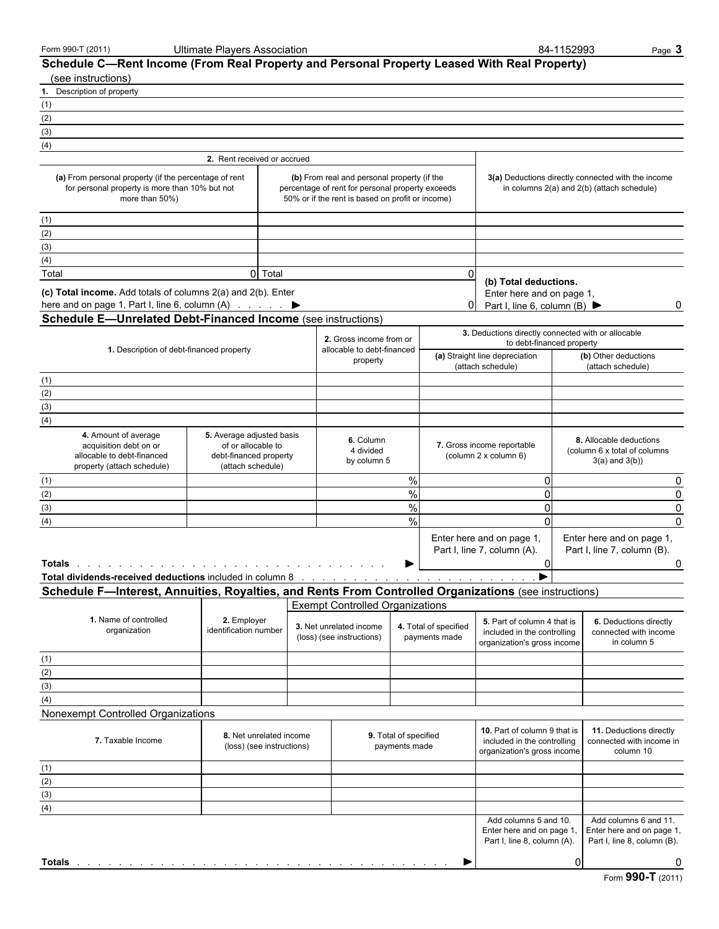|  | Form 990-T (2011) |  |  |
|--|-------------------|--|--|
|--|-------------------|--|--|

Form 990-T (2011) Ultimate Players Association 84-1152993 Page 3

| Schedule C—Rent Income (From Real Property and Personal Property Leased With Real Property)<br>(see instructions)                                                                                                             |                                                                                                |                                                                                                                                                     |                                        |                                        |                                                                                                        |              |                                                                                                  |          |
|-------------------------------------------------------------------------------------------------------------------------------------------------------------------------------------------------------------------------------|------------------------------------------------------------------------------------------------|-----------------------------------------------------------------------------------------------------------------------------------------------------|----------------------------------------|----------------------------------------|--------------------------------------------------------------------------------------------------------|--------------|--------------------------------------------------------------------------------------------------|----------|
| 1. Description of property                                                                                                                                                                                                    |                                                                                                |                                                                                                                                                     |                                        |                                        |                                                                                                        |              |                                                                                                  |          |
| (1)                                                                                                                                                                                                                           |                                                                                                |                                                                                                                                                     |                                        |                                        |                                                                                                        |              |                                                                                                  |          |
| (2)                                                                                                                                                                                                                           |                                                                                                |                                                                                                                                                     |                                        |                                        |                                                                                                        |              |                                                                                                  |          |
| (3)                                                                                                                                                                                                                           |                                                                                                |                                                                                                                                                     |                                        |                                        |                                                                                                        |              |                                                                                                  |          |
| (4)                                                                                                                                                                                                                           |                                                                                                |                                                                                                                                                     |                                        |                                        |                                                                                                        |              |                                                                                                  |          |
|                                                                                                                                                                                                                               | 2. Rent received or accrued                                                                    |                                                                                                                                                     |                                        |                                        |                                                                                                        |              |                                                                                                  |          |
| (a) From personal property (if the percentage of rent<br>for personal property is more than 10% but not<br>more than 50%)                                                                                                     |                                                                                                | (b) From real and personal property (if the<br>percentage of rent for personal property exceeds<br>50% or if the rent is based on profit or income) |                                        |                                        |                                                                                                        |              | 3(a) Deductions directly connected with the income<br>in columns 2(a) and 2(b) (attach schedule) |          |
| (1)                                                                                                                                                                                                                           |                                                                                                |                                                                                                                                                     |                                        |                                        |                                                                                                        |              |                                                                                                  |          |
| (2)                                                                                                                                                                                                                           |                                                                                                |                                                                                                                                                     |                                        |                                        |                                                                                                        |              |                                                                                                  |          |
| (3)                                                                                                                                                                                                                           |                                                                                                |                                                                                                                                                     |                                        |                                        |                                                                                                        |              |                                                                                                  |          |
| (4)                                                                                                                                                                                                                           |                                                                                                |                                                                                                                                                     |                                        |                                        |                                                                                                        |              |                                                                                                  |          |
| Total                                                                                                                                                                                                                         | 0 Total                                                                                        |                                                                                                                                                     |                                        | 0                                      |                                                                                                        |              |                                                                                                  |          |
| (c) Total income. Add totals of columns 2(a) and 2(b). Enter<br>here and on page 1, Part I, line 6, column (A) ▶<br><b>Schedule E-Unrelated Debt-Financed Income (see instructions)</b>                                       |                                                                                                |                                                                                                                                                     |                                        | 0                                      | (b) Total deductions.<br>Enter here and on page 1,<br>Part I, line 6, column (B) $\blacktriangleright$ |              |                                                                                                  | 0        |
|                                                                                                                                                                                                                               |                                                                                                | 2. Gross income from or<br>allocable to debt-financed                                                                                               |                                        |                                        | 3. Deductions directly connected with or allocable<br>to debt-financed property                        |              |                                                                                                  |          |
| 1. Description of debt-financed property                                                                                                                                                                                      |                                                                                                | property                                                                                                                                            |                                        |                                        | (a) Straight line depreciation<br>(attach schedule)                                                    |              | (b) Other deductions<br>(attach schedule)                                                        |          |
| (1)                                                                                                                                                                                                                           |                                                                                                |                                                                                                                                                     |                                        |                                        |                                                                                                        |              |                                                                                                  |          |
| (2)                                                                                                                                                                                                                           |                                                                                                |                                                                                                                                                     |                                        |                                        |                                                                                                        |              |                                                                                                  |          |
| (3)                                                                                                                                                                                                                           |                                                                                                |                                                                                                                                                     |                                        |                                        |                                                                                                        |              |                                                                                                  |          |
| (4)                                                                                                                                                                                                                           |                                                                                                |                                                                                                                                                     |                                        |                                        |                                                                                                        |              |                                                                                                  |          |
| 4. Amount of average<br>acquisition debt on or<br>allocable to debt-financed<br>property (attach schedule)                                                                                                                    | 5. Average adjusted basis<br>of or allocable to<br>debt-financed property<br>(attach schedule) | 6. Column<br>4 divided<br>by column 5                                                                                                               |                                        |                                        | 7. Gross income reportable<br>(column 2 x column 6)                                                    |              | 8. Allocable deductions<br>(column 6 x total of columns)<br>$3(a)$ and $3(b)$ )                  |          |
| (1)                                                                                                                                                                                                                           |                                                                                                |                                                                                                                                                     | $\%$                                   |                                        | 0                                                                                                      |              |                                                                                                  | 0        |
| (2)                                                                                                                                                                                                                           |                                                                                                |                                                                                                                                                     | $\%$                                   |                                        | $\Omega$                                                                                               |              |                                                                                                  | 0        |
| (3)                                                                                                                                                                                                                           |                                                                                                |                                                                                                                                                     | $\%$                                   |                                        | 0                                                                                                      |              |                                                                                                  | 0        |
| (4)                                                                                                                                                                                                                           |                                                                                                |                                                                                                                                                     | $\frac{0}{0}$                          |                                        | $\mathbf 0$                                                                                            |              |                                                                                                  | $\Omega$ |
| Totals                                                                                                                                                                                                                        |                                                                                                |                                                                                                                                                     |                                        |                                        | Enter here and on page 1,<br>Part I, line 7, column (A).<br>0                                          |              | Enter here and on page 1,<br>Part I, line 7, column (B).                                         | 0        |
| Total dividends-received deductions included in column 8 and a substitution of the state of the state of the state of the state of the state of the state of the state of the state of the state of the state of the state of |                                                                                                |                                                                                                                                                     |                                        |                                        |                                                                                                        |              |                                                                                                  |          |
| Schedule F-Interest, Annuities, Royalties, and Rents From Controlled Organizations (see instructions)                                                                                                                         |                                                                                                |                                                                                                                                                     |                                        |                                        |                                                                                                        |              |                                                                                                  |          |
|                                                                                                                                                                                                                               |                                                                                                | <b>Exempt Controlled Organizations</b>                                                                                                              |                                        |                                        |                                                                                                        |              |                                                                                                  |          |
| 1. Name of controlled<br>organization                                                                                                                                                                                         | 2. Employer<br>identification number                                                           | 3. Net unrelated income<br>(loss) (see instructions)                                                                                                |                                        | 4. Total of specified<br>payments made | 5. Part of column 4 that is<br>included in the controlling<br>organization's gross income              |              | 6. Deductions directly<br>connected with income<br>in column 5                                   |          |
| (1)                                                                                                                                                                                                                           |                                                                                                |                                                                                                                                                     |                                        |                                        |                                                                                                        |              |                                                                                                  |          |
| (2)                                                                                                                                                                                                                           |                                                                                                |                                                                                                                                                     |                                        |                                        |                                                                                                        |              |                                                                                                  |          |
| (3)                                                                                                                                                                                                                           |                                                                                                |                                                                                                                                                     |                                        |                                        |                                                                                                        |              |                                                                                                  |          |
| (4)                                                                                                                                                                                                                           |                                                                                                |                                                                                                                                                     |                                        |                                        |                                                                                                        |              |                                                                                                  |          |
| Nonexempt Controlled Organizations                                                                                                                                                                                            |                                                                                                |                                                                                                                                                     |                                        |                                        |                                                                                                        |              |                                                                                                  |          |
| 7. Taxable Income                                                                                                                                                                                                             | 8. Net unrelated income<br>(loss) (see instructions)                                           |                                                                                                                                                     | 9. Total of specified<br>payments made |                                        | 10. Part of column 9 that is<br>included in the controlling<br>organization's gross income             |              | 11. Deductions directly<br>connected with income in<br>column 10                                 |          |
| (1)                                                                                                                                                                                                                           |                                                                                                |                                                                                                                                                     |                                        |                                        |                                                                                                        |              |                                                                                                  |          |
| (2)                                                                                                                                                                                                                           |                                                                                                |                                                                                                                                                     |                                        |                                        |                                                                                                        |              |                                                                                                  |          |
| (3)                                                                                                                                                                                                                           |                                                                                                |                                                                                                                                                     |                                        |                                        |                                                                                                        |              |                                                                                                  |          |
| (4)                                                                                                                                                                                                                           |                                                                                                |                                                                                                                                                     |                                        |                                        |                                                                                                        |              |                                                                                                  |          |
|                                                                                                                                                                                                                               |                                                                                                |                                                                                                                                                     |                                        |                                        | Add columns 5 and 10.<br>Enter here and on page 1,<br>Part I, line 8, column (A).                      |              | Add columns 6 and 11.<br>Enter here and on page 1,<br>Part I, line 8, column (B).                |          |
| <b>Totals</b>                                                                                                                                                                                                                 |                                                                                                |                                                                                                                                                     |                                        |                                        |                                                                                                        | <sub>0</sub> |                                                                                                  | 0        |
|                                                                                                                                                                                                                               |                                                                                                |                                                                                                                                                     |                                        |                                        |                                                                                                        |              |                                                                                                  |          |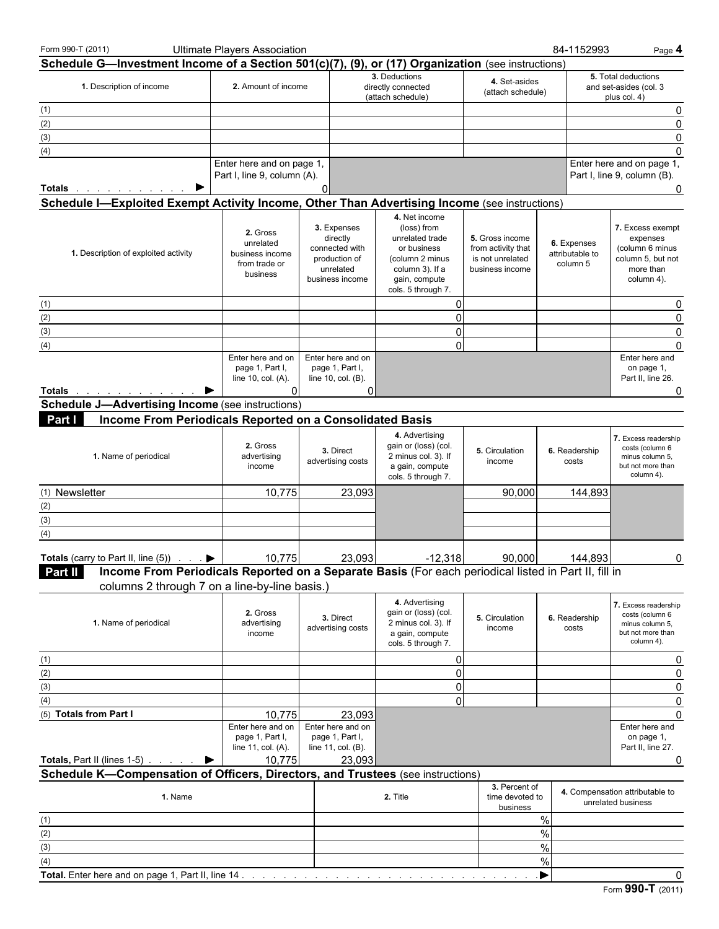| Form 990-T (2011)                                                                                                                                                                                                             | <b>Ultimate Players Association</b>                                       |                                                                                            |                                                                                                                                             |                                                                              | 84-1152993                                 | Page 4                                                                                          |
|-------------------------------------------------------------------------------------------------------------------------------------------------------------------------------------------------------------------------------|---------------------------------------------------------------------------|--------------------------------------------------------------------------------------------|---------------------------------------------------------------------------------------------------------------------------------------------|------------------------------------------------------------------------------|--------------------------------------------|-------------------------------------------------------------------------------------------------|
| Schedule G-Investment Income of a Section 501(c)(7), (9), or (17) Organization (see instructions)                                                                                                                             |                                                                           |                                                                                            |                                                                                                                                             |                                                                              |                                            |                                                                                                 |
| 1. Description of income                                                                                                                                                                                                      | 2. Amount of income                                                       |                                                                                            | 3. Deductions<br>directly connected<br>(attach schedule)                                                                                    | 4. Set-asides<br>(attach schedule)                                           |                                            | 5. Total deductions<br>and set-asides (col. 3<br>plus col. 4)                                   |
| (1)                                                                                                                                                                                                                           |                                                                           |                                                                                            |                                                                                                                                             |                                                                              |                                            | 0                                                                                               |
| (2)                                                                                                                                                                                                                           |                                                                           |                                                                                            |                                                                                                                                             |                                                                              |                                            | $\mathbf{0}$                                                                                    |
| (3)                                                                                                                                                                                                                           |                                                                           |                                                                                            |                                                                                                                                             |                                                                              |                                            | $\mathbf{0}$                                                                                    |
| (4)                                                                                                                                                                                                                           |                                                                           |                                                                                            |                                                                                                                                             |                                                                              |                                            | $\mathbf{0}$                                                                                    |
|                                                                                                                                                                                                                               | Enter here and on page 1,                                                 |                                                                                            |                                                                                                                                             |                                                                              |                                            | Enter here and on page 1,                                                                       |
|                                                                                                                                                                                                                               | Part I, line 9, column (A).                                               |                                                                                            |                                                                                                                                             |                                                                              |                                            | Part I, line 9, column (B).                                                                     |
| ▶<br><b>Totals</b>                                                                                                                                                                                                            |                                                                           | 0                                                                                          |                                                                                                                                             |                                                                              |                                            | 0                                                                                               |
| Schedule I-Exploited Exempt Activity Income, Other Than Advertising Income (see instructions)                                                                                                                                 |                                                                           |                                                                                            |                                                                                                                                             |                                                                              |                                            |                                                                                                 |
| 1. Description of exploited activity                                                                                                                                                                                          | 2. Gross<br>unrelated<br>business income<br>from trade or<br>business     | 3. Expenses<br>directly<br>connected with<br>production of<br>unrelated<br>business income | 4. Net income<br>(loss) from<br>unrelated trade<br>or business<br>(column 2 minus<br>column 3). If a<br>gain, compute<br>cols. 5 through 7. | 5. Gross income<br>from activity that<br>is not unrelated<br>business income | 6. Expenses<br>attributable to<br>column 5 | 7. Excess exempt<br>expenses<br>(column 6 minus<br>column 5, but not<br>more than<br>column 4). |
| (1)                                                                                                                                                                                                                           |                                                                           |                                                                                            | 0                                                                                                                                           |                                                                              |                                            | 0                                                                                               |
| (2)                                                                                                                                                                                                                           |                                                                           |                                                                                            | 0                                                                                                                                           |                                                                              |                                            | $\mathbf{0}$                                                                                    |
| (3)                                                                                                                                                                                                                           |                                                                           |                                                                                            | $\overline{0}$                                                                                                                              |                                                                              |                                            | $\mathbf{0}$                                                                                    |
| (4)                                                                                                                                                                                                                           |                                                                           |                                                                                            | $\overline{0}$                                                                                                                              |                                                                              |                                            | $\Omega$                                                                                        |
| Totals and the second service of the service of the service of the service of the series of the series of the series of the series of the series of the series of the series of the series of the series of the series of the | Enter here and on<br>page 1, Part I,<br>line 10, col. (A).<br>$\Omega$    | Enter here and on<br>page 1, Part I,<br>line 10, col. (B).<br>0                            |                                                                                                                                             |                                                                              |                                            | Enter here and<br>on page 1,<br>Part II, line 26.<br>0                                          |
| <b>Schedule J-Advertising Income (see instructions)</b>                                                                                                                                                                       |                                                                           |                                                                                            |                                                                                                                                             |                                                                              |                                            |                                                                                                 |
| Income From Periodicals Reported on a Consolidated Basis<br>Part I                                                                                                                                                            |                                                                           |                                                                                            |                                                                                                                                             |                                                                              |                                            |                                                                                                 |
| 1. Name of periodical                                                                                                                                                                                                         | 2. Gross<br>advertising<br>income                                         | 3. Direct<br>advertising costs                                                             | 4. Advertising<br>gain or (loss) (col.<br>2 minus col. 3). If<br>a gain, compute<br>cols. 5 through 7.                                      | 5. Circulation<br>income                                                     | 6. Readership<br>costs                     | 7. Excess readership<br>costs (column 6<br>minus column 5,<br>but not more than<br>column 4).   |
| (1) Newsletter                                                                                                                                                                                                                | 10,775                                                                    | 23,093                                                                                     |                                                                                                                                             | 90,000                                                                       | 144,893                                    |                                                                                                 |
| (2)                                                                                                                                                                                                                           |                                                                           |                                                                                            |                                                                                                                                             |                                                                              |                                            |                                                                                                 |
| (3)                                                                                                                                                                                                                           |                                                                           |                                                                                            |                                                                                                                                             |                                                                              |                                            |                                                                                                 |
| (4)                                                                                                                                                                                                                           |                                                                           |                                                                                            |                                                                                                                                             |                                                                              |                                            |                                                                                                 |
| <b>Totals</b> (carry to Part II, line (5)) $\ldots$<br>Income From Periodicals Reported on a Separate Basis (For each periodical listed in Part II, fill in<br><b>Part II</b>                                                 | 10,775                                                                    | 23,093                                                                                     | $-12,318$                                                                                                                                   | 90,000                                                                       | 144,893                                    | 0                                                                                               |
| columns 2 through 7 on a line-by-line basis.)                                                                                                                                                                                 |                                                                           |                                                                                            |                                                                                                                                             |                                                                              |                                            |                                                                                                 |
| 1. Name of periodical                                                                                                                                                                                                         | 2. Gross<br>advertising<br>income                                         | 3. Direct<br>advertising costs                                                             | 4. Advertising<br>gain or (loss) (col.<br>2 minus col. 3). If<br>a gain, compute<br>cols. 5 through 7.                                      | 5. Circulation<br>income                                                     | 6. Readership<br>costs                     | 7. Excess readership<br>costs (column 6<br>minus column 5,<br>but not more than<br>column 4).   |
| (1)                                                                                                                                                                                                                           |                                                                           |                                                                                            | $\overline{0}$                                                                                                                              |                                                                              |                                            | 0                                                                                               |
| (2)                                                                                                                                                                                                                           |                                                                           |                                                                                            | 0                                                                                                                                           |                                                                              |                                            |                                                                                                 |
| (3)                                                                                                                                                                                                                           |                                                                           |                                                                                            | $\overline{0}$                                                                                                                              |                                                                              |                                            | 0                                                                                               |
| (4)                                                                                                                                                                                                                           |                                                                           |                                                                                            | $\overline{0}$                                                                                                                              |                                                                              |                                            | 0                                                                                               |
| (5) Totals from Part I                                                                                                                                                                                                        | 10,775                                                                    | 23,093                                                                                     |                                                                                                                                             |                                                                              |                                            | $\Omega$                                                                                        |
| <b>Totals, Part II (lines 1-5)</b>                                                                                                                                                                                            | Enter here and on<br>page 1, Part I,<br>line 11, col. (A).<br>10,775<br>▶ | Enter here and on<br>page 1, Part I,<br>line 11, col. (B).<br>23,093                       |                                                                                                                                             |                                                                              |                                            | Enter here and<br>on page 1,<br>Part II, line 27.<br>0                                          |
| Schedule K-Compensation of Officers, Directors, and Trustees (see instructions)                                                                                                                                               |                                                                           |                                                                                            |                                                                                                                                             |                                                                              |                                            |                                                                                                 |
| 1. Name                                                                                                                                                                                                                       |                                                                           |                                                                                            | 2. Title                                                                                                                                    | 3. Percent of<br>time devoted to<br>business                                 |                                            | 4. Compensation attributable to<br>unrelated business                                           |
| (1)                                                                                                                                                                                                                           |                                                                           |                                                                                            |                                                                                                                                             |                                                                              | $\%$                                       |                                                                                                 |
| (2)                                                                                                                                                                                                                           |                                                                           |                                                                                            |                                                                                                                                             |                                                                              | $\%$                                       |                                                                                                 |
| (3)                                                                                                                                                                                                                           |                                                                           |                                                                                            |                                                                                                                                             |                                                                              | $\%$                                       |                                                                                                 |
| (4)                                                                                                                                                                                                                           |                                                                           |                                                                                            |                                                                                                                                             |                                                                              | $\%$                                       |                                                                                                 |
| Total. Enter here and on page 1, Part II, line 14                                                                                                                                                                             |                                                                           |                                                                                            |                                                                                                                                             |                                                                              | ▸                                          | 0                                                                                               |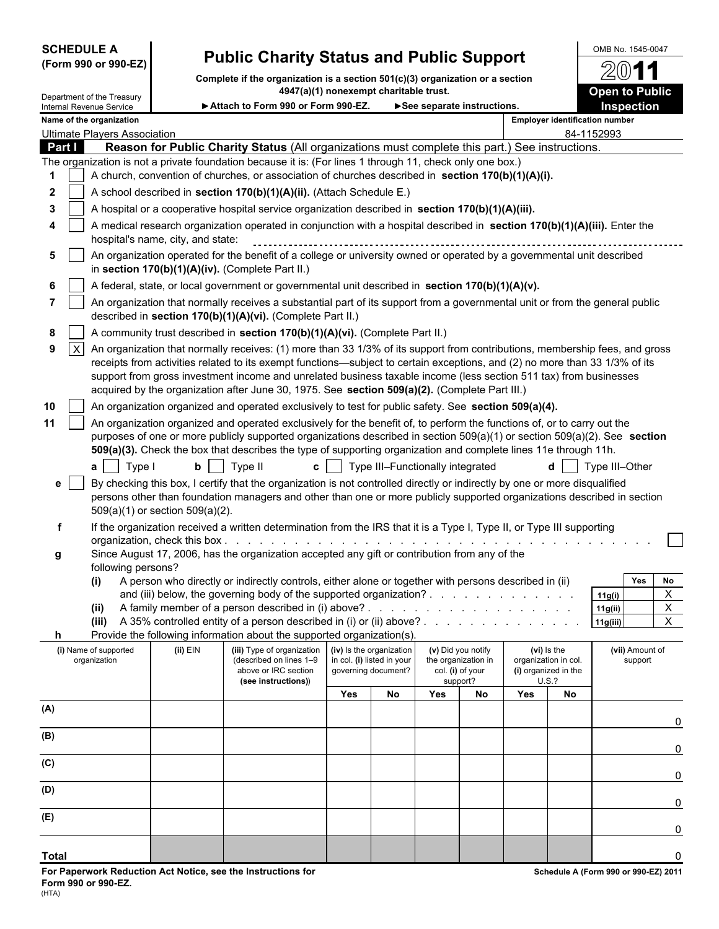# **SCHEDULE A** OMB No. 1545-0047 **(Form 990 or 990-EZ) Public Charity Status and Public Support**

**Complete if the organization is a section 501(c)(3) organization or a section**

|                   | Department of the Treasury          |                                   | 4947(a)(1) nonexempt charitable trust.                                                                                                                                                                                                                                                                                                                                             |     |                                  |                                                                                                                                                                                                                                |                              |                                       |                                      | <b>Open to Public</b>                 |
|-------------------|-------------------------------------|-----------------------------------|------------------------------------------------------------------------------------------------------------------------------------------------------------------------------------------------------------------------------------------------------------------------------------------------------------------------------------------------------------------------------------|-----|----------------------------------|--------------------------------------------------------------------------------------------------------------------------------------------------------------------------------------------------------------------------------|------------------------------|---------------------------------------|--------------------------------------|---------------------------------------|
|                   | Internal Revenue Service            |                                   | Attach to Form 990 or Form 990-EZ.                                                                                                                                                                                                                                                                                                                                                 |     |                                  | See separate instructions.                                                                                                                                                                                                     |                              |                                       |                                      | <b>Inspection</b>                     |
|                   | Name of the organization            |                                   |                                                                                                                                                                                                                                                                                                                                                                                    |     |                                  |                                                                                                                                                                                                                                |                              |                                       |                                      | <b>Employer identification number</b> |
|                   | <b>Ultimate Players Association</b> |                                   |                                                                                                                                                                                                                                                                                                                                                                                    |     |                                  |                                                                                                                                                                                                                                |                              |                                       |                                      | 84-1152993                            |
| Part I            |                                     |                                   | Reason for Public Charity Status (All organizations must complete this part.) See instructions.<br>The organization is not a private foundation because it is: (For lines 1 through 11, check only one box.)                                                                                                                                                                       |     |                                  |                                                                                                                                                                                                                                |                              |                                       |                                      |                                       |
| 1                 |                                     |                                   | A church, convention of churches, or association of churches described in section 170(b)(1)(A)(i).                                                                                                                                                                                                                                                                                 |     |                                  |                                                                                                                                                                                                                                |                              |                                       |                                      |                                       |
| $\mathbf{2}$      |                                     |                                   | A school described in section 170(b)(1)(A)(ii). (Attach Schedule E.)                                                                                                                                                                                                                                                                                                               |     |                                  |                                                                                                                                                                                                                                |                              |                                       |                                      |                                       |
| 3                 |                                     |                                   | A hospital or a cooperative hospital service organization described in section 170(b)(1)(A)(iii).                                                                                                                                                                                                                                                                                  |     |                                  |                                                                                                                                                                                                                                |                              |                                       |                                      |                                       |
|                   |                                     |                                   |                                                                                                                                                                                                                                                                                                                                                                                    |     |                                  |                                                                                                                                                                                                                                |                              |                                       |                                      |                                       |
|                   |                                     | hospital's name, city, and state: | A medical research organization operated in conjunction with a hospital described in section 170(b)(1)(A)(iii). Enter the                                                                                                                                                                                                                                                          |     |                                  |                                                                                                                                                                                                                                |                              |                                       |                                      |                                       |
| 5                 |                                     |                                   | An organization operated for the benefit of a college or university owned or operated by a governmental unit described<br>in section 170(b)(1)(A)(iv). (Complete Part II.)                                                                                                                                                                                                         |     |                                  |                                                                                                                                                                                                                                |                              |                                       |                                      |                                       |
| 6                 |                                     |                                   | A federal, state, or local government or governmental unit described in section 170(b)(1)(A)(v).                                                                                                                                                                                                                                                                                   |     |                                  |                                                                                                                                                                                                                                |                              |                                       |                                      |                                       |
|                   |                                     |                                   | An organization that normally receives a substantial part of its support from a governmental unit or from the general public<br>described in section 170(b)(1)(A)(vi). (Complete Part II.)                                                                                                                                                                                         |     |                                  |                                                                                                                                                                                                                                |                              |                                       |                                      |                                       |
| 8                 |                                     |                                   | A community trust described in section 170(b)(1)(A)(vi). (Complete Part II.)                                                                                                                                                                                                                                                                                                       |     |                                  |                                                                                                                                                                                                                                |                              |                                       |                                      |                                       |
| $\mathsf{X}$<br>9 |                                     |                                   | An organization that normally receives: (1) more than 33 1/3% of its support from contributions, membership fees, and gross                                                                                                                                                                                                                                                        |     |                                  |                                                                                                                                                                                                                                |                              |                                       |                                      |                                       |
|                   |                                     |                                   | receipts from activities related to its exempt functions—subject to certain exceptions, and (2) no more than 33 1/3% of its<br>support from gross investment income and unrelated business taxable income (less section 511 tax) from businesses<br>acquired by the organization after June 30, 1975. See section 509(a)(2). (Complete Part III.)                                  |     |                                  |                                                                                                                                                                                                                                |                              |                                       |                                      |                                       |
| 10                |                                     |                                   | An organization organized and operated exclusively to test for public safety. See section 509(a)(4).                                                                                                                                                                                                                                                                               |     |                                  |                                                                                                                                                                                                                                |                              |                                       |                                      |                                       |
| 11                | Type I<br>$a \mid$                  | b <sub>1</sub>                    | An organization organized and operated exclusively for the benefit of, to perform the functions of, or to carry out the<br>purposes of one or more publicly supported organizations described in section 509(a)(1) or section 509(a)(2). See section<br>509(a)(3). Check the box that describes the type of supporting organization and complete lines 11e through 11h.<br>Type II |     | Type III-Functionally integrated |                                                                                                                                                                                                                                |                              |                                       |                                      | Type III-Other                        |
| e                 |                                     | 509(a)(1) or section 509(a)(2).   | By checking this box, I certify that the organization is not controlled directly or indirectly by one or more disqualified<br>persons other than foundation managers and other than one or more publicly supported organizations described in section                                                                                                                              |     |                                  |                                                                                                                                                                                                                                |                              |                                       |                                      |                                       |
| f                 |                                     |                                   | If the organization received a written determination from the IRS that it is a Type I, Type II, or Type III supporting                                                                                                                                                                                                                                                             |     |                                  |                                                                                                                                                                                                                                |                              |                                       |                                      |                                       |
|                   |                                     | organization, check this box      | and the state of the state of the state of the state of the state of the state of the state of the state of the                                                                                                                                                                                                                                                                    |     |                                  |                                                                                                                                                                                                                                |                              |                                       |                                      |                                       |
| g                 |                                     |                                   | Since August 17, 2006, has the organization accepted any gift or contribution from any of the                                                                                                                                                                                                                                                                                      |     |                                  |                                                                                                                                                                                                                                |                              |                                       |                                      |                                       |
|                   | following persons?                  |                                   |                                                                                                                                                                                                                                                                                                                                                                                    |     |                                  |                                                                                                                                                                                                                                |                              |                                       |                                      |                                       |
|                   | $\mathbf{u}$                        |                                   | A person who directly or indirectly controls, either alone or together with persons described in (ii)                                                                                                                                                                                                                                                                              |     |                                  |                                                                                                                                                                                                                                |                              |                                       |                                      | No<br><b>Yes</b>                      |
|                   |                                     |                                   | and (iii) below, the governing body of the supported organization?                                                                                                                                                                                                                                                                                                                 |     |                                  |                                                                                                                                                                                                                                |                              |                                       |                                      | X<br>11g(i)<br>$\mathbf{x}$           |
|                   | (ii)                                |                                   | A family member of a person described in (i) above? .<br>(iii) A 35% controlled entity of a person described in (i) or (ii) above?.                                                                                                                                                                                                                                                |     |                                  | in the second contract of the second contract of the second contract of the second contract of the second contract of the second contract of the second contract of the second contract of the second contract of the second c |                              | and the company of the company of the |                                      | 11g(ii)<br>$\overline{X}$<br>11g(iii) |
| h.                |                                     |                                   | Provide the following information about the supported organization(s).                                                                                                                                                                                                                                                                                                             |     |                                  |                                                                                                                                                                                                                                |                              |                                       |                                      |                                       |
|                   | (i) Name of supported               | $(ii)$ EIN                        | (iii) Type of organization                                                                                                                                                                                                                                                                                                                                                         |     | (iv) Is the organization         |                                                                                                                                                                                                                                | (v) Did you notify           |                                       | (vi) is the                          | (vii) Amount of                       |
|                   | organization                        |                                   | (described on lines 1-9                                                                                                                                                                                                                                                                                                                                                            |     | in col. (i) listed in your       |                                                                                                                                                                                                                                | the organization in          |                                       | organization in col.                 | support                               |
|                   |                                     |                                   | above or IRC section<br>(see instructions))                                                                                                                                                                                                                                                                                                                                        |     | governing document?              |                                                                                                                                                                                                                                | col. (i) of your<br>support? |                                       | (i) organized in the<br><b>U.S.?</b> |                                       |
|                   |                                     |                                   |                                                                                                                                                                                                                                                                                                                                                                                    | Yes | No                               | Yes                                                                                                                                                                                                                            | No                           | Yes                                   | No                                   |                                       |
| (A)               |                                     |                                   |                                                                                                                                                                                                                                                                                                                                                                                    |     |                                  |                                                                                                                                                                                                                                |                              |                                       |                                      |                                       |
|                   |                                     |                                   |                                                                                                                                                                                                                                                                                                                                                                                    |     |                                  |                                                                                                                                                                                                                                |                              |                                       |                                      | 0                                     |
| (B)               |                                     |                                   |                                                                                                                                                                                                                                                                                                                                                                                    |     |                                  |                                                                                                                                                                                                                                |                              |                                       |                                      |                                       |
|                   |                                     |                                   |                                                                                                                                                                                                                                                                                                                                                                                    |     |                                  |                                                                                                                                                                                                                                |                              |                                       |                                      | 0                                     |
| (C)               |                                     |                                   |                                                                                                                                                                                                                                                                                                                                                                                    |     |                                  |                                                                                                                                                                                                                                |                              |                                       |                                      | 0                                     |
| (D)               |                                     |                                   |                                                                                                                                                                                                                                                                                                                                                                                    |     |                                  |                                                                                                                                                                                                                                |                              |                                       |                                      | 0                                     |
| (E)               |                                     |                                   |                                                                                                                                                                                                                                                                                                                                                                                    |     |                                  |                                                                                                                                                                                                                                |                              |                                       |                                      | $\mathbf 0$                           |

**Total** 0

2011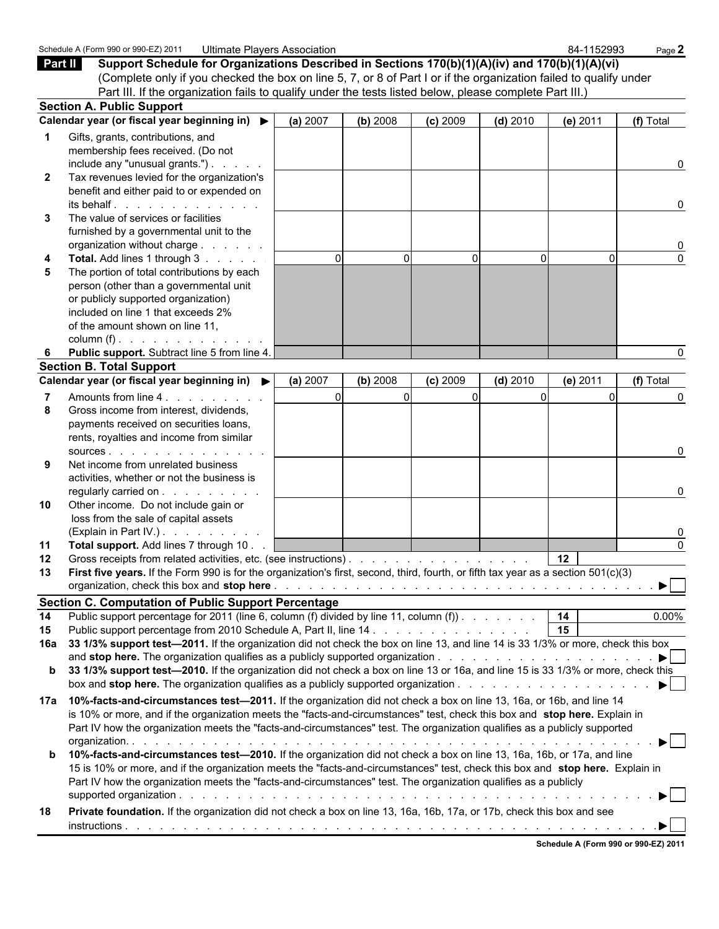| Page 2<br>Support Schedule for Organizations Described in Sections 170(b)(1)(A)(iv) and 170(b)(1)(A)(vi)<br>Part II<br>(Complete only if you checked the box on line 5, 7, or 8 of Part I or if the organization failed to qualify under<br>Part III. If the organization fails to qualify under the tests listed below, please complete Part III.)<br><b>Section A. Public Support</b><br>Calendar year (or fiscal year beginning in) ▶<br>(a) 2007<br>(b) 2008<br>$(c)$ 2009<br>(e) 2011<br>(f) Total<br>$(d)$ 2010<br>Gifts, grants, contributions, and<br>membership fees received. (Do not<br>include any "unusual grants.") $\ldots$<br>0<br>Tax revenues levied for the organization's<br>$\mathbf{2}$ |
|---------------------------------------------------------------------------------------------------------------------------------------------------------------------------------------------------------------------------------------------------------------------------------------------------------------------------------------------------------------------------------------------------------------------------------------------------------------------------------------------------------------------------------------------------------------------------------------------------------------------------------------------------------------------------------------------------------------|
|                                                                                                                                                                                                                                                                                                                                                                                                                                                                                                                                                                                                                                                                                                               |
|                                                                                                                                                                                                                                                                                                                                                                                                                                                                                                                                                                                                                                                                                                               |
|                                                                                                                                                                                                                                                                                                                                                                                                                                                                                                                                                                                                                                                                                                               |
|                                                                                                                                                                                                                                                                                                                                                                                                                                                                                                                                                                                                                                                                                                               |
|                                                                                                                                                                                                                                                                                                                                                                                                                                                                                                                                                                                                                                                                                                               |
|                                                                                                                                                                                                                                                                                                                                                                                                                                                                                                                                                                                                                                                                                                               |
|                                                                                                                                                                                                                                                                                                                                                                                                                                                                                                                                                                                                                                                                                                               |
|                                                                                                                                                                                                                                                                                                                                                                                                                                                                                                                                                                                                                                                                                                               |
|                                                                                                                                                                                                                                                                                                                                                                                                                                                                                                                                                                                                                                                                                                               |
| benefit and either paid to or expended on<br>$its$ behalf $\ldots$ $\ldots$ $\ldots$ $\ldots$ $\ldots$<br>0                                                                                                                                                                                                                                                                                                                                                                                                                                                                                                                                                                                                   |
| The value of services or facilities<br>3                                                                                                                                                                                                                                                                                                                                                                                                                                                                                                                                                                                                                                                                      |
| furnished by a governmental unit to the                                                                                                                                                                                                                                                                                                                                                                                                                                                                                                                                                                                                                                                                       |
| organization without charge<br>0                                                                                                                                                                                                                                                                                                                                                                                                                                                                                                                                                                                                                                                                              |
| $\Omega$<br>$\Omega$<br>Total. Add lines 1 through 3<br>$\Omega$<br>$\Omega$<br>$\Omega$<br><sup>n</sup>                                                                                                                                                                                                                                                                                                                                                                                                                                                                                                                                                                                                      |
| The portion of total contributions by each<br>5                                                                                                                                                                                                                                                                                                                                                                                                                                                                                                                                                                                                                                                               |
| person (other than a governmental unit                                                                                                                                                                                                                                                                                                                                                                                                                                                                                                                                                                                                                                                                        |
| or publicly supported organization)                                                                                                                                                                                                                                                                                                                                                                                                                                                                                                                                                                                                                                                                           |
| included on line 1 that exceeds 2%                                                                                                                                                                                                                                                                                                                                                                                                                                                                                                                                                                                                                                                                            |
| of the amount shown on line 11,                                                                                                                                                                                                                                                                                                                                                                                                                                                                                                                                                                                                                                                                               |
| column (f) $\ldots$ $\ldots$ $\ldots$ $\ldots$ $\ldots$                                                                                                                                                                                                                                                                                                                                                                                                                                                                                                                                                                                                                                                       |
| Public support. Subtract line 5 from line 4.                                                                                                                                                                                                                                                                                                                                                                                                                                                                                                                                                                                                                                                                  |
| <b>Section B. Total Support</b>                                                                                                                                                                                                                                                                                                                                                                                                                                                                                                                                                                                                                                                                               |
| Calendar year (or fiscal year beginning in) ▶<br>(a) 2007<br>(b) 2008<br>$(c)$ 2009<br>$(d)$ 2010<br>(e) 2011<br>(f) Total                                                                                                                                                                                                                                                                                                                                                                                                                                                                                                                                                                                    |
| $\Omega$<br>Amounts from line 4.<br>$\Omega$<br>U<br>0                                                                                                                                                                                                                                                                                                                                                                                                                                                                                                                                                                                                                                                        |
| Gross income from interest, dividends,<br>8                                                                                                                                                                                                                                                                                                                                                                                                                                                                                                                                                                                                                                                                   |
| payments received on securities loans,                                                                                                                                                                                                                                                                                                                                                                                                                                                                                                                                                                                                                                                                        |
| rents, royalties and income from similar                                                                                                                                                                                                                                                                                                                                                                                                                                                                                                                                                                                                                                                                      |
| SOURCES                                                                                                                                                                                                                                                                                                                                                                                                                                                                                                                                                                                                                                                                                                       |
| Net income from unrelated business<br>9<br>activities, whether or not the business is                                                                                                                                                                                                                                                                                                                                                                                                                                                                                                                                                                                                                         |
| regularly carried on<br>$\Omega$                                                                                                                                                                                                                                                                                                                                                                                                                                                                                                                                                                                                                                                                              |
| Other income. Do not include gain or<br>10                                                                                                                                                                                                                                                                                                                                                                                                                                                                                                                                                                                                                                                                    |
| loss from the sale of capital assets                                                                                                                                                                                                                                                                                                                                                                                                                                                                                                                                                                                                                                                                          |
| (Explain in Part IV.).                                                                                                                                                                                                                                                                                                                                                                                                                                                                                                                                                                                                                                                                                        |
| Total support. Add lines 7 through 10.<br>$\Omega$<br>11                                                                                                                                                                                                                                                                                                                                                                                                                                                                                                                                                                                                                                                      |
| Gross receipts from related activities, etc. (see instructions)<br>12<br>$12 \,$                                                                                                                                                                                                                                                                                                                                                                                                                                                                                                                                                                                                                              |
| First five years. If the Form 990 is for the organization's first, second, third, fourth, or fifth tax year as a section 501(c)(3)<br>13                                                                                                                                                                                                                                                                                                                                                                                                                                                                                                                                                                      |
|                                                                                                                                                                                                                                                                                                                                                                                                                                                                                                                                                                                                                                                                                                               |
| <b>Section C. Computation of Public Support Percentage</b>                                                                                                                                                                                                                                                                                                                                                                                                                                                                                                                                                                                                                                                    |
| 14<br>Public support percentage for 2011 (line 6, column (f) divided by line 11, column (f)).<br>0.00%<br>14                                                                                                                                                                                                                                                                                                                                                                                                                                                                                                                                                                                                  |
| $\overline{15}$<br>Public support percentage from 2010 Schedule A, Part II, line 14<br>15                                                                                                                                                                                                                                                                                                                                                                                                                                                                                                                                                                                                                     |
| 33 1/3% support test-2011. If the organization did not check the box on line 13, and line 14 is 33 1/3% or more, check this box<br>16a                                                                                                                                                                                                                                                                                                                                                                                                                                                                                                                                                                        |
| and stop here. The organization qualifies as a publicly supported organization $\ldots$ , $\ldots$ , $\ldots$ , $\ldots$ , $\ldots$ , $\blacktriangleright$                                                                                                                                                                                                                                                                                                                                                                                                                                                                                                                                                   |
| 33 1/3% support test-2010. If the organization did not check a box on line 13 or 16a, and line 15 is 33 1/3% or more, check this<br>b                                                                                                                                                                                                                                                                                                                                                                                                                                                                                                                                                                         |
| box and stop here. The organization qualifies as a publicly supported organization $\ldots$ , $\ldots$ , $\ldots$ , $\ldots$ , $\ldots$                                                                                                                                                                                                                                                                                                                                                                                                                                                                                                                                                                       |
|                                                                                                                                                                                                                                                                                                                                                                                                                                                                                                                                                                                                                                                                                                               |
| 17a                                                                                                                                                                                                                                                                                                                                                                                                                                                                                                                                                                                                                                                                                                           |
| 10%-facts-and-circumstances test-2011. If the organization did not check a box on line 13, 16a, or 16b, and line 14<br>is 10% or more, and if the organization meets the "facts-and-circumstances" test, check this box and stop here. Explain in                                                                                                                                                                                                                                                                                                                                                                                                                                                             |
| Part IV how the organization meets the "facts-and-circumstances" test. The organization qualifies as a publicly supported                                                                                                                                                                                                                                                                                                                                                                                                                                                                                                                                                                                     |
| $\blacktriangleright$                                                                                                                                                                                                                                                                                                                                                                                                                                                                                                                                                                                                                                                                                         |
| 10%-facts-and-circumstances test-2010. If the organization did not check a box on line 13, 16a, 16b, or 17a, and line<br>b                                                                                                                                                                                                                                                                                                                                                                                                                                                                                                                                                                                    |
| 15 is 10% or more, and if the organization meets the "facts-and-circumstances" test, check this box and stop here. Explain in                                                                                                                                                                                                                                                                                                                                                                                                                                                                                                                                                                                 |
| Part IV how the organization meets the "facts-and-circumstances" test. The organization qualifies as a publicly                                                                                                                                                                                                                                                                                                                                                                                                                                                                                                                                                                                               |
|                                                                                                                                                                                                                                                                                                                                                                                                                                                                                                                                                                                                                                                                                                               |
| Private foundation. If the organization did not check a box on line 13, 16a, 16b, 17a, or 17b, check this box and see<br>18                                                                                                                                                                                                                                                                                                                                                                                                                                                                                                                                                                                   |
|                                                                                                                                                                                                                                                                                                                                                                                                                                                                                                                                                                                                                                                                                                               |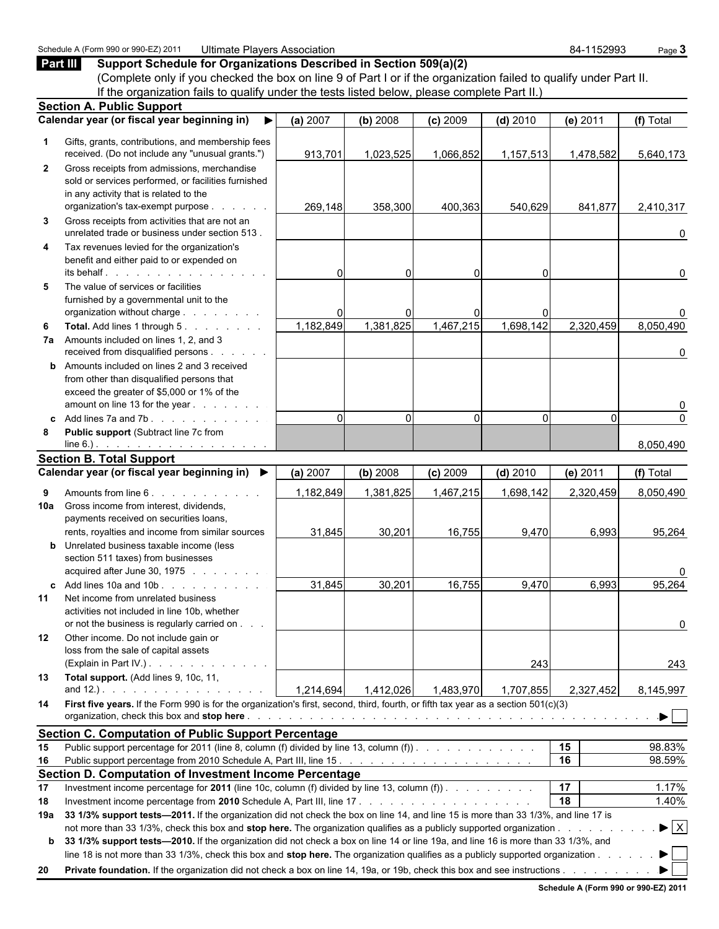|              | Part III<br>Support Schedule for Organizations Described in Section 509(a)(2)                                                                                                                                                                             |           |             |                |            |                       |                                |
|--------------|-----------------------------------------------------------------------------------------------------------------------------------------------------------------------------------------------------------------------------------------------------------|-----------|-------------|----------------|------------|-----------------------|--------------------------------|
|              | (Complete only if you checked the box on line 9 of Part I or if the organization failed to qualify under Part II.                                                                                                                                         |           |             |                |            |                       |                                |
|              | If the organization fails to qualify under the tests listed below, please complete Part II.)                                                                                                                                                              |           |             |                |            |                       |                                |
|              | <b>Section A. Public Support</b>                                                                                                                                                                                                                          |           |             |                |            |                       |                                |
|              | Calendar year (or fiscal year beginning in)                                                                                                                                                                                                               | (a) 2007  | (b) 2008    | $(c)$ 2009     | $(d)$ 2010 | (e) 2011              | (f) Total                      |
| 1            | Gifts, grants, contributions, and membership fees<br>received. (Do not include any "unusual grants.")                                                                                                                                                     | 913,701   | 1,023,525   | 1,066,852      | 1,157,513  | 1,478,582             | 5,640,173                      |
| $\mathbf{2}$ | Gross receipts from admissions, merchandise<br>sold or services performed, or facilities furnished<br>in any activity that is related to the<br>organization's tax-exempt purpose                                                                         | 269,148   | 358,300     | 400,363        | 540,629    | 841,877               | 2,410,317                      |
| 3            | Gross receipts from activities that are not an<br>unrelated trade or business under section 513.                                                                                                                                                          |           |             |                |            |                       | 0                              |
| 4            | Tax revenues levied for the organization's<br>benefit and either paid to or expended on<br>its behalf.                                                                                                                                                    | 0         | $\Omega$    | $\Omega$       |            |                       | 0                              |
| 5            | The value of services or facilities<br>furnished by a governmental unit to the<br>organization without charge                                                                                                                                             | O         | n           | $\overline{0}$ |            |                       | 0                              |
| 6            | Total. Add lines 1 through 5.<br>7a Amounts included on lines 1, 2, and 3<br>received from disqualified persons                                                                                                                                           | 1,182,849 | 1,381,825   | 1,467,215      | 1,698,142  | 2,320,459             | 8,050,490                      |
|              | <b>b</b> Amounts included on lines 2 and 3 received<br>from other than disqualified persons that<br>exceed the greater of \$5,000 or 1% of the<br>amount on line 13 for the year                                                                          |           |             |                |            |                       | 0<br>0                         |
| C.           | Add lines 7a and 7b.                                                                                                                                                                                                                                      | $\Omega$  | $\mathbf 0$ | $\Omega$       | $\Omega$   | $\Omega$              | $\pmb{0}$                      |
| 8            | Public support (Subtract line 7c from<br>$line 6.)$ .                                                                                                                                                                                                     |           |             |                |            |                       | 8,050,490                      |
|              | <b>Section B. Total Support</b>                                                                                                                                                                                                                           |           |             |                |            |                       |                                |
|              | Calendar year (or fiscal year beginning in) ▶                                                                                                                                                                                                             | (a) 2007  | (b) 2008    | $(c)$ 2009     | $(d)$ 2010 | (e) 2011              | (f) Total                      |
| 9<br>10a     | Amounts from line 6.<br>Gross income from interest, dividends,<br>payments received on securities loans,                                                                                                                                                  | 1,182,849 | 1,381,825   | 1,467,215      | 1,698,142  | 2,320,459             | 8,050,490                      |
|              | rents, royalties and income from similar sources<br><b>b</b> Unrelated business taxable income (less<br>section 511 taxes) from businesses<br>acquired after June 30, 1975                                                                                | 31,845    | 30,201      | 16,755         | 9,470      | 6,993                 | 95,264<br>0                    |
| C            | Add lines 10a and 10b                                                                                                                                                                                                                                     | 31,845    | 30,201      | 16,755         | 9,470      | 6,993                 | 95,264                         |
| 11           | Net income from unrelated business<br>activities not included in line 10b, whether<br>or not the business is regularly carried on                                                                                                                         |           |             |                |            |                       | 0                              |
| 12           | Other income. Do not include gain or<br>loss from the sale of capital assets<br>(Explain in Part IV.)                                                                                                                                                     |           |             |                | 243        |                       | 243                            |
| 13           | Total support. (Add lines 9, 10c, 11,                                                                                                                                                                                                                     | 1,214,694 | 1,412,026   | 1,483,970      | 1,707,855  | 2,327,452             | 8,145,997                      |
| 14           | First five years. If the Form 990 is for the organization's first, second, third, fourth, or fifth tax year as a section 501(c)(3)                                                                                                                        |           |             |                |            |                       | $\blacktriangleright$          |
|              | <b>Section C. Computation of Public Support Percentage</b>                                                                                                                                                                                                |           |             |                |            |                       |                                |
| 15           | Public support percentage for 2011 (line 8, column (f) divided by line 13, column (f)                                                                                                                                                                     |           |             |                |            | 15                    | 98.83%                         |
| 16           |                                                                                                                                                                                                                                                           |           |             |                |            | 16                    | 98.59%                         |
|              | Section D. Computation of Investment Income Percentage                                                                                                                                                                                                    |           |             |                |            |                       |                                |
| 17<br>18     | Investment income percentage for 2011 (line 10c, column (f) divided by line 13, column (f)).                                                                                                                                                              |           |             |                |            | $\overline{17}$<br>18 | 1.17%<br>1.40%                 |
| 19a          | 33 1/3% support tests—2011. If the organization did not check the box on line 14, and line 15 is more than 33 1/3%, and line 17 is                                                                                                                        |           |             |                |            |                       |                                |
| b            | not more than 33 1/3%, check this box and stop here. The organization qualifies as a publicly supported organization<br>33 1/3% support tests-2010. If the organization did not check a box on line 14 or line 19a, and line 16 is more than 33 1/3%, and |           |             |                |            |                       | $\blacktriangleright$ $\mid$ X |
|              | line 18 is not more than 33 1/3%, check this box and stop here. The organization qualifies as a publicly supported organization                                                                                                                           |           |             |                |            |                       |                                |
| 20           | <b>Private foundation.</b> If the organization did not check a box on line 14, 19a, or 19b, check this box and see instructions                                                                                                                           |           |             |                |            |                       |                                |

Schedule A (Form 990 or 990-EZ) 2011 Ultimate Players Association 84-1152993 Page 3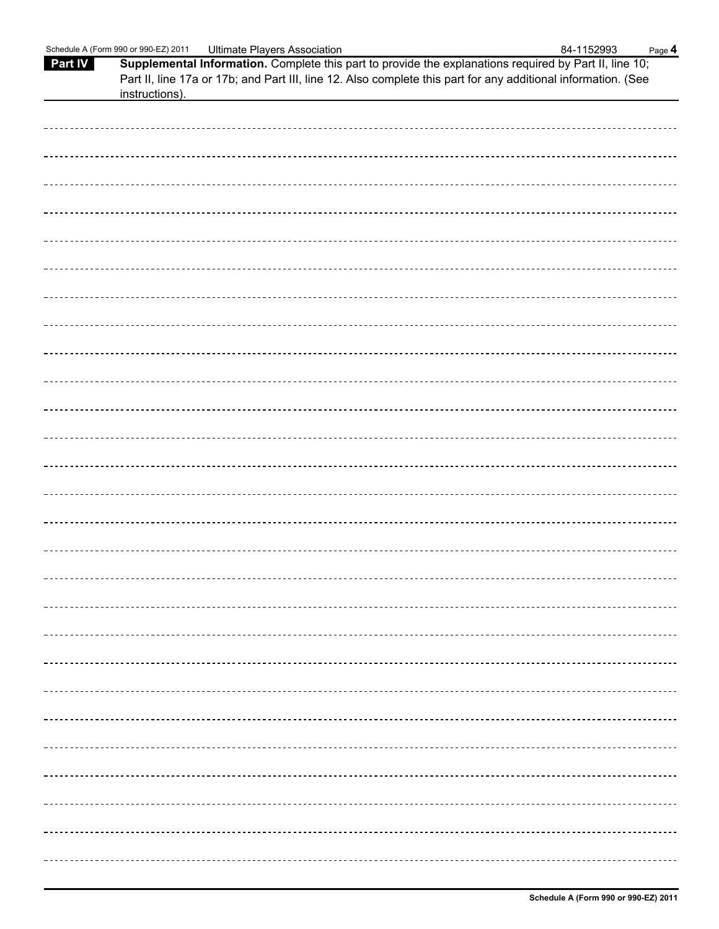|                | Schedule A (Form 990 or 990-EZ) 2011 | <b>Ultimate Players Association</b>                                                                           | 84-1152993 | Page 4 |
|----------------|--------------------------------------|---------------------------------------------------------------------------------------------------------------|------------|--------|
| <b>Part IV</b> |                                      | Supplemental Information. Complete this part to provide the explanations required by Part II, line 10;        |            |        |
|                |                                      | Part II, line 17a or 17b; and Part III, line 12. Also complete this part for any additional information. (See |            |        |
|                | instructions).                       |                                                                                                               |            |        |
|                |                                      |                                                                                                               |            |        |
|                |                                      |                                                                                                               |            |        |
|                |                                      |                                                                                                               |            |        |
|                |                                      |                                                                                                               |            |        |
|                |                                      |                                                                                                               |            |        |
|                |                                      |                                                                                                               |            |        |
|                |                                      |                                                                                                               |            |        |
|                |                                      |                                                                                                               |            |        |
|                |                                      |                                                                                                               |            |        |
|                |                                      |                                                                                                               |            |        |
|                |                                      |                                                                                                               |            |        |
|                |                                      |                                                                                                               |            |        |
|                |                                      |                                                                                                               |            |        |
|                |                                      |                                                                                                               |            |        |
|                |                                      |                                                                                                               |            |        |
|                |                                      |                                                                                                               |            |        |
|                |                                      |                                                                                                               |            |        |
|                |                                      |                                                                                                               |            |        |
|                |                                      |                                                                                                               |            |        |
|                |                                      |                                                                                                               |            |        |
|                |                                      |                                                                                                               |            |        |
|                |                                      |                                                                                                               |            |        |
|                |                                      |                                                                                                               |            |        |
|                |                                      |                                                                                                               |            |        |
|                |                                      |                                                                                                               |            |        |
|                |                                      |                                                                                                               |            |        |
|                |                                      |                                                                                                               |            |        |
|                |                                      |                                                                                                               |            |        |
|                |                                      |                                                                                                               |            |        |
|                |                                      |                                                                                                               |            |        |
|                |                                      |                                                                                                               |            |        |
|                |                                      |                                                                                                               |            |        |
|                |                                      |                                                                                                               |            |        |
|                |                                      |                                                                                                               |            |        |
|                |                                      |                                                                                                               |            |        |
|                |                                      |                                                                                                               |            |        |
|                |                                      |                                                                                                               |            |        |
|                |                                      |                                                                                                               |            |        |
|                |                                      |                                                                                                               |            |        |
|                |                                      |                                                                                                               |            |        |
|                |                                      |                                                                                                               |            |        |
|                |                                      |                                                                                                               |            |        |
|                |                                      |                                                                                                               |            |        |
|                |                                      |                                                                                                               |            |        |
|                |                                      |                                                                                                               |            |        |
|                |                                      |                                                                                                               |            |        |
|                |                                      |                                                                                                               |            |        |
|                |                                      |                                                                                                               |            |        |
|                |                                      |                                                                                                               |            |        |
|                |                                      |                                                                                                               |            |        |
|                |                                      |                                                                                                               |            |        |
|                |                                      |                                                                                                               |            |        |
|                |                                      |                                                                                                               |            |        |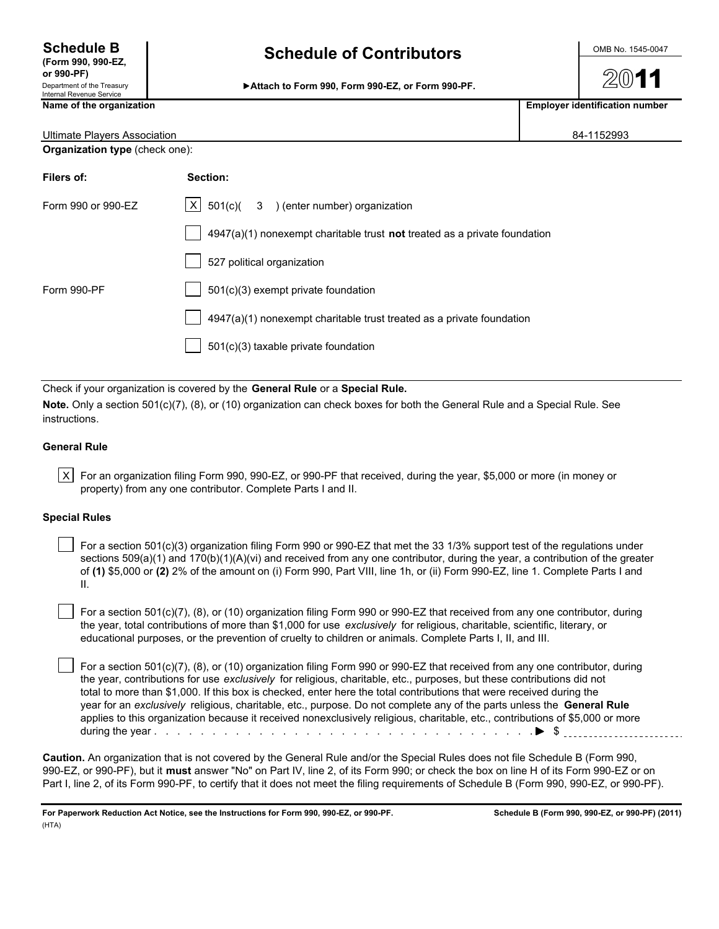**or 990-PF)** Department of the Treasury<br>Internal Revenue Service

# **Schedule B** OMB No. 1545-0047 **(Form 990, 990-EZ, Schedule of Contributors**

Attach to Form 990, Form 990-EZ, or Form 990-PF.

**Name of the organization Employer identification number Employer identification number** 

| Ultimate Players Association          |                                                                             | 84-1152993 |
|---------------------------------------|-----------------------------------------------------------------------------|------------|
| <b>Organization type (check one):</b> |                                                                             |            |
| Filers of:                            | Section:                                                                    |            |
| Form 990 or 990-EZ                    | $ X $ 501(c)( 3 ) (enter number) organization                               |            |
|                                       | $4947(a)(1)$ nonexempt charitable trust not treated as a private foundation |            |

|             | 527 political organization                                            |
|-------------|-----------------------------------------------------------------------|
| Form 990-PF | 501(c)(3) exempt private foundation                                   |
|             | 4947(a)(1) nonexempt charitable trust treated as a private foundation |
|             | 501(c)(3) taxable private foundation                                  |
|             |                                                                       |

Check if your organization is covered by the **General Rule** or a **Special Rule.**

**Note.** Only a section 501(c)(7), (8), or (10) organization can check boxes for both the General Rule and a Special Rule. See instructions.

### **General Rule**

| X | For an organization filing Form 990, 990-EZ, or 990-PF that received, during the year, \$5,000 or more (in money or property) from any one contributor. Complete Parts I and II.

### **Special Rules**

 For a section 501(c)(3) organization filing Form 990 or 990-EZ that met the 33 1/3% support test of the regulations under sections  $509(a)(1)$  and  $170(b)(1)(A)(vi)$  and received from any one contributor, during the year, a contribution of the greater of **(1)** \$5,000 or **(2)** 2% of the amount on (i) Form 990, Part VIII, line 1h, or (ii) Form 990-EZ, line 1. Complete Parts I and II.

 For a section 501(c)(7), (8), or (10) organization filing Form 990 or 990-EZ that received from any one contributor, during the year, total contributions of more than \$1,000 for use *exclusively* for religious, charitable, scientific, literary, or educational purposes, or the prevention of cruelty to children or animals. Complete Parts I, II, and III.

 For a section 501(c)(7), (8), or (10) organization filing Form 990 or 990-EZ that received from any one contributor, during the year, contributions for use *exclusively* for religious, charitable, etc., purposes, but these contributions did not total to more than \$1,000. If this box is checked, enter here the total contributions that were received during the year for an *exclusively* religious, charitable, etc., purpose. Do not complete any of the parts unless the **General Rule** applies to this organization because it received nonexclusively religious, charitable, etc., contributions of \$5,000 or more during the year . . . . . . . . . . . . . . . . . . . . . . . . . . . . . . . . . . . . . . . . . . . . . . . . . . . . . . . . . \$

**Caution.** An organization that is not covered by the General Rule and/or the Special Rules does not file Schedule B (Form 990, 990-EZ, or 990-PF), but it **must** answer "No" on Part IV, line 2, of its Form 990; or check the box on line H of its Form 990-EZ or on Part I, line 2, of its Form 990-PF, to certify that it does not meet the filing requirements of Schedule B (Form 990, 990-EZ, or 990-PF).

**For Paperwork Reduction Act Notice, see the Instructions for Form 990, 990-EZ, or 990-PF. Schedule B (Form 990, 990-EZ, or 990-PF) (2011)** (HTA)

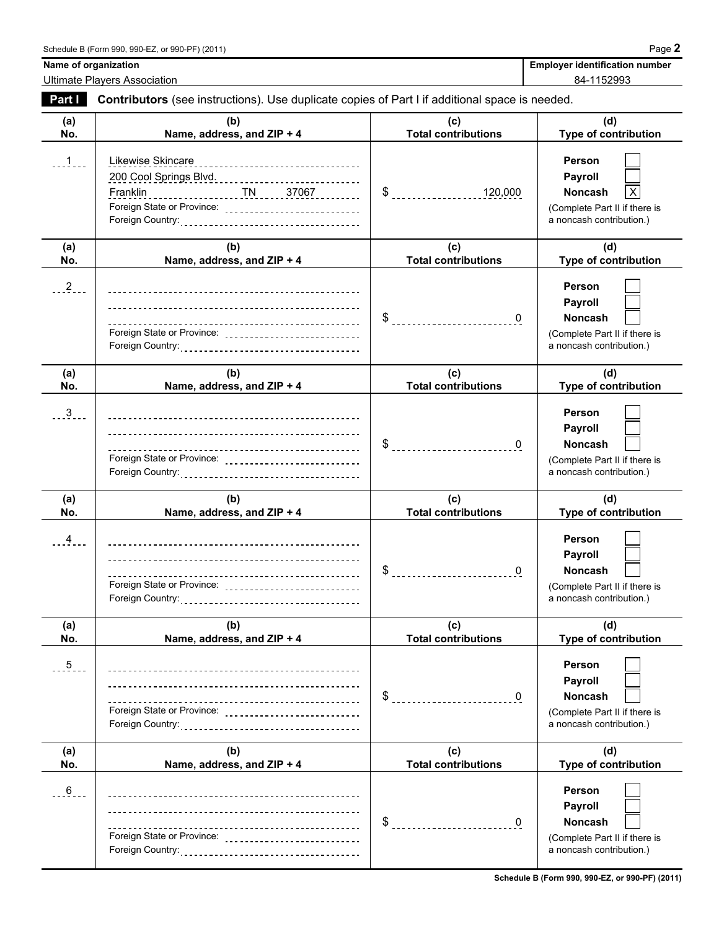Ultimate Players Association 84-1152993

Name of organization **Name of organization Employer identification number** 

| Part I         | Contributors (see instructions). Use duplicate copies of Part I if additional space is needed. |                                                   |                                                                                                  |
|----------------|------------------------------------------------------------------------------------------------|---------------------------------------------------|--------------------------------------------------------------------------------------------------|
| (a)<br>No.     | (b)<br>Name, address, and ZIP + 4                                                              | (c)<br><b>Total contributions</b>                 | (d)<br><b>Type of contribution</b>                                                               |
| 1              | Likewise Skincare<br>Foreign State or Province: _______________________________                |                                                   | Person<br>Payroll<br>Noncash<br>(Complete Part II if there is<br>a noncash contribution.)        |
| (a)<br>No.     | (b)<br>Name, address, and ZIP + 4                                                              | (c)<br><b>Total contributions</b>                 | (d)<br><b>Type of contribution</b>                                                               |
| $^{2}$ .       | Foreign State or Province: _____________________________                                       |                                                   | Person<br>Payroll<br><b>Noncash</b><br>(Complete Part II if there is<br>a noncash contribution.) |
| (a)<br>No.     | (b)<br>Name, address, and ZIP + 4                                                              | (c)<br><b>Total contributions</b>                 | (d)<br>Type of contribution                                                                      |
| $\frac{3}{2}$  | Foreign State or Province: ______________________________                                      | $\frac{1}{2}$                                     | Person<br><b>Payroll</b><br>Noncash<br>(Complete Part II if there is<br>a noncash contribution.) |
| (a)<br>No.     | (b)<br>Name, address, and ZIP + 4                                                              | (c)<br><b>Total contributions</b>                 | (d)<br><b>Type of contribution</b>                                                               |
| $\overline{4}$ | Foreign State or Province:                                                                     | \$ ____________________________<br>$\overline{0}$ | Person<br><b>Payroll</b><br>Noncash<br>(Complete Part II if there is<br>a noncash contribution.) |
| (a)<br>No.     | (b)<br>Name, address, and ZIP + 4                                                              | (c)<br><b>Total contributions</b>                 | (d)<br><b>Type of contribution</b>                                                               |
| $5 -$          | Foreign State or Province: _______________________________                                     | \$<br>$\mathbf 0$                                 | Person<br><b>Payroll</b><br>Noncash<br>(Complete Part II if there is<br>a noncash contribution.) |
| (a)<br>No.     | (b)<br>Name, address, and ZIP + 4                                                              | (c)<br><b>Total contributions</b>                 | (d)<br><b>Type of contribution</b>                                                               |
| $6 - 6$        | --------------------------------<br>Foreign State or Province: _______________________________ | \$<br>0                                           | Person<br>Payroll<br>Noncash<br>(Complete Part II if there is<br>a noncash contribution.)        |

**Schedule B (Form 990, 990-EZ, or 990-PF) (2011)**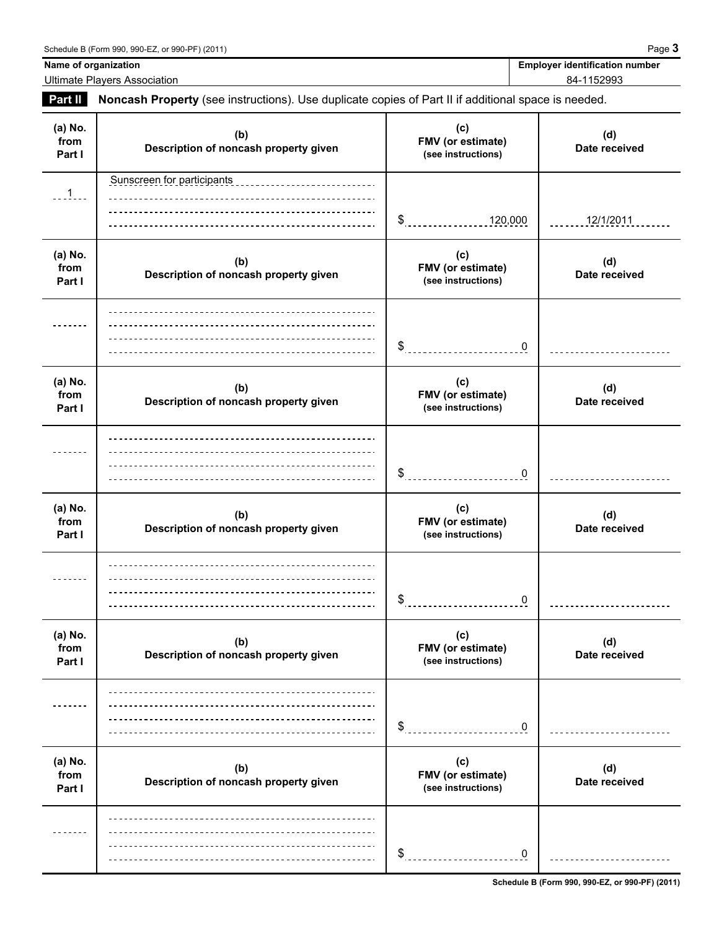**Name of organization Employer identification number Employer identification number** 

Ultimate Players Association 84-1152993

**Part II Noncash Property** (see instructions). Use duplicate copies of Part II if additional space is needed.

| (a) No.<br>from<br>Part I | (b)<br>Description of noncash property given              | (c)<br>FMV (or estimate)<br>(see instructions) | (d)<br>Date received |
|---------------------------|-----------------------------------------------------------|------------------------------------------------|----------------------|
| $-1$                      | Sunscreen for participants<br>___________________________ | $\frac{1}{2}$<br>120,000                       | 12/1/2011            |
| (a) No.<br>from<br>Part I | (b)<br>Description of noncash property given              | (c)<br>FMV (or estimate)<br>(see instructions) | (d)<br>Date received |
|                           |                                                           | \$<br>0                                        |                      |
| (a) No.<br>from<br>Part I | (b)<br>Description of noncash property given              | (c)<br>FMV (or estimate)<br>(see instructions) | (d)<br>Date received |
|                           |                                                           | \$<br>0                                        |                      |
| (a) No.<br>from<br>Part I | (b)<br>Description of noncash property given              | (c)<br>FMV (or estimate)<br>(see instructions) | (d)<br>Date received |
|                           |                                                           | \$<br>0                                        |                      |
| (a) No.<br>from<br>Part I | (b)<br>Description of noncash property given              | (c)<br>FMV (or estimate)<br>(see instructions) | (d)<br>Date received |
|                           |                                                           | \$<br>0                                        |                      |
| (a) No.<br>from<br>Part I | (b)<br>Description of noncash property given              | (c)<br>FMV (or estimate)<br>(see instructions) | (d)<br>Date received |
|                           |                                                           | \$<br>$\boldsymbol{0}$                         |                      |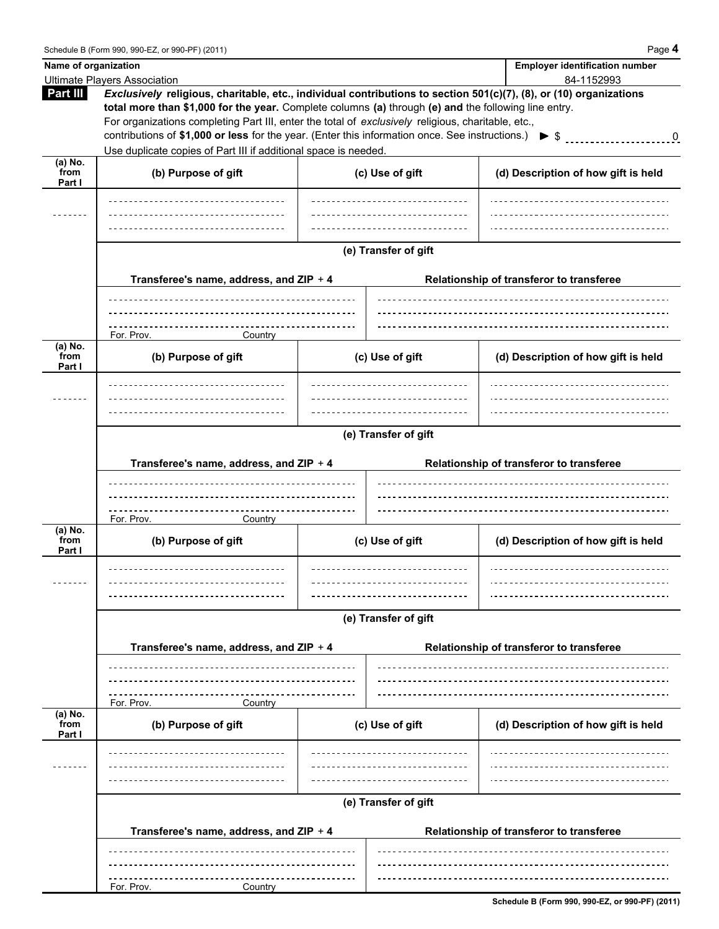|                           | Name of organization                                                                                                                                                                                                                                                                                                                                                                                                                                                                                                       |                      | <b>Employer identification number</b>                                                                                                                                                                                                                                          |
|---------------------------|----------------------------------------------------------------------------------------------------------------------------------------------------------------------------------------------------------------------------------------------------------------------------------------------------------------------------------------------------------------------------------------------------------------------------------------------------------------------------------------------------------------------------|----------------------|--------------------------------------------------------------------------------------------------------------------------------------------------------------------------------------------------------------------------------------------------------------------------------|
|                           | <b>Ultimate Players Association</b>                                                                                                                                                                                                                                                                                                                                                                                                                                                                                        |                      | 84-1152993                                                                                                                                                                                                                                                                     |
| Part III                  | Exclusively religious, charitable, etc., individual contributions to section 501(c)(7), (8), or (10) organizations<br>total more than \$1,000 for the year. Complete columns (a) through (e) and the following line entry.<br>For organizations completing Part III, enter the total of exclusively religious, charitable, etc.,<br>contributions of \$1,000 or less for the year. (Enter this information once. See instructions.) $\triangleright$ \$<br>Use duplicate copies of Part III if additional space is needed. |                      | $\sim$ 000 $\sim$ 000 $\sim$ 000 $\sim$ 000 $\sim$ 000 $\sim$ 000 $\sim$ 000 $\sim$ 000 $\sim$ 000 $\sim$ 000 $\sim$ 000 $\sim$ 000 $\sim$ 000 $\sim$ 000 $\sim$ 000 $\sim$ 000 $\sim$ 000 $\sim$ 000 $\sim$ 000 $\sim$ 000 $\sim$ 000 $\sim$ 000 $\sim$ 000 $\sim$ 000 $\sim$ |
| (a) No.<br>from<br>Part I | (b) Purpose of gift                                                                                                                                                                                                                                                                                                                                                                                                                                                                                                        | (c) Use of gift      | (d) Description of how gift is held                                                                                                                                                                                                                                            |
|                           |                                                                                                                                                                                                                                                                                                                                                                                                                                                                                                                            |                      |                                                                                                                                                                                                                                                                                |
|                           |                                                                                                                                                                                                                                                                                                                                                                                                                                                                                                                            |                      |                                                                                                                                                                                                                                                                                |
|                           |                                                                                                                                                                                                                                                                                                                                                                                                                                                                                                                            | (e) Transfer of gift |                                                                                                                                                                                                                                                                                |
|                           | Transferee's name, address, and ZIP + 4                                                                                                                                                                                                                                                                                                                                                                                                                                                                                    |                      | Relationship of transferor to transferee                                                                                                                                                                                                                                       |
|                           |                                                                                                                                                                                                                                                                                                                                                                                                                                                                                                                            |                      |                                                                                                                                                                                                                                                                                |
|                           | -------------------<br>For. Prov.<br>Country                                                                                                                                                                                                                                                                                                                                                                                                                                                                               |                      |                                                                                                                                                                                                                                                                                |
| (a) No.<br>from<br>Part I | (b) Purpose of gift                                                                                                                                                                                                                                                                                                                                                                                                                                                                                                        | (c) Use of gift      | (d) Description of how gift is held                                                                                                                                                                                                                                            |
|                           |                                                                                                                                                                                                                                                                                                                                                                                                                                                                                                                            |                      |                                                                                                                                                                                                                                                                                |
|                           |                                                                                                                                                                                                                                                                                                                                                                                                                                                                                                                            |                      |                                                                                                                                                                                                                                                                                |
|                           |                                                                                                                                                                                                                                                                                                                                                                                                                                                                                                                            | (e) Transfer of gift |                                                                                                                                                                                                                                                                                |
|                           |                                                                                                                                                                                                                                                                                                                                                                                                                                                                                                                            |                      |                                                                                                                                                                                                                                                                                |
|                           | Transferee's name, address, and ZIP + 4                                                                                                                                                                                                                                                                                                                                                                                                                                                                                    |                      | Relationship of transferor to transferee                                                                                                                                                                                                                                       |
|                           |                                                                                                                                                                                                                                                                                                                                                                                                                                                                                                                            |                      |                                                                                                                                                                                                                                                                                |
|                           | ----------------------------------                                                                                                                                                                                                                                                                                                                                                                                                                                                                                         |                      |                                                                                                                                                                                                                                                                                |
| $(a)$ No.                 | For. Prov.<br>Country                                                                                                                                                                                                                                                                                                                                                                                                                                                                                                      |                      |                                                                                                                                                                                                                                                                                |
| from<br>Part I            | (b) Purpose of gift                                                                                                                                                                                                                                                                                                                                                                                                                                                                                                        | (c) Use of gift      | (d) Description of how gift is held                                                                                                                                                                                                                                            |
|                           | -------------------------                                                                                                                                                                                                                                                                                                                                                                                                                                                                                                  |                      |                                                                                                                                                                                                                                                                                |
|                           |                                                                                                                                                                                                                                                                                                                                                                                                                                                                                                                            |                      |                                                                                                                                                                                                                                                                                |
|                           |                                                                                                                                                                                                                                                                                                                                                                                                                                                                                                                            | (e) Transfer of gift |                                                                                                                                                                                                                                                                                |
|                           | Transferee's name, address, and ZIP + 4                                                                                                                                                                                                                                                                                                                                                                                                                                                                                    |                      | Relationship of transferor to transferee                                                                                                                                                                                                                                       |
|                           |                                                                                                                                                                                                                                                                                                                                                                                                                                                                                                                            |                      |                                                                                                                                                                                                                                                                                |
|                           |                                                                                                                                                                                                                                                                                                                                                                                                                                                                                                                            |                      |                                                                                                                                                                                                                                                                                |
| (a) No.                   | For. Prov.<br>Country                                                                                                                                                                                                                                                                                                                                                                                                                                                                                                      |                      |                                                                                                                                                                                                                                                                                |
| from<br>Part I            | (b) Purpose of gift                                                                                                                                                                                                                                                                                                                                                                                                                                                                                                        | (c) Use of gift      | (d) Description of how gift is held                                                                                                                                                                                                                                            |
|                           |                                                                                                                                                                                                                                                                                                                                                                                                                                                                                                                            |                      |                                                                                                                                                                                                                                                                                |
|                           |                                                                                                                                                                                                                                                                                                                                                                                                                                                                                                                            |                      |                                                                                                                                                                                                                                                                                |
|                           |                                                                                                                                                                                                                                                                                                                                                                                                                                                                                                                            | (e) Transfer of gift |                                                                                                                                                                                                                                                                                |
|                           |                                                                                                                                                                                                                                                                                                                                                                                                                                                                                                                            |                      |                                                                                                                                                                                                                                                                                |
|                           | Transferee's name, address, and ZIP + 4                                                                                                                                                                                                                                                                                                                                                                                                                                                                                    |                      | Relationship of transferor to transferee                                                                                                                                                                                                                                       |
|                           |                                                                                                                                                                                                                                                                                                                                                                                                                                                                                                                            |                      |                                                                                                                                                                                                                                                                                |
|                           |                                                                                                                                                                                                                                                                                                                                                                                                                                                                                                                            |                      |                                                                                                                                                                                                                                                                                |
|                           | For. Prov.<br>Country                                                                                                                                                                                                                                                                                                                                                                                                                                                                                                      |                      |                                                                                                                                                                                                                                                                                |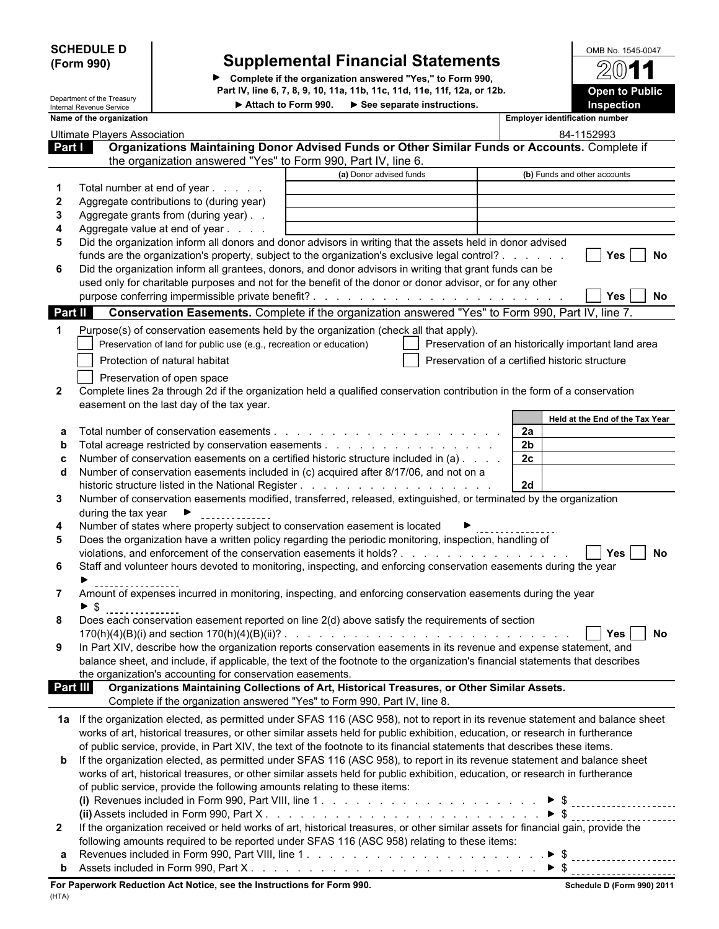| <b>SCHEDULE D</b> |  |
|-------------------|--|
| (Form 990)        |  |

# **SCHEDULE D** OMB No. 1545-0047 **(Form 990) Supplemental Financial Statements**

**Complete if the organization answered "Yes," to Form 990, Part IV, line 6, 7, 8, 9, 10, 11a, 11b, 11c, 11d, 11e, 11f, 12a, or 12b.**

| OMB No. 1545-0047     |  |
|-----------------------|--|
| 2011                  |  |
| <b>Open to Public</b> |  |
| <b>Inspection</b>     |  |

|                       | Department of the Treasury<br>Internal Revenue Service |                                                                                                                                                                                                                                                       | Attach to Form 990. > See separate instructions. |                                                | Inspection                                          |
|-----------------------|--------------------------------------------------------|-------------------------------------------------------------------------------------------------------------------------------------------------------------------------------------------------------------------------------------------------------|--------------------------------------------------|------------------------------------------------|-----------------------------------------------------|
|                       | Name of the organization                               |                                                                                                                                                                                                                                                       |                                                  |                                                | <b>Employer identification number</b>               |
|                       | <b>Ultimate Players Association</b>                    |                                                                                                                                                                                                                                                       |                                                  |                                                | 84-1152993                                          |
| Part I                |                                                        | Organizations Maintaining Donor Advised Funds or Other Similar Funds or Accounts. Complete if                                                                                                                                                         |                                                  |                                                |                                                     |
|                       |                                                        | the organization answered "Yes" to Form 990, Part IV, line 6.                                                                                                                                                                                         |                                                  |                                                |                                                     |
|                       |                                                        |                                                                                                                                                                                                                                                       | (a) Donor advised funds                          |                                                | (b) Funds and other accounts                        |
|                       |                                                        | Total number at end of year                                                                                                                                                                                                                           |                                                  |                                                |                                                     |
|                       |                                                        | Aggregate contributions to (during year)                                                                                                                                                                                                              |                                                  |                                                |                                                     |
| 3                     |                                                        | Aggregate grants from (during year)                                                                                                                                                                                                                   |                                                  |                                                |                                                     |
|                       |                                                        | Aggregate value at end of year<br>Did the organization inform all donors and donor advisors in writing that the assets held in donor advised                                                                                                          |                                                  |                                                |                                                     |
| 5                     |                                                        | funds are the organization's property, subject to the organization's exclusive legal control?                                                                                                                                                         |                                                  |                                                | <b>Yes</b><br>No                                    |
| 6                     |                                                        | Did the organization inform all grantees, donors, and donor advisors in writing that grant funds can be                                                                                                                                               |                                                  |                                                |                                                     |
|                       |                                                        | used only for charitable purposes and not for the benefit of the donor or donor advisor, or for any other                                                                                                                                             |                                                  |                                                |                                                     |
|                       |                                                        |                                                                                                                                                                                                                                                       |                                                  |                                                | Yes<br><b>No</b>                                    |
| <b>Part II</b>        |                                                        | Conservation Easements. Complete if the organization answered "Yes" to Form 990, Part IV, line 7.                                                                                                                                                     |                                                  |                                                |                                                     |
|                       |                                                        |                                                                                                                                                                                                                                                       |                                                  |                                                |                                                     |
| 1                     |                                                        | Purpose(s) of conservation easements held by the organization (check all that apply).<br>Preservation of land for public use (e.g., recreation or education)                                                                                          |                                                  |                                                | Preservation of an historically important land area |
|                       |                                                        |                                                                                                                                                                                                                                                       |                                                  |                                                |                                                     |
|                       |                                                        | Protection of natural habitat                                                                                                                                                                                                                         |                                                  | Preservation of a certified historic structure |                                                     |
|                       |                                                        | Preservation of open space                                                                                                                                                                                                                            |                                                  |                                                |                                                     |
| $\mathbf{2}$          |                                                        | Complete lines 2a through 2d if the organization held a qualified conservation contribution in the form of a conservation                                                                                                                             |                                                  |                                                |                                                     |
|                       |                                                        | easement on the last day of the tax year.                                                                                                                                                                                                             |                                                  |                                                |                                                     |
|                       |                                                        |                                                                                                                                                                                                                                                       |                                                  | <b>2a</b>                                      | Held at the End of the Tax Year                     |
| b                     |                                                        |                                                                                                                                                                                                                                                       |                                                  | 2 <sub>b</sub>                                 |                                                     |
|                       |                                                        | Number of conservation easements on a certified historic structure included in (a)                                                                                                                                                                    |                                                  | 2c                                             |                                                     |
| d                     |                                                        | Number of conservation easements included in (c) acquired after 8/17/06, and not on a                                                                                                                                                                 |                                                  |                                                |                                                     |
|                       |                                                        |                                                                                                                                                                                                                                                       |                                                  | 2d                                             |                                                     |
| 3                     |                                                        | Number of conservation easements modified, transferred, released, extinguished, or terminated by the organization                                                                                                                                     |                                                  |                                                |                                                     |
|                       | during the tax year $\blacktriangleright$              |                                                                                                                                                                                                                                                       |                                                  |                                                |                                                     |
| 4                     |                                                        | Number of states where property subject to conservation easement is located                                                                                                                                                                           |                                                  |                                                |                                                     |
| 5                     |                                                        | Does the organization have a written policy regarding the periodic monitoring, inspection, handling of                                                                                                                                                |                                                  |                                                |                                                     |
|                       |                                                        | violations, and enforcement of the conservation easements it holds?                                                                                                                                                                                   |                                                  |                                                | <b>No. 1998</b><br>No                               |
| 6                     |                                                        | Staff and volunteer hours devoted to monitoring, inspecting, and enforcing conservation easements during the year                                                                                                                                     |                                                  |                                                |                                                     |
|                       |                                                        |                                                                                                                                                                                                                                                       |                                                  |                                                |                                                     |
|                       |                                                        | Amount of expenses incurred in monitoring, inspecting, and enforcing conservation easements during the year                                                                                                                                           |                                                  |                                                |                                                     |
|                       | $\blacktriangleright$ \$                               |                                                                                                                                                                                                                                                       |                                                  |                                                |                                                     |
|                       |                                                        | Does each conservation easement reported on line 2(d) above satisfy the requirements of section                                                                                                                                                       |                                                  |                                                |                                                     |
| 9                     |                                                        | In Part XIV, describe how the organization reports conservation easements in its revenue and expense statement, and                                                                                                                                   |                                                  |                                                | <b>No</b><br>Yes                                    |
|                       |                                                        | balance sheet, and include, if applicable, the text of the footnote to the organization's financial statements that describes                                                                                                                         |                                                  |                                                |                                                     |
|                       |                                                        | the organization's accounting for conservation easements.                                                                                                                                                                                             |                                                  |                                                |                                                     |
| <b>Part III</b>       |                                                        | Organizations Maintaining Collections of Art, Historical Treasures, or Other Similar Assets.                                                                                                                                                          |                                                  |                                                |                                                     |
|                       |                                                        | Complete if the organization answered "Yes" to Form 990, Part IV, line 8.                                                                                                                                                                             |                                                  |                                                |                                                     |
|                       |                                                        |                                                                                                                                                                                                                                                       |                                                  |                                                |                                                     |
|                       |                                                        | 1a If the organization elected, as permitted under SFAS 116 (ASC 958), not to report in its revenue statement and balance sheet                                                                                                                       |                                                  |                                                |                                                     |
|                       |                                                        | works of art, historical treasures, or other similar assets held for public exhibition, education, or research in furtherance                                                                                                                         |                                                  |                                                |                                                     |
|                       |                                                        | of public service, provide, in Part XIV, the text of the footnote to its financial statements that describes these items.<br>If the organization elected, as permitted under SFAS 116 (ASC 958), to report in its revenue statement and balance sheet |                                                  |                                                |                                                     |
| b                     |                                                        |                                                                                                                                                                                                                                                       |                                                  |                                                |                                                     |
|                       |                                                        | works of art, historical treasures, or other similar assets held for public exhibition, education, or research in furtherance                                                                                                                         |                                                  |                                                |                                                     |
|                       |                                                        | of public service, provide the following amounts relating to these items:                                                                                                                                                                             |                                                  |                                                |                                                     |
|                       |                                                        |                                                                                                                                                                                                                                                       |                                                  |                                                |                                                     |
| $\mathbf{2}^{\prime}$ |                                                        | If the organization received or held works of art, historical treasures, or other similar assets for financial gain, provide the                                                                                                                      |                                                  |                                                |                                                     |
|                       |                                                        | following amounts required to be reported under SFAS 116 (ASC 958) relating to these items:                                                                                                                                                           |                                                  |                                                |                                                     |
|                       |                                                        |                                                                                                                                                                                                                                                       |                                                  |                                                |                                                     |
| b                     |                                                        |                                                                                                                                                                                                                                                       |                                                  |                                                |                                                     |
|                       |                                                        |                                                                                                                                                                                                                                                       |                                                  |                                                |                                                     |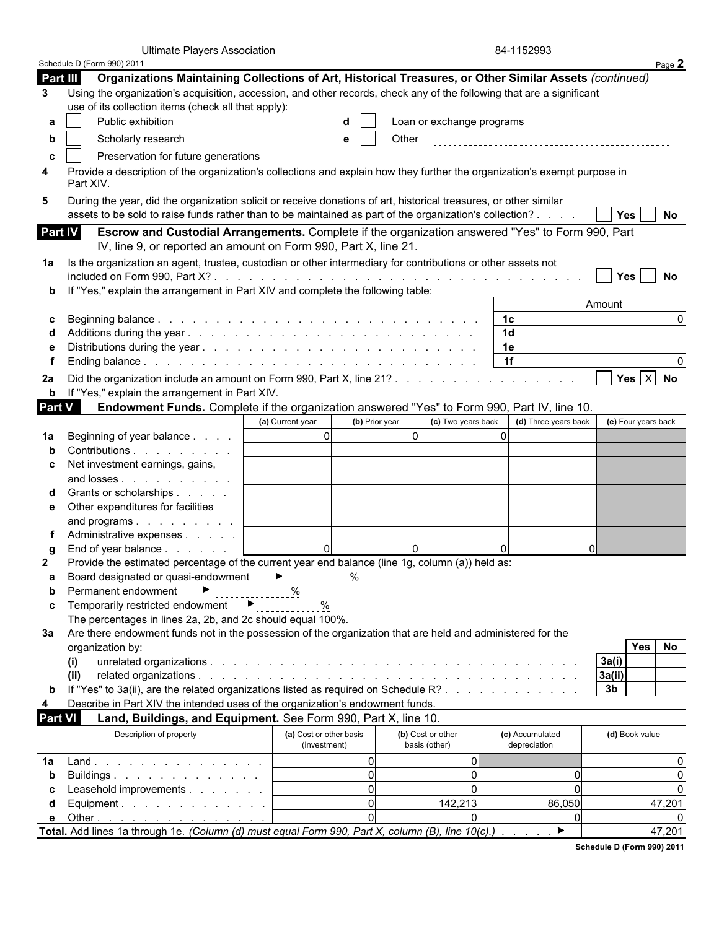|                | <b>Ultimate Players Association</b>                                                                                                                                 |                                         |                |                                    | 84-1152993                      |          |                |                     |
|----------------|---------------------------------------------------------------------------------------------------------------------------------------------------------------------|-----------------------------------------|----------------|------------------------------------|---------------------------------|----------|----------------|---------------------|
|                | Schedule D (Form 990) 2011                                                                                                                                          |                                         |                |                                    |                                 |          |                | Page 2              |
| Part III       | Organizations Maintaining Collections of Art, Historical Treasures, or Other Similar Assets (continued)                                                             |                                         |                |                                    |                                 |          |                |                     |
| 3              | Using the organization's acquisition, accession, and other records, check any of the following that are a significant                                               |                                         |                |                                    |                                 |          |                |                     |
|                | use of its collection items (check all that apply):                                                                                                                 |                                         |                |                                    |                                 |          |                |                     |
| a              | Public exhibition                                                                                                                                                   |                                         |                | Loan or exchange programs          |                                 |          |                |                     |
| b              | Scholarly research                                                                                                                                                  |                                         | Other<br>e     |                                    |                                 |          |                |                     |
|                |                                                                                                                                                                     |                                         |                |                                    |                                 |          |                |                     |
| C              | Preservation for future generations                                                                                                                                 |                                         |                |                                    |                                 |          |                |                     |
| 4              | Provide a description of the organization's collections and explain how they further the organization's exempt purpose in<br>Part XIV.                              |                                         |                |                                    |                                 |          |                |                     |
| 5              | During the year, did the organization solicit or receive donations of art, historical treasures, or other similar                                                   |                                         |                |                                    |                                 |          |                |                     |
|                | assets to be sold to raise funds rather than to be maintained as part of the organization's collection?                                                             |                                         |                |                                    |                                 |          | Yes            | No                  |
| Part IV        | Escrow and Custodial Arrangements. Complete if the organization answered "Yes" to Form 990, Part<br>IV, line 9, or reported an amount on Form 990, Part X, line 21. |                                         |                |                                    |                                 |          |                |                     |
| 1a             | Is the organization an agent, trustee, custodian or other intermediary for contributions or other assets not                                                        |                                         |                |                                    |                                 |          |                |                     |
|                |                                                                                                                                                                     |                                         |                |                                    |                                 |          | $Yes$          | <b>No</b>           |
|                | "Yes," explain the arrangement in Part XIV and complete the following table:                                                                                        |                                         |                |                                    |                                 |          |                |                     |
|                |                                                                                                                                                                     |                                         |                |                                    |                                 |          | Amount         |                     |
|                |                                                                                                                                                                     |                                         |                |                                    | 1c                              |          |                |                     |
|                |                                                                                                                                                                     |                                         |                |                                    | 1 <sub>d</sub>                  |          |                |                     |
|                |                                                                                                                                                                     |                                         |                |                                    | 1e                              |          |                |                     |
|                |                                                                                                                                                                     |                                         |                |                                    | 1f                              |          |                | 0                   |
| 2a             |                                                                                                                                                                     |                                         |                |                                    |                                 |          |                | Yes $X$ No          |
| b              | If "Yes," explain the arrangement in Part XIV.                                                                                                                      |                                         |                |                                    |                                 |          |                |                     |
| Part V         | Endowment Funds. Complete if the organization answered "Yes" to Form 990, Part IV, line 10.                                                                         |                                         |                |                                    |                                 |          |                |                     |
|                |                                                                                                                                                                     | (a) Current year                        | (b) Prior year | (c) Two years back                 | (d) Three years back            |          |                | (e) Four years back |
| 1a             | Beginning of year balance                                                                                                                                           | $\overline{0}$                          | $\overline{0}$ |                                    | $\Omega$                        |          |                |                     |
|                | Contributions                                                                                                                                                       |                                         |                |                                    |                                 |          |                |                     |
| C              | Net investment earnings, gains,                                                                                                                                     |                                         |                |                                    |                                 |          |                |                     |
|                | and losses                                                                                                                                                          |                                         |                |                                    |                                 |          |                |                     |
|                | Grants or scholarships                                                                                                                                              |                                         |                |                                    |                                 |          |                |                     |
| е              | Other expenditures for facilities                                                                                                                                   |                                         |                |                                    |                                 |          |                |                     |
|                | and programs                                                                                                                                                        |                                         |                |                                    |                                 |          |                |                     |
|                | Administrative expenses                                                                                                                                             |                                         |                |                                    |                                 |          |                |                     |
| g              | End of year balance                                                                                                                                                 | $\Omega$                                | $\Omega$       |                                    |                                 |          | $\Omega$       |                     |
| $\mathbf{2}$   | Provide the estimated percentage of the current year end balance (line 1g, column (a)) held as:                                                                     |                                         |                |                                    |                                 |          |                |                     |
| а              | Board designated or quasi-endowment                                                                                                                                 |                                         | %              |                                    |                                 |          |                |                     |
| b              | Permanent endowment                                                                                                                                                 | %                                       |                |                                    |                                 |          |                |                     |
| C              | Temporarily restricted endowment ▶                                                                                                                                  | $\%$                                    |                |                                    |                                 |          |                |                     |
|                | The percentages in lines 2a, 2b, and 2c should equal 100%.                                                                                                          |                                         |                |                                    |                                 |          |                |                     |
| За             | Are there endowment funds not in the possession of the organization that are held and administered for the                                                          |                                         |                |                                    |                                 |          |                |                     |
|                | organization by:                                                                                                                                                    |                                         |                |                                    |                                 |          |                | No<br>Yes           |
|                | (i)                                                                                                                                                                 |                                         |                |                                    |                                 |          | 3a(i)          |                     |
|                | (ii)                                                                                                                                                                |                                         |                |                                    |                                 |          | 3a(ii)         |                     |
| b              | If "Yes" to 3a(ii), are the related organizations listed as required on Schedule R?                                                                                 |                                         |                |                                    |                                 |          | 3 <sub>b</sub> |                     |
| 4              | Describe in Part XIV the intended uses of the organization's endowment funds.                                                                                       |                                         |                |                                    |                                 |          |                |                     |
| <b>Part VI</b> | Land, Buildings, and Equipment. See Form 990, Part X, line 10.                                                                                                      |                                         |                |                                    |                                 |          |                |                     |
|                | Description of property                                                                                                                                             | (a) Cost or other basis<br>(investment) |                | (b) Cost or other<br>basis (other) | (c) Accumulated<br>depreciation |          | (d) Book value |                     |
| 1a             | Land.                                                                                                                                                               |                                         | $\overline{0}$ |                                    |                                 |          |                | 0                   |
| b              | Buildings                                                                                                                                                           |                                         | $\mathbf 0$    |                                    |                                 | $\Omega$ |                | 0                   |
|                | Leasehold improvements                                                                                                                                              |                                         | $\mathbf 0$    |                                    |                                 |          |                | $\Omega$            |
| d              | Equipment.                                                                                                                                                          |                                         | $\mathbf 0$    | 142,213                            |                                 | 86,050   |                | 47,201              |
| е              | Other                                                                                                                                                               |                                         | $\Omega$       |                                    |                                 |          |                | $\Omega$            |
|                | Total. Add lines 1a through 1e. (Column (d) must equal Form 990, Part X, column (B), line 10(c).) $\ldots$ .                                                        |                                         |                |                                    |                                 |          |                | 47,201              |

**Schedule D (Form 990) 2011**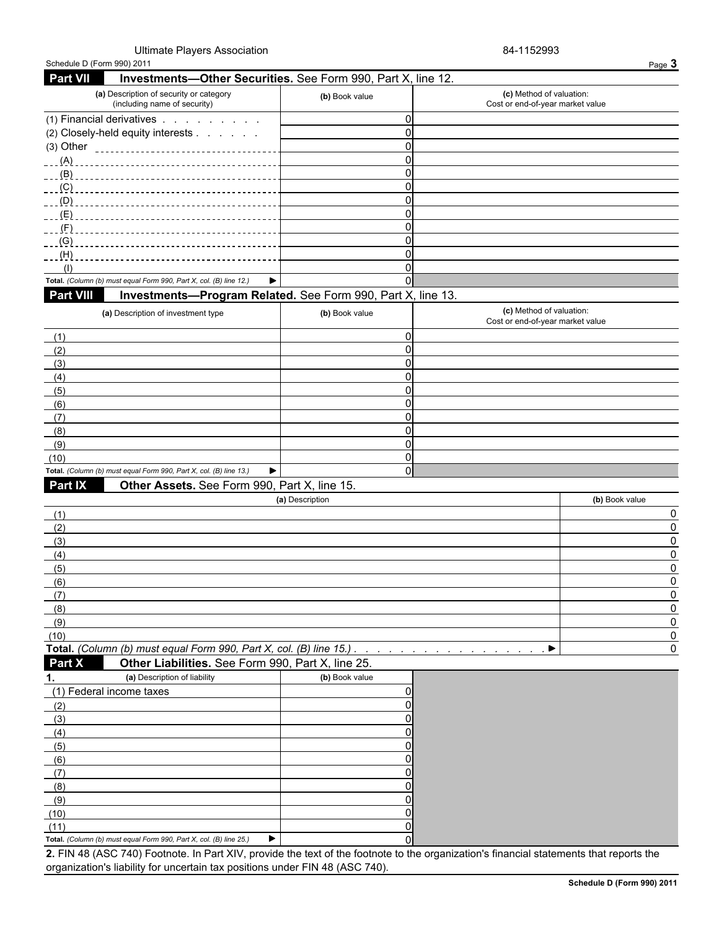### Ultimate Players Association **84-1152993**

| Schedule D (Form 990) 2011                                                                                                              |                 |                                                              | Page 3            |
|-----------------------------------------------------------------------------------------------------------------------------------------|-----------------|--------------------------------------------------------------|-------------------|
| <b>Part VII</b><br>Investments-Other Securities. See Form 990, Part X, line 12.                                                         |                 |                                                              |                   |
| (a) Description of security or category<br>(including name of security)                                                                 | (b) Book value  | (c) Method of valuation:<br>Cost or end-of-year market value |                   |
| (1) Financial derivatives                                                                                                               |                 | $\mathbf 0$                                                  |                   |
| (2) Closely-held equity interests                                                                                                       |                 | $\mathbf 0$                                                  |                   |
|                                                                                                                                         |                 | $\Omega$                                                     |                   |
|                                                                                                                                         |                 | $\Omega$                                                     |                   |
|                                                                                                                                         |                 | $\Omega$                                                     |                   |
| (C)                                                                                                                                     |                 | $\Omega$                                                     |                   |
| (D)                                                                                                                                     |                 | 0                                                            |                   |
| (E)                                                                                                                                     |                 | 0                                                            |                   |
| $-F$ )                                                                                                                                  |                 | 0                                                            |                   |
| (G)                                                                                                                                     |                 | 0                                                            |                   |
| (H)                                                                                                                                     |                 | 0                                                            |                   |
| (1)                                                                                                                                     |                 | 0                                                            |                   |
| Total. (Column (b) must equal Form 990, Part X, col. (B) line 12.)                                                                      | ▶               | $\Omega$                                                     |                   |
| <b>Part VIII</b><br>Investments-Program Related. See Form 990, Part X, line 13.                                                         |                 |                                                              |                   |
| (a) Description of investment type                                                                                                      | (b) Book value  | (c) Method of valuation:<br>Cost or end-of-year market value |                   |
| (1)                                                                                                                                     |                 | 0                                                            |                   |
| (2)                                                                                                                                     |                 | $\Omega$                                                     |                   |
| (3)                                                                                                                                     |                 | 0                                                            |                   |
| (4)                                                                                                                                     |                 | $\mathbf 0$                                                  |                   |
| (5)                                                                                                                                     |                 | 0                                                            |                   |
| (6)                                                                                                                                     |                 | 0                                                            |                   |
| (7)                                                                                                                                     |                 | 0                                                            |                   |
| (8)                                                                                                                                     |                 | $\Omega$                                                     |                   |
| (9)                                                                                                                                     |                 | $\Omega$                                                     |                   |
| (10)                                                                                                                                    |                 | 0                                                            |                   |
| Total. (Column (b) must equal Form 990, Part X, col. (B) line 13.)<br>Part IX                                                           | ▶               | $\Omega$                                                     |                   |
| Other Assets. See Form 990, Part X, line 15.                                                                                            |                 |                                                              |                   |
|                                                                                                                                         | (a) Description |                                                              | (b) Book value    |
| (1)                                                                                                                                     |                 |                                                              | 0                 |
| (2)                                                                                                                                     |                 |                                                              | $\mathbf 0$       |
| (3)                                                                                                                                     |                 |                                                              | 0                 |
| (4)                                                                                                                                     |                 |                                                              | <sup>0</sup>      |
| (5)                                                                                                                                     |                 |                                                              | 0                 |
| (6)                                                                                                                                     |                 |                                                              | <sup>0</sup>      |
| (7)                                                                                                                                     |                 |                                                              | 0                 |
| (8)                                                                                                                                     |                 |                                                              |                   |
| (9)                                                                                                                                     |                 |                                                              | $\Omega$          |
| (10)<br>Total. (Column (b) must equal Form 990, Part X, col. (B) line 15.)                                                              |                 | ▶                                                            | $\mathbf{0}$<br>0 |
| Part X<br>Other Liabilities. See Form 990, Part X, line 25.                                                                             |                 |                                                              |                   |
| (a) Description of liability<br>1.                                                                                                      | (b) Book value  |                                                              |                   |
| (1) Federal income taxes                                                                                                                |                 | 0                                                            |                   |
| (2)                                                                                                                                     |                 |                                                              |                   |
| (3)                                                                                                                                     |                 |                                                              |                   |
| (4)                                                                                                                                     |                 |                                                              |                   |
| (5)                                                                                                                                     |                 |                                                              |                   |
| (6)                                                                                                                                     |                 |                                                              |                   |
| (7)                                                                                                                                     |                 |                                                              |                   |
| (8)                                                                                                                                     |                 |                                                              |                   |
| (9)                                                                                                                                     |                 |                                                              |                   |
| (10)                                                                                                                                    |                 |                                                              |                   |
| (11)                                                                                                                                    |                 |                                                              |                   |
| Total. (Column (b) must equal Form 990, Part X, col. (B) line 25.)                                                                      | ▶               |                                                              |                   |
| 2. FIN 48 (ASC 740) Footnote. In Part XIV, provide the text of the footnote to the organization's financial statements that reports the |                 |                                                              |                   |
| organization's liability for uncertain tax positions under FIN 48 (ASC 740).                                                            |                 |                                                              |                   |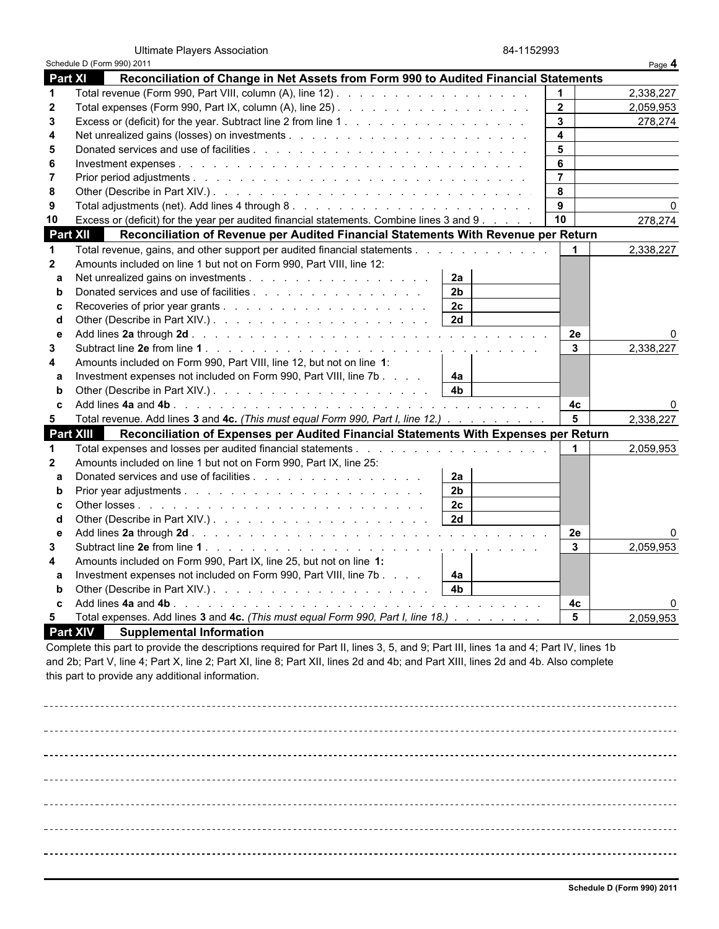Ultimate Players Association 84-1152993

|                  | Schedule D (Form 990) 2011                                                               |                      | Page 4    |
|------------------|------------------------------------------------------------------------------------------|----------------------|-----------|
| <b>Part XI</b>   | Reconciliation of Change in Net Assets from Form 990 to Audited Financial Statements     |                      |           |
| $\mathbf 1$      |                                                                                          |                      | 2,338,227 |
| $\overline{2}$   |                                                                                          | $\overline{2}$       | 2,059,953 |
| 3                |                                                                                          | $\mathbf{3}$         | 278,274   |
| 4                |                                                                                          | $\blacktriangle$     |           |
| 5                |                                                                                          | 5                    |           |
| 6                |                                                                                          | 6                    |           |
| 7                |                                                                                          | $\overline{7}$       |           |
| 8                |                                                                                          | 8                    |           |
| 9                |                                                                                          | $\overline{9}$       | 0         |
| 10               | Excess or (deficit) for the year per audited financial statements. Combine lines 3 and 9 | 10                   | 278,274   |
| <b>Part XII</b>  | Reconciliation of Revenue per Audited Financial Statements With Revenue per Return       |                      |           |
| -1               | Total revenue, gains, and other support per audited financial statements                 | $\blacktriangleleft$ | 2,338,227 |
| $\overline{2}$   | Amounts included on line 1 but not on Form 990, Part VIII, line 12:                      |                      |           |
| a                | 2a                                                                                       |                      |           |
| b                | 2 <sub>b</sub><br>Donated services and use of facilities                                 |                      |           |
| c                | 2c                                                                                       |                      |           |
| d                | 2d                                                                                       |                      |           |
| e                |                                                                                          | 2e                   | O         |
| 3                |                                                                                          | $\mathbf{3}$         | 2,338,227 |
| 4                | Amounts included on Form 990, Part VIII, line 12, but not on line 1:                     |                      |           |
| a                | Investment expenses not included on Form 990, Part VIII, line 7b<br>4a                   |                      |           |
| h                | 4 <sub>b</sub>                                                                           |                      |           |
| C                |                                                                                          | 4c                   |           |
| 5                | Total revenue. Add lines 3 and 4c. (This must equal Form 990, Part I, line 12.)          | 5                    | 2,338,227 |
| <b>Part XIII</b> | Reconciliation of Expenses per Audited Financial Statements With Expenses per Return     |                      |           |
| -1               |                                                                                          | $\blacktriangleleft$ | 2,059,953 |
| $\mathbf{2}$     | Amounts included on line 1 but not on Form 990, Part IX, line 25:                        |                      |           |
| a                | 2a                                                                                       |                      |           |
| b                | 2 <sub>b</sub>                                                                           |                      |           |
| C                | 2c                                                                                       |                      |           |
| d                | $\overline{2d}$<br>Other (Describe in Part XIV.).                                        |                      |           |
| e                |                                                                                          | 2e                   | 0         |
| 3                |                                                                                          | $\mathbf{3}$         | 2,059,953 |
| 4                | Amounts included on Form 990, Part IX, line 25, but not on line 1:                       |                      |           |
| a                | Investment expenses not included on Form 990, Part VIII, line 7b<br>4a                   |                      |           |
| b                | 4 <sub>b</sub>                                                                           |                      |           |
|                  |                                                                                          | 4c                   |           |
| 5                | Total expenses. Add lines 3 and 4c. (This must equal Form 990, Part I, line 18.)         | $5\phantom{.0}$      | 2,059,953 |

 **Part XIV Supplemental Information**

Complete this part to provide the descriptions required for Part II, lines 3, 5, and 9; Part III, lines 1a and 4; Part IV, lines 1b and 2b; Part V, line 4; Part X, line 2; Part XI, line 8; Part XII, lines 2d and 4b; and Part XIII, lines 2d and 4b. Also complete this part to provide any additional information.

\_\_\_\_\_\_\_\_\_\_\_\_\_\_\_\_\_\_\_\_\_\_\_\_\_\_  $- - - - - -$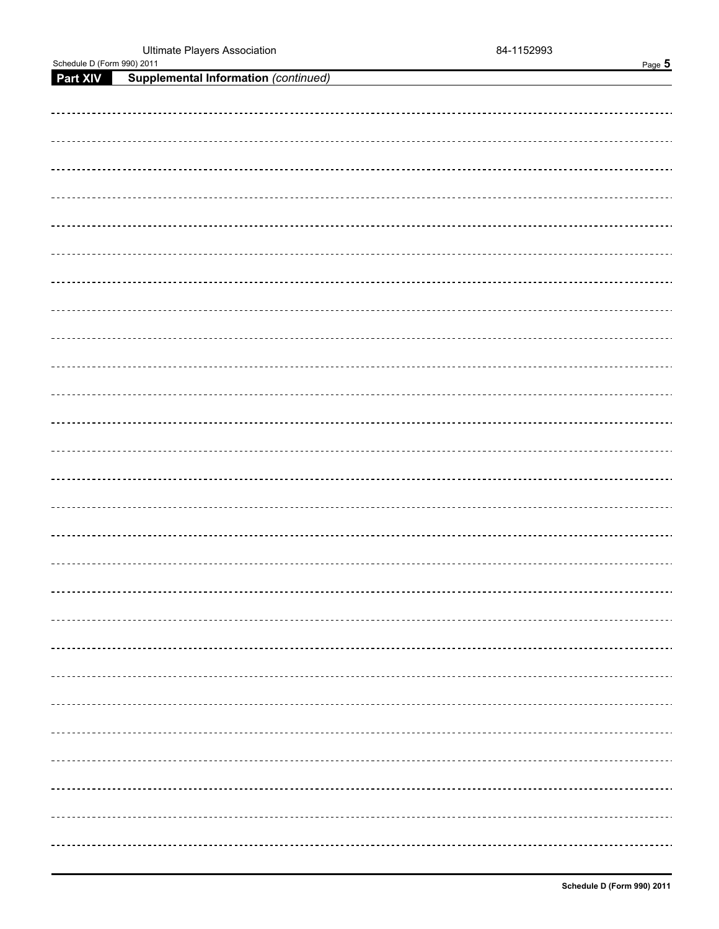| Schedule D (Form 990) 2011 | Page 5                                               |
|----------------------------|------------------------------------------------------|
|                            | <b>Part XIV</b> Supplemental Information (continued) |
|                            |                                                      |
|                            |                                                      |
|                            | -------------------------------                      |
|                            |                                                      |
|                            |                                                      |
|                            |                                                      |
|                            |                                                      |
|                            |                                                      |
|                            |                                                      |
|                            |                                                      |
|                            |                                                      |
|                            |                                                      |
|                            |                                                      |
|                            |                                                      |
|                            |                                                      |
|                            |                                                      |
|                            |                                                      |
|                            |                                                      |
|                            |                                                      |
|                            |                                                      |
|                            |                                                      |
|                            |                                                      |
|                            |                                                      |
|                            |                                                      |
|                            |                                                      |
|                            |                                                      |
|                            |                                                      |
|                            |                                                      |
|                            |                                                      |
|                            |                                                      |
|                            |                                                      |
|                            |                                                      |
|                            |                                                      |
|                            |                                                      |
|                            |                                                      |
|                            |                                                      |
|                            |                                                      |
|                            |                                                      |
|                            |                                                      |
|                            |                                                      |
|                            | ----------                                           |
|                            |                                                      |
|                            |                                                      |
|                            |                                                      |
|                            |                                                      |
|                            |                                                      |
|                            |                                                      |
|                            |                                                      |
|                            |                                                      |
|                            |                                                      |
|                            |                                                      |
|                            |                                                      |
|                            |                                                      |
|                            |                                                      |
|                            |                                                      |
|                            |                                                      |
|                            |                                                      |
|                            |                                                      |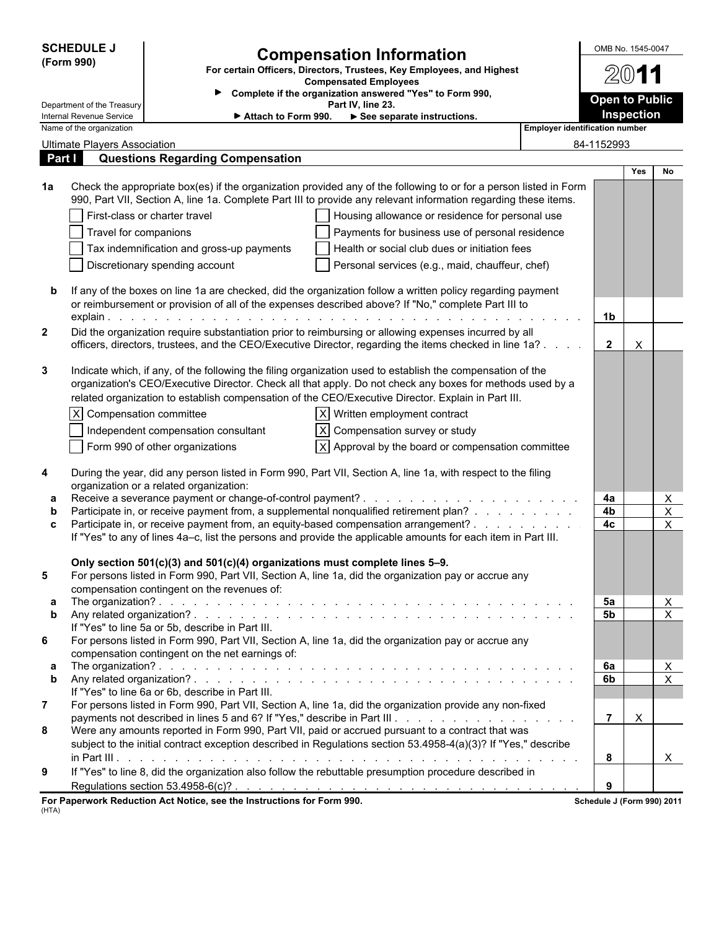| <b>SCHEDULE J</b> |                                                                                                                                                      | <b>Compensation Information</b>                                               | OMB No. 1545-0047                                                                                                                                                                                                                    |  |                            |            |                                |
|-------------------|------------------------------------------------------------------------------------------------------------------------------------------------------|-------------------------------------------------------------------------------|--------------------------------------------------------------------------------------------------------------------------------------------------------------------------------------------------------------------------------------|--|----------------------------|------------|--------------------------------|
|                   | (Form 990)                                                                                                                                           | For certain Officers, Directors, Trustees, Key Employees, and Highest         | 2011                                                                                                                                                                                                                                 |  |                            |            |                                |
|                   |                                                                                                                                                      | <b>Compensated Employees</b>                                                  |                                                                                                                                                                                                                                      |  |                            |            |                                |
|                   | Department of the Treasury                                                                                                                           | Complete if the organization answered "Yes" to Form 990,<br>Part IV, line 23. |                                                                                                                                                                                                                                      |  |                            |            | <b>Open to Public</b>          |
|                   | Internal Revenue Service<br>See separate instructions.<br>► Attach to Form 990.<br>Name of the organization<br><b>Employer identification number</b> |                                                                               |                                                                                                                                                                                                                                      |  |                            | Inspection |                                |
|                   | <b>Ultimate Players Association</b>                                                                                                                  |                                                                               |                                                                                                                                                                                                                                      |  | 84-1152993                 |            |                                |
|                   | Part I                                                                                                                                               | <b>Questions Regarding Compensation</b>                                       |                                                                                                                                                                                                                                      |  |                            |            |                                |
|                   |                                                                                                                                                      |                                                                               |                                                                                                                                                                                                                                      |  |                            | <b>Yes</b> | No.                            |
| 1a                |                                                                                                                                                      |                                                                               | Check the appropriate box(es) if the organization provided any of the following to or for a person listed in Form<br>990, Part VII, Section A, line 1a. Complete Part III to provide any relevant information regarding these items. |  |                            |            |                                |
|                   |                                                                                                                                                      | First-class or charter travel                                                 | Housing allowance or residence for personal use                                                                                                                                                                                      |  |                            |            |                                |
|                   | Travel for companions                                                                                                                                |                                                                               | Payments for business use of personal residence                                                                                                                                                                                      |  |                            |            |                                |
|                   |                                                                                                                                                      | Tax indemnification and gross-up payments                                     | Health or social club dues or initiation fees                                                                                                                                                                                        |  |                            |            |                                |
|                   |                                                                                                                                                      | Discretionary spending account                                                | Personal services (e.g., maid, chauffeur, chef)                                                                                                                                                                                      |  |                            |            |                                |
|                   |                                                                                                                                                      |                                                                               | If any of the boxes on line 1a are checked, did the organization follow a written policy regarding payment                                                                                                                           |  |                            |            |                                |
|                   |                                                                                                                                                      |                                                                               | or reimbursement or provision of all of the expenses described above? If "No," complete Part III to                                                                                                                                  |  |                            |            |                                |
|                   |                                                                                                                                                      |                                                                               |                                                                                                                                                                                                                                      |  | 1 <sub>b</sub>             |            |                                |
| $\mathbf{2}$      |                                                                                                                                                      |                                                                               | Did the organization require substantiation prior to reimbursing or allowing expenses incurred by all<br>officers, directors, trustees, and the CEO/Executive Director, regarding the items checked in line 1a?                      |  | $\overline{2}$             | X          |                                |
|                   |                                                                                                                                                      |                                                                               |                                                                                                                                                                                                                                      |  |                            |            |                                |
| 3                 |                                                                                                                                                      |                                                                               | Indicate which, if any, of the following the filing organization used to establish the compensation of the                                                                                                                           |  |                            |            |                                |
|                   |                                                                                                                                                      |                                                                               | organization's CEO/Executive Director. Check all that apply. Do not check any boxes for methods used by a                                                                                                                            |  |                            |            |                                |
|                   |                                                                                                                                                      |                                                                               | related organization to establish compensation of the CEO/Executive Director. Explain in Part III.                                                                                                                                   |  |                            |            |                                |
|                   | X Compensation committee                                                                                                                             |                                                                               | $ X $ Written employment contract                                                                                                                                                                                                    |  |                            |            |                                |
|                   |                                                                                                                                                      | Independent compensation consultant                                           | X   Compensation survey or study                                                                                                                                                                                                     |  |                            |            |                                |
|                   |                                                                                                                                                      | Form 990 of other organizations                                               | $ X $ Approval by the board or compensation committee                                                                                                                                                                                |  |                            |            |                                |
| 4                 |                                                                                                                                                      |                                                                               | During the year, did any person listed in Form 990, Part VII, Section A, line 1a, with respect to the filing                                                                                                                         |  |                            |            |                                |
| а                 |                                                                                                                                                      | organization or a related organization:                                       |                                                                                                                                                                                                                                      |  | 4a                         |            | X                              |
| b                 |                                                                                                                                                      |                                                                               | Participate in, or receive payment from, a supplemental nonqualified retirement plan?                                                                                                                                                |  | 4b                         |            | $\mathsf X$                    |
| C                 |                                                                                                                                                      |                                                                               | Participate in, or receive payment from, an equity-based compensation arrangement?                                                                                                                                                   |  | 4c                         |            | X                              |
|                   |                                                                                                                                                      |                                                                               | If "Yes" to any of lines 4a-c, list the persons and provide the applicable amounts for each item in Part III.                                                                                                                        |  |                            |            |                                |
|                   |                                                                                                                                                      | Only section 501(c)(3) and 501(c)(4) organizations must complete lines 5-9.   |                                                                                                                                                                                                                                      |  |                            |            |                                |
| 5                 |                                                                                                                                                      |                                                                               | For persons listed in Form 990, Part VII, Section A, line 1a, did the organization pay or accrue any                                                                                                                                 |  |                            |            |                                |
| а                 |                                                                                                                                                      | compensation contingent on the revenues of:                                   |                                                                                                                                                                                                                                      |  | 5а                         |            | X                              |
| b                 |                                                                                                                                                      |                                                                               |                                                                                                                                                                                                                                      |  | 5b                         |            | $\overline{X}$                 |
|                   |                                                                                                                                                      | If "Yes" to line 5a or 5b, describe in Part III.                              |                                                                                                                                                                                                                                      |  |                            |            |                                |
| 6                 |                                                                                                                                                      |                                                                               | For persons listed in Form 990, Part VII, Section A, line 1a, did the organization pay or accrue any                                                                                                                                 |  |                            |            |                                |
|                   |                                                                                                                                                      | compensation contingent on the net earnings of:                               |                                                                                                                                                                                                                                      |  | 6a                         |            |                                |
| а<br>b            |                                                                                                                                                      |                                                                               |                                                                                                                                                                                                                                      |  | 6b                         |            | $\mathsf{X}$<br>$\pmb{\times}$ |
|                   |                                                                                                                                                      | If "Yes" to line 6a or 6b, describe in Part III.                              |                                                                                                                                                                                                                                      |  |                            |            |                                |
| $\overline{7}$    |                                                                                                                                                      |                                                                               | For persons listed in Form 990, Part VII, Section A, line 1a, did the organization provide any non-fixed                                                                                                                             |  |                            |            |                                |
| 8                 |                                                                                                                                                      |                                                                               | Were any amounts reported in Form 990, Part VII, paid or accrued pursuant to a contract that was                                                                                                                                     |  | $\overline{7}$             | X          |                                |
|                   |                                                                                                                                                      |                                                                               | subject to the initial contract exception described in Regulations section 53.4958-4(a)(3)? If "Yes," describe                                                                                                                       |  |                            |            |                                |
|                   |                                                                                                                                                      |                                                                               |                                                                                                                                                                                                                                      |  | 8                          |            | $\mathsf{X}$                   |
| 9                 |                                                                                                                                                      |                                                                               | If "Yes" to line 8, did the organization also follow the rebuttable presumption procedure described in                                                                                                                               |  |                            |            |                                |
|                   |                                                                                                                                                      |                                                                               |                                                                                                                                                                                                                                      |  | 9                          |            |                                |
| (HTA)             |                                                                                                                                                      | For Paperwork Reduction Act Notice, see the Instructions for Form 990.        |                                                                                                                                                                                                                                      |  | Schedule J (Form 990) 2011 |            |                                |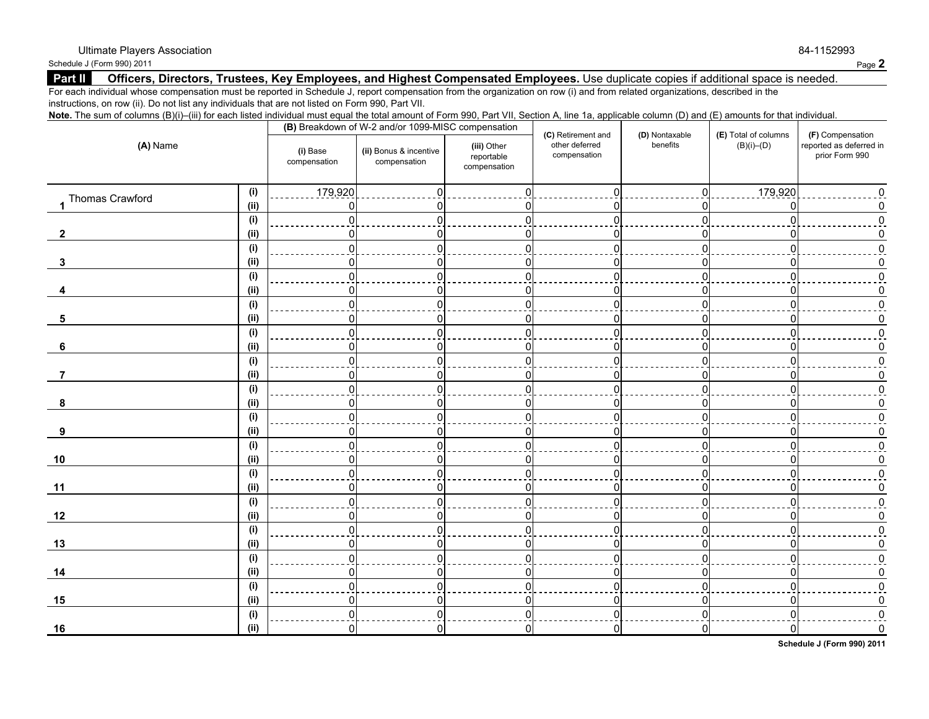Schedule J (Form 990) 2011 **Page 2** 

### **Part II** Officers, Directors, Trustees, Key Employees, and Highest Compensated Employees. Use duplicate copies if additional space is needed.

For each individual whose compensation must be reported in Schedule J, report compensation from the organization on row (i) and from related organizations, described in the instructions, on row (ii). Do not list any individuals that are not listed on Form 990, Part VII.

| Note. The sum of columns (B)(i)–(iii) for each listed individual must equal the total amount of Form 990, Part VII, Section A, line 1a, applicable column (D) and (E) amounts for that individual. |  |  |  |  |
|----------------------------------------------------------------------------------------------------------------------------------------------------------------------------------------------------|--|--|--|--|
|                                                                                                                                                                                                    |  |  |  |  |

| (A) Name          |      |                          | (B) Breakdown of W-2 and/or 1099-MISC compensation |                                           |                                                      | (E) Total of columns       | (F) Compensation |                                           |
|-------------------|------|--------------------------|----------------------------------------------------|-------------------------------------------|------------------------------------------------------|----------------------------|------------------|-------------------------------------------|
|                   |      | (i) Base<br>compensation | (ii) Bonus & incentive<br>compensation             | (iii) Other<br>reportable<br>compensation | (C) Retirement and<br>other deferred<br>compensation | (D) Nontaxable<br>benefits | $(B)(i)$ – $(D)$ | reported as deferred in<br>prior Form 990 |
|                   | (i)  | 179,920                  |                                                    |                                           |                                                      |                            | 179,920          |                                           |
| 1 Thomas Crawford | (ii) |                          |                                                    |                                           | 0                                                    | n                          | $\Omega$         |                                           |
|                   | (i)  |                          |                                                    |                                           | $\Omega$                                             | n                          | $\Omega$         |                                           |
| $\mathbf{2}$      | (ii) |                          |                                                    |                                           | <sup>0</sup>                                         | n                          | n                |                                           |
|                   | (i)  |                          |                                                    |                                           | $\Omega$                                             | $\Omega$                   | $\Omega$         |                                           |
| 3                 | (ii) |                          |                                                    |                                           | 0                                                    | U                          | 0                |                                           |
|                   | (i)  |                          |                                                    |                                           | $\Omega$                                             | $\Omega$                   | $\Omega$         |                                           |
|                   | (ii) |                          |                                                    | ∩                                         | n                                                    | n                          | n                |                                           |
|                   | (i)  |                          |                                                    |                                           | ∩                                                    | U                          |                  |                                           |
| 5                 | (ii) |                          |                                                    |                                           | n                                                    | n                          |                  |                                           |
|                   | (i)  | U                        |                                                    | $\Omega$                                  | $\Omega$                                             | $\Omega$                   | $\Omega$         |                                           |
| 6                 | (ii) |                          |                                                    |                                           | n                                                    | n                          |                  |                                           |
|                   | (i)  |                          |                                                    | $\Omega$                                  | $\Omega$                                             | ΩI                         | n                |                                           |
| 7                 | (ii) |                          |                                                    |                                           | n                                                    | n                          |                  |                                           |
|                   | (i)  |                          |                                                    |                                           | $\Omega$                                             | $\Omega$                   | n                |                                           |
| 8                 | (ii) |                          |                                                    | n                                         | n                                                    | n                          | n                |                                           |
|                   | (i)  |                          |                                                    |                                           | n                                                    | U                          |                  |                                           |
| 9                 | (i)  | n                        |                                                    | n                                         | O                                                    | n                          | O                |                                           |
|                   | (i)  |                          |                                                    |                                           |                                                      |                            |                  |                                           |
| 10                | (ii) |                          |                                                    |                                           | 0                                                    | n                          | O                |                                           |
|                   | (i)  |                          |                                                    |                                           | $\Omega$                                             | U                          |                  |                                           |
| 11                | (ii) |                          |                                                    |                                           | O                                                    | n                          | n                |                                           |
|                   | (i)  |                          |                                                    |                                           | $\Omega$                                             | U                          | $\Omega$         |                                           |
| 12                | (ii) |                          |                                                    | n                                         | $\mathbf{0}$                                         | n                          | 0                |                                           |
|                   | (i)  |                          |                                                    | U                                         | $\Omega$                                             | $\Omega$                   | $\Omega$         |                                           |
| 13                | (ii) | n                        |                                                    | O                                         | 0                                                    | 0                          | 0                |                                           |
|                   | (i)  |                          |                                                    | U                                         | $\Omega$                                             | $\Omega$                   | U                |                                           |
| 14                | (ii) | 0                        |                                                    | $\Omega$                                  | 0                                                    | 01                         | 01               |                                           |
|                   | (i)  |                          |                                                    | $\Omega$                                  | $\Omega$                                             | $\Omega$                   | O                |                                           |
| 15                | (ii) | 0                        |                                                    | O                                         | 0                                                    | 0                          | n                |                                           |
|                   | (i)  | U                        |                                                    |                                           | ∩                                                    | $\Omega$                   |                  |                                           |
| 16                | (ii) | 0                        | 0                                                  |                                           | $\Omega$                                             | 0                          | 01               |                                           |

**Schedule J (Form 990) 2011**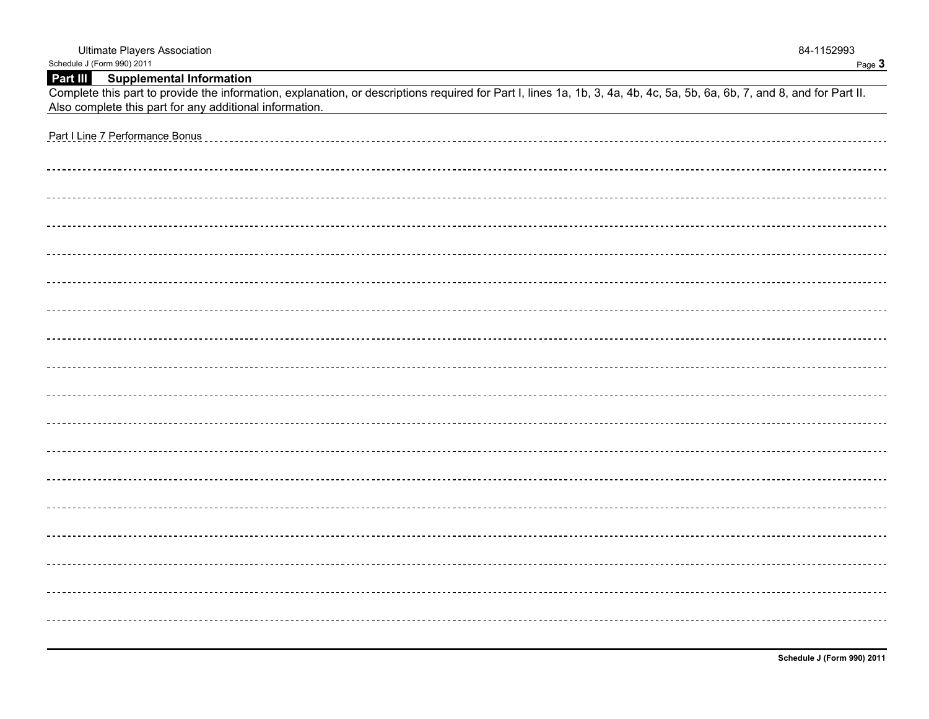| Schedule J (Form 990) 2011                                                                                                                                               | Page 3 |
|--------------------------------------------------------------------------------------------------------------------------------------------------------------------------|--------|
| Part III Supplemental Information                                                                                                                                        |        |
| Complete this part to provide the information, explanation, or descriptions required for Part I, lines 1a, 1b, 3, 4a, 4b, 4c, 5a, 5b, 6a, 6b, 7, and 8, and for Part II. |        |
| Also complete this part for any additional information.                                                                                                                  |        |
|                                                                                                                                                                          |        |
| Part I Line 7 Performance Bonus                                                                                                                                          |        |
|                                                                                                                                                                          |        |
|                                                                                                                                                                          |        |
|                                                                                                                                                                          |        |
|                                                                                                                                                                          |        |
|                                                                                                                                                                          |        |
|                                                                                                                                                                          |        |
|                                                                                                                                                                          |        |
|                                                                                                                                                                          |        |
|                                                                                                                                                                          |        |
|                                                                                                                                                                          |        |
|                                                                                                                                                                          |        |
|                                                                                                                                                                          |        |
|                                                                                                                                                                          |        |
|                                                                                                                                                                          |        |
|                                                                                                                                                                          |        |
|                                                                                                                                                                          |        |
|                                                                                                                                                                          |        |
|                                                                                                                                                                          |        |
|                                                                                                                                                                          |        |
|                                                                                                                                                                          |        |
|                                                                                                                                                                          |        |
|                                                                                                                                                                          |        |
|                                                                                                                                                                          |        |
|                                                                                                                                                                          |        |
|                                                                                                                                                                          |        |
|                                                                                                                                                                          |        |
|                                                                                                                                                                          |        |
|                                                                                                                                                                          |        |
|                                                                                                                                                                          |        |
|                                                                                                                                                                          |        |
|                                                                                                                                                                          |        |
|                                                                                                                                                                          |        |
|                                                                                                                                                                          |        |
|                                                                                                                                                                          |        |
|                                                                                                                                                                          |        |

Ultimate Players Association 84-1152993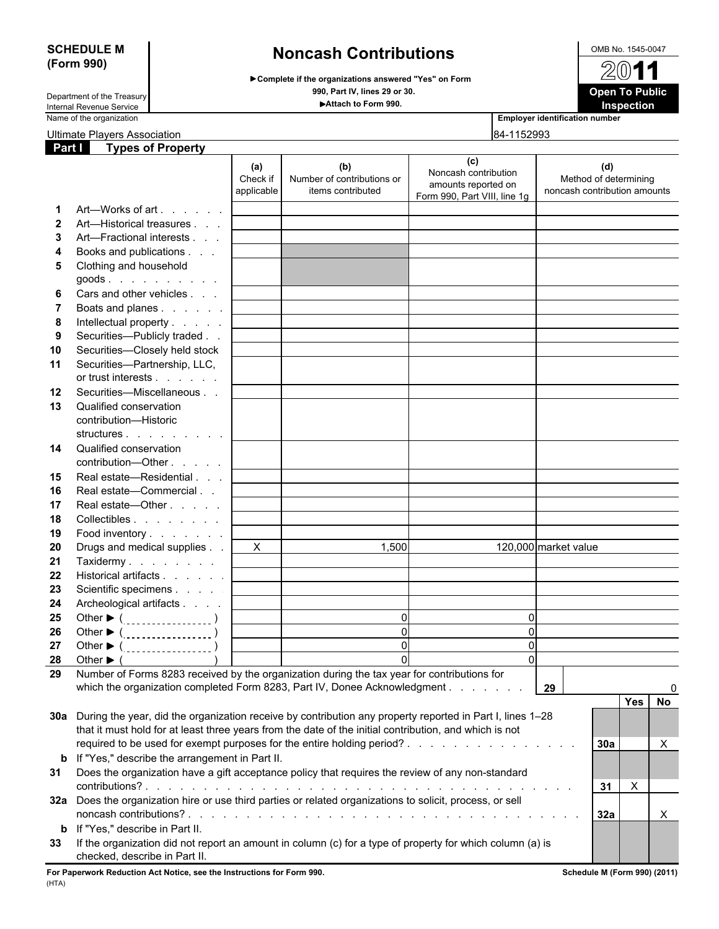# **SCHEDULE M** OMB No. 1545-0047 **(Form 990) Noncash Contributions**

**Complete if the organizations answered "Yes" on Form 990, Part IV, lines 29 or 30. Open To Public** Department of the Treasury



Internal Revenue Service **Attach to Form 990. Inspection**

Ultimate Players Association **84-1152993** 

| <u>Jilillale i Tayers Association</u> |                          |  |  |
|---------------------------------------|--------------------------|--|--|
| Part I                                | <b>Types of Property</b> |  |  |

**Employer identification number** 

|              |                                                                                                                                      | (a)<br>Check if<br>applicable | (b)<br>Number of contributions or<br>items contributed                                             | (c)<br>Noncash contribution<br>amounts reported on<br>Form 990, Part VIII, line 1g | (d)<br>Method of determining<br>noncash contribution amounts |
|--------------|--------------------------------------------------------------------------------------------------------------------------------------|-------------------------------|----------------------------------------------------------------------------------------------------|------------------------------------------------------------------------------------|--------------------------------------------------------------|
| -1           | Art—Works of art                                                                                                                     |                               |                                                                                                    |                                                                                    |                                                              |
| $\mathbf{2}$ | Art—Historical treasures                                                                                                             |                               |                                                                                                    |                                                                                    |                                                              |
| 3            | Art-Fractional interests                                                                                                             |                               |                                                                                                    |                                                                                    |                                                              |
| 4            | Books and publications                                                                                                               |                               |                                                                                                    |                                                                                    |                                                              |
|              | Clothing and household                                                                                                               |                               |                                                                                                    |                                                                                    |                                                              |
| 5            | $goods$ .                                                                                                                            |                               |                                                                                                    |                                                                                    |                                                              |
|              | Cars and other vehicles                                                                                                              |                               |                                                                                                    |                                                                                    |                                                              |
| 6            |                                                                                                                                      |                               |                                                                                                    |                                                                                    |                                                              |
| 7            | Boats and planes                                                                                                                     |                               |                                                                                                    |                                                                                    |                                                              |
| 8            | Intellectual property                                                                                                                |                               |                                                                                                    |                                                                                    |                                                              |
| 9            | Securities-Publicly traded                                                                                                           |                               |                                                                                                    |                                                                                    |                                                              |
| 10           | Securities-Closely held stock                                                                                                        |                               |                                                                                                    |                                                                                    |                                                              |
| 11           | Securities-Partnership, LLC,                                                                                                         |                               |                                                                                                    |                                                                                    |                                                              |
|              | or trust interests                                                                                                                   |                               |                                                                                                    |                                                                                    |                                                              |
| 12           | Securities-Miscellaneous                                                                                                             |                               |                                                                                                    |                                                                                    |                                                              |
| 13           | Qualified conservation                                                                                                               |                               |                                                                                                    |                                                                                    |                                                              |
|              | contribution-Historic                                                                                                                |                               |                                                                                                    |                                                                                    |                                                              |
|              | structures                                                                                                                           |                               |                                                                                                    |                                                                                    |                                                              |
| 14           | Qualified conservation<br>contribution-Other                                                                                         |                               |                                                                                                    |                                                                                    |                                                              |
| 15           | Real estate-Residential                                                                                                              |                               |                                                                                                    |                                                                                    |                                                              |
| 16           | Real estate-Commercial                                                                                                               |                               |                                                                                                    |                                                                                    |                                                              |
| 17           | Real estate—Other                                                                                                                    |                               |                                                                                                    |                                                                                    |                                                              |
| 18           | Collectibles                                                                                                                         |                               |                                                                                                    |                                                                                    |                                                              |
| 19           | Food inventory                                                                                                                       |                               |                                                                                                    |                                                                                    |                                                              |
| 20           | Drugs and medical supplies                                                                                                           | $\mathsf{X}$                  | 1,500                                                                                              |                                                                                    | 120,000 market value                                         |
| 21           | Taxidermy                                                                                                                            |                               |                                                                                                    |                                                                                    |                                                              |
| 22           | Historical artifacts                                                                                                                 |                               |                                                                                                    |                                                                                    |                                                              |
| 23           |                                                                                                                                      |                               |                                                                                                    |                                                                                    |                                                              |
|              | Scientific specimens                                                                                                                 |                               |                                                                                                    |                                                                                    |                                                              |
| 24           | Archeological artifacts                                                                                                              |                               | $\Omega$                                                                                           |                                                                                    |                                                              |
| 25           |                                                                                                                                      |                               |                                                                                                    | 0                                                                                  |                                                              |
| 26           |                                                                                                                                      |                               | $\Omega$                                                                                           | $\mathbf{0}$                                                                       |                                                              |
| 27           | Other $\blacktriangleright$ ( $\ldots$ ,,,,,,,,,,,,,,,,,,,)                                                                          |                               | $\Omega$                                                                                           | $\mathbf{0}$                                                                       |                                                              |
| 28           | Other $\blacktriangleright$ (                                                                                                        |                               | $\Omega$                                                                                           | $\Omega$                                                                           |                                                              |
| 29           | Number of Forms 8283 received by the organization during the tax year for contributions for                                          |                               |                                                                                                    |                                                                                    |                                                              |
|              | which the organization completed Form 8283, Part IV, Donee Acknowledgment                                                            |                               |                                                                                                    |                                                                                    | 29                                                           |
|              |                                                                                                                                      |                               |                                                                                                    |                                                                                    | Yes<br><b>No</b>                                             |
|              | 30a During the year, did the organization receive by contribution any property reported in Part I, lines 1-28                        |                               |                                                                                                    |                                                                                    |                                                              |
|              | that it must hold for at least three years from the date of the initial contribution, and which is not                               |                               |                                                                                                    |                                                                                    |                                                              |
|              |                                                                                                                                      |                               |                                                                                                    |                                                                                    | 30a<br>Χ                                                     |
|              | <b>b</b> If "Yes," describe the arrangement in Part II.                                                                              |                               |                                                                                                    |                                                                                    |                                                              |
| 31           | Does the organization have a gift acceptance policy that requires the review of any non-standard                                     |                               |                                                                                                    |                                                                                    | $\boldsymbol{X}$<br>31                                       |
|              | 32a Does the organization hire or use third parties or related organizations to solicit, process, or sell<br>noncash contributions?. |                               | والمتعاونة والمتعاونة والمتعاونة والمتعاونة والمتعاونة والمتعاونة والمتعاونة والمتعاونة والمتعاونة |                                                                                    | 32a<br>X.                                                    |
| b            | If "Yes," describe in Part II.                                                                                                       |                               |                                                                                                    |                                                                                    |                                                              |
| 33           | If the organization did not report an amount in column (c) for a type of property for which column (a) is                            |                               |                                                                                                    |                                                                                    |                                                              |
|              | checked, describe in Part II.                                                                                                        |                               |                                                                                                    |                                                                                    |                                                              |

**For Paperwork Reduction Act Notice, see the Instructions for Form 990. Schedule M (Form 990) (2011)** (HTA)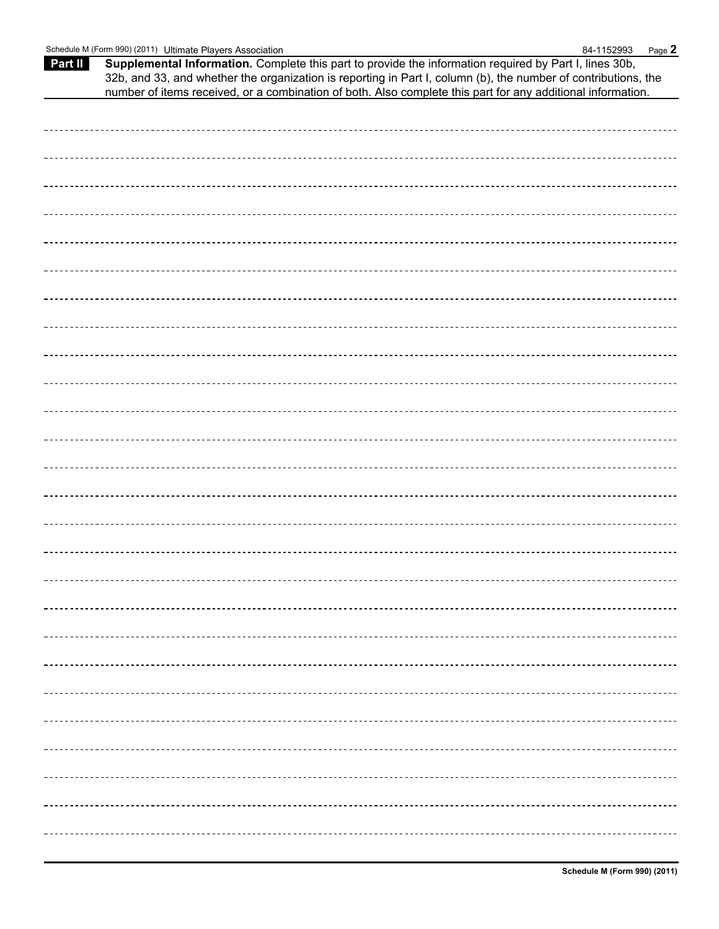| Schedule M (Form 990) (<br>2011) ،<br>Ultimate<br>e Plavers Association | 1152993<br>84.<br>-<br>D<br>Page. |
|-------------------------------------------------------------------------|-----------------------------------|
|-------------------------------------------------------------------------|-----------------------------------|

**Part II Supplemental Information.** Complete this part to provide the information required by Part I, lines 30b, 32b, and 33, and whether the organization is reporting in Part I, column (b), the number of contributions, the number of items received, or a combination of both. Also complete this part for any additional information.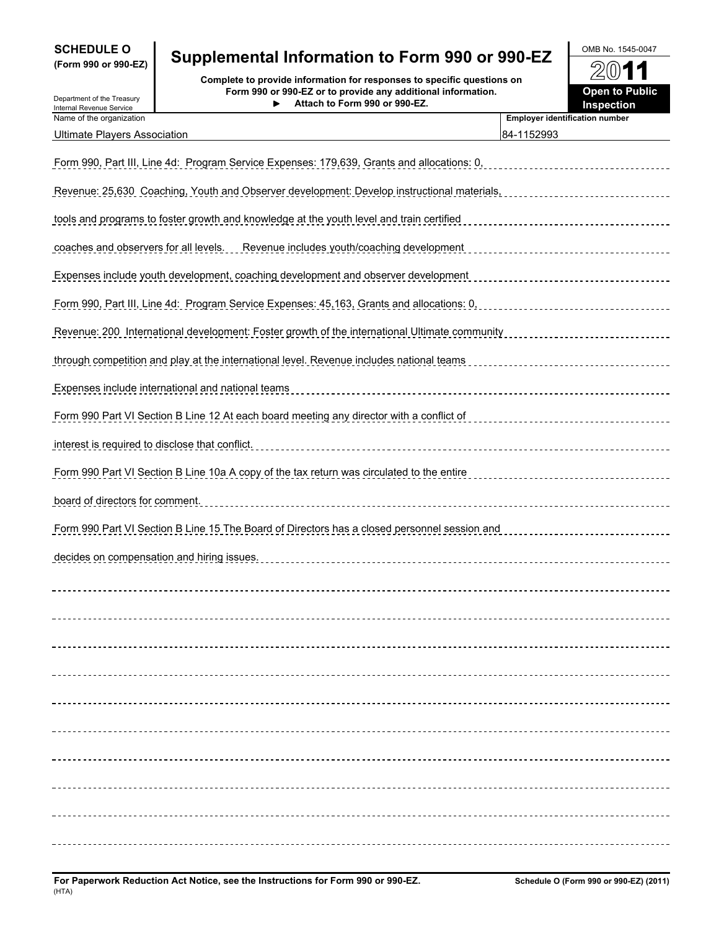| <b>SCHEDULE O</b>   |  |  |
|---------------------|--|--|
| (Form 990 or 990-FZ |  |  |

Department of the Treasury

# **SCHEDULE O** OMB No. 1545-0047 **(Form 990 or 990-EZ) Supplemental Information to Form 990 or 990-EZ**

**Complete to provide information for responses to specific questions on**<br>Internal Revenue Service **Complete Treasury Form 990 or 990-EZ or to provide any additional information.<br>Internal Revenue Service Form 990 or 990-EZ or to provide any additional information. Attach to Form 990 or 990-EZ.**

| UMB NO. 1545-0047     |  |
|-----------------------|--|
| 2011                  |  |
| <b>Open to Public</b> |  |
| Inenaction            |  |

| internal Revenue Service<br>Name of the organization                                                | <b>Employer identification number</b> |
|-----------------------------------------------------------------------------------------------------|---------------------------------------|
| <b>Ultimate Players Association</b>                                                                 | 84-1152993                            |
| <u> Form 990, Part III, Line 4d:  Program Service Expenses: 179,639, Grants and allocations: 0,</u> |                                       |
| <u> Revenue: 25.630 Coaching, Youth and Observer development: Develop instructional materials,</u>  |                                       |
| tools and programs to foster growth and knowledge at the youth level and train certified            |                                       |
| <u>coaches and observers for all levels. __ Revenue includes youth/coaching development</u>         |                                       |
| <u>Expenses include youth development, coaching development and observer development</u>            |                                       |
| <u>Form 990, Part III, Line 4d: Program Service Expenses: 45,163, Grants and allocations: 0.</u>    |                                       |
| Revenue: 200 International development: Foster growth of the international Ultimate community       |                                       |
| <u>through competition and play at the international level. Revenue includes national teams </u>    |                                       |
| Expenses include international and national teams                                                   |                                       |
| <u>Form 990 Part VI Section B Line 12 At each board meeting any director with a conflict of</u>     |                                       |
| interest is required to disclose that conflict.                                                     |                                       |
| Form 990 Part VI Section B Line 10a A copy of the tax return was circulated to the entire           |                                       |
| board of directors for comment.                                                                     |                                       |
| <u>Form 990 Part VI Section B Line 15 The Board of Directors has a closed personnel session and</u> |                                       |
| decides on compensation and hiring issues.                                                          |                                       |
|                                                                                                     |                                       |
|                                                                                                     |                                       |
|                                                                                                     |                                       |
|                                                                                                     |                                       |
|                                                                                                     |                                       |
|                                                                                                     |                                       |
|                                                                                                     |                                       |
|                                                                                                     |                                       |
|                                                                                                     |                                       |
|                                                                                                     |                                       |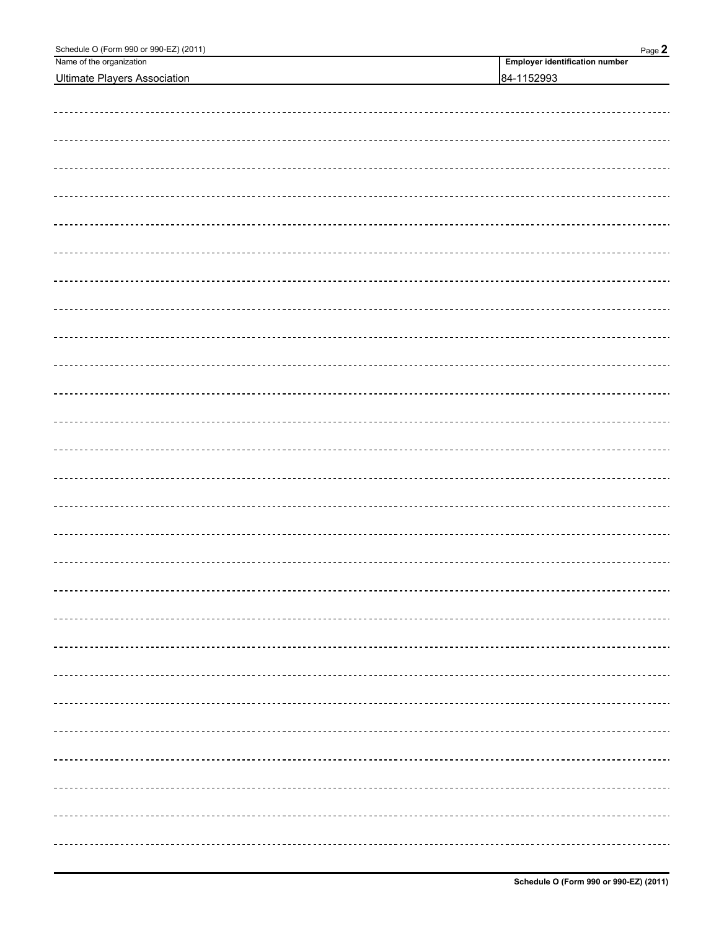| Schedule O (Form 990 or 990-EZ) (2011)<br>Name of the organization | Page 2<br><b>Employer identification number</b> |
|--------------------------------------------------------------------|-------------------------------------------------|
| <b>Ultimate Players Association</b>                                | 84-1152993                                      |
|                                                                    |                                                 |
|                                                                    |                                                 |
|                                                                    |                                                 |
|                                                                    |                                                 |
|                                                                    |                                                 |
|                                                                    |                                                 |
|                                                                    |                                                 |
|                                                                    |                                                 |
|                                                                    |                                                 |
|                                                                    |                                                 |
|                                                                    |                                                 |
|                                                                    |                                                 |
|                                                                    |                                                 |
|                                                                    |                                                 |
|                                                                    |                                                 |
|                                                                    |                                                 |
|                                                                    |                                                 |
|                                                                    |                                                 |
|                                                                    |                                                 |
|                                                                    |                                                 |
|                                                                    |                                                 |
|                                                                    |                                                 |
|                                                                    |                                                 |
|                                                                    |                                                 |
|                                                                    |                                                 |
|                                                                    |                                                 |
|                                                                    |                                                 |
|                                                                    |                                                 |
|                                                                    |                                                 |
|                                                                    |                                                 |
|                                                                    |                                                 |
|                                                                    |                                                 |
|                                                                    |                                                 |
|                                                                    |                                                 |
|                                                                    |                                                 |
|                                                                    |                                                 |
|                                                                    |                                                 |
|                                                                    |                                                 |
|                                                                    |                                                 |
|                                                                    |                                                 |
|                                                                    |                                                 |
|                                                                    |                                                 |
|                                                                    |                                                 |
|                                                                    |                                                 |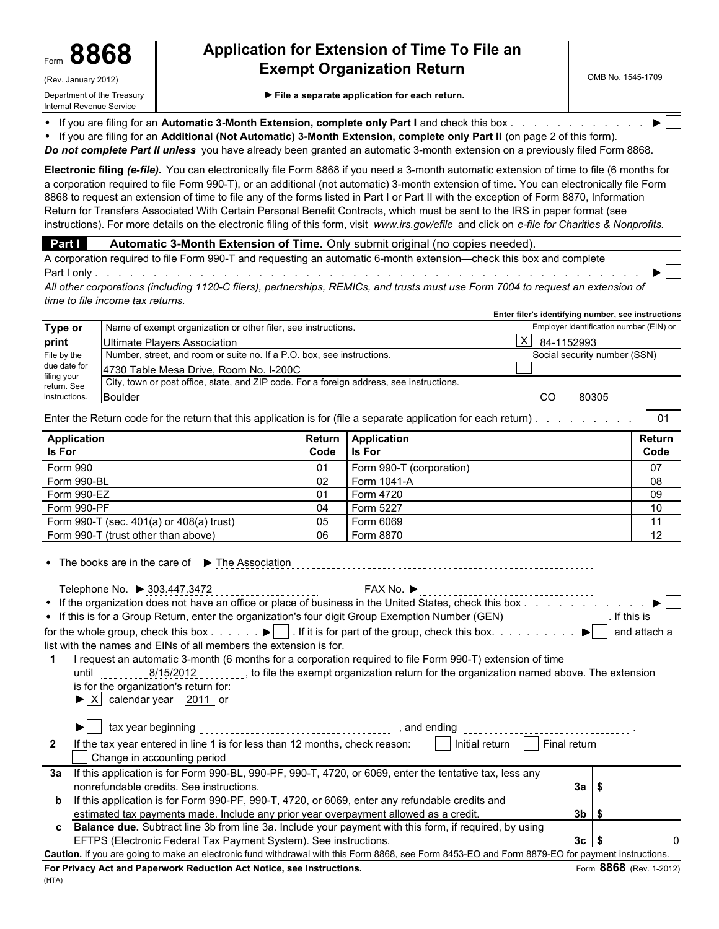# **Application for Extension of Time To File an** Form **8868 Exempt Organization Return**

Department of the Treasury **File a separate application for each return.** 

If you are filing for an Automatic 3-Month Extension, complete only Part I and check this box . . . . . . . . . . .

 $\bullet$ If you are filing for an **Additional (Not Automatic) 3-Month Extension, complete only Part II** (on page 2 of this form).

*Do not complete Part II unless* you have already been granted an automatic 3-month extension on a previously filed Form 8868.

**Electronic filing** *(e-file).* You can electronically file Form 8868 if you need a 3-month automatic extension of time to file (6 months for a corporation required to file Form 990-T), or an additional (not automatic) 3-month extension of time. You can electronically file Form 8868 to request an extension of time to file any of the forms listed in Part I or Part II with the exception of Form 8870, Information Return for Transfers Associated With Certain Personal Benefit Contracts, which must be sent to the IRS in paper format (see instructions). For more details on the electronic filing of this form, visit *www.irs.gov/efile* and click on *e-file for Charities & Nonprofits.*

**Part I** Automatic 3-Month Extension of Time. Only submit original (no copies needed).

A corporation required to file Form 990-T and requesting an automatic 6-month extension—check this box and complete Part I only . . . . . . . . . . . . . . . . . . . . . . . . . . . . . . . . . . . . . . . . . . . . . . . . . . . . . . .

*All other corporations (including 1120-C filers), partnerships, REMICs, and trusts must use Form 7004 to request an extension of time to file income tax returns.*

|                            |                                                                                          | Enter filer's identifying number, see instructions |
|----------------------------|------------------------------------------------------------------------------------------|----------------------------------------------------|
| Type or                    | Name of exempt organization or other filer, see instructions.                            | Employer identification number (EIN) or            |
| print                      | Ultimate Players Association                                                             | X<br>84-1152993                                    |
| File by the                | Number, street, and room or suite no. If a P.O. box, see instructions.                   | Social security number (SSN)                       |
| due date for               | 4730 Table Mesa Drive, Room No. I-200C                                                   |                                                    |
| filing your<br>return. See | City, town or post office, state, and ZIP code. For a foreign address, see instructions. |                                                    |
| instructions.              | Boulder                                                                                  | 80305<br>CO                                        |

Enter the Return code for the return that this application is for (file a separate application for each return).  $\ldots \ldots$ 

| Application                                  |      | Return Application       | Return |
|----------------------------------------------|------|--------------------------|--------|
| <b>Is For</b>                                | Code | <b>I</b> Is For          | Code   |
| Form 990                                     | 01   | Form 990-T (corporation) | 07     |
| Form 990-BL                                  | 02   | Form 1041-A              | 08     |
| Form 990-EZ                                  | 01   | Form 4720                | 09     |
| Form 990-PF                                  | 04   | Form 5227                | 10     |
| Form 990-T (sec. $401(a)$ or $408(a)$ trust) | 05   | Form 6069                | 44     |
| Form 990-T (trust other than above)          | 06   | Form 8870                | 12     |

| • The books are in the care of $\blacktriangleright$ The Association                                                                          |  |  |  |  |  |  |
|-----------------------------------------------------------------------------------------------------------------------------------------------|--|--|--|--|--|--|
| Telephone No. ▶ 303.447.3472<br>FAX No. $▶$                                                                                                   |  |  |  |  |  |  |
|                                                                                                                                               |  |  |  |  |  |  |
| • If this is for a Group Return, enter the organization's four digit Group Exemption Number (GEN)<br>lf this is                               |  |  |  |  |  |  |
| for the whole group, check this box $\blacktriangleright$ . If it is for part of the group, check this box $\blacktriangleright$ and attach a |  |  |  |  |  |  |
| list with the names and EINs of all members the extension is for.                                                                             |  |  |  |  |  |  |
| I request an automatic 3-month (6 months for a corporation required to file Form 990-T) extension of time                                     |  |  |  |  |  |  |
| 8/15/2012, to file the exempt organization return for the organization named above. The extension<br>until                                    |  |  |  |  |  |  |
| is for the organization's return for:                                                                                                         |  |  |  |  |  |  |

 $\blacktriangleright$   $\mid$  X  $\mid$  calendar year 2011 or

(HTA)

|                | tax year beginning<br>and ending                                                                                                             |    |  |
|----------------|----------------------------------------------------------------------------------------------------------------------------------------------|----|--|
| $\overline{2}$ | Initial return<br>Final return<br>If the tax year entered in line 1 is for less than 12 months, check reason:<br>Change in accounting period |    |  |
| За             | If this application is for Form 990-BL, 990-PF, 990-T, 4720, or 6069, enter the tentative tax, less any                                      |    |  |
|                | nonrefundable credits. See instructions.                                                                                                     | 3a |  |
| b              | If this application is for Form 990-PF, 990-T, 4720, or 6069, enter any refundable credits and                                               |    |  |
|                | estimated tax payments made. Include any prior year overpayment allowed as a credit.                                                         | 3b |  |
|                | Balance due. Subtract line 3b from line 3a. Include your payment with this form, if required, by using                                       |    |  |

EFTPS (Electronic Federal Tax Payment System). See instructions. **30 1 13 c | \$** 0 13 c | \$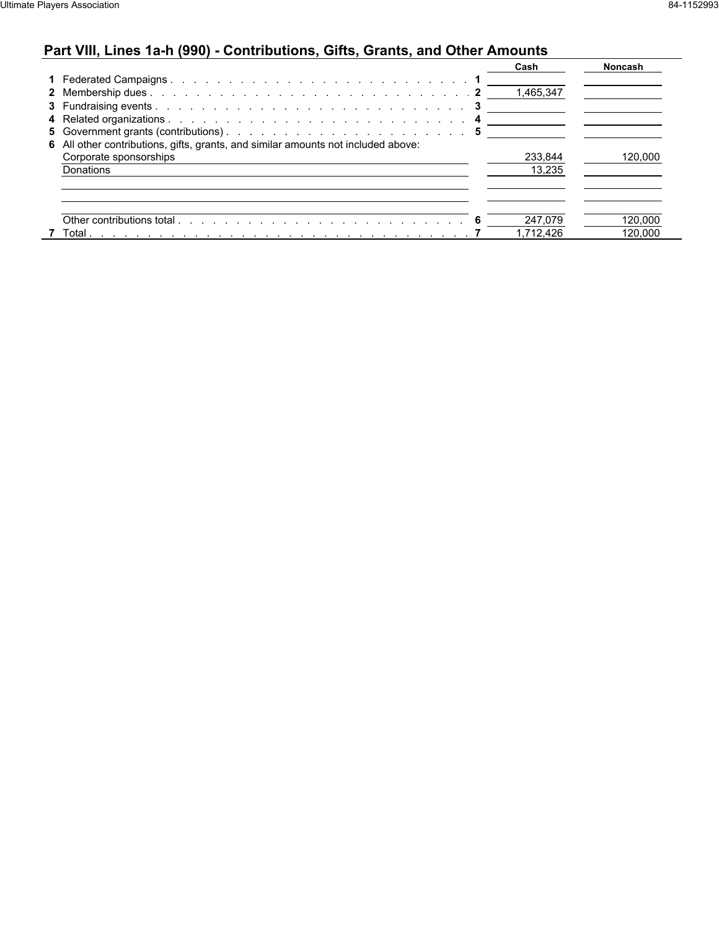## **Part VIII, Lines 1a-h (990) - Contributions, Gifts, Grants, and Other Amounts**

|                                                                                   | Cash      | <b>Noncash</b> |
|-----------------------------------------------------------------------------------|-----------|----------------|
|                                                                                   |           |                |
|                                                                                   | 1,465,347 |                |
|                                                                                   |           |                |
|                                                                                   |           |                |
|                                                                                   |           |                |
| 6 All other contributions, gifts, grants, and similar amounts not included above: |           |                |
| Corporate sponsorships                                                            | 233.844   | 120,000        |
| Donations                                                                         | 13.235    |                |
|                                                                                   |           |                |
|                                                                                   |           |                |
|                                                                                   | 247.079   | 120.000        |
| 7 Total                                                                           | 1.712.426 | 120.000        |
|                                                                                   |           |                |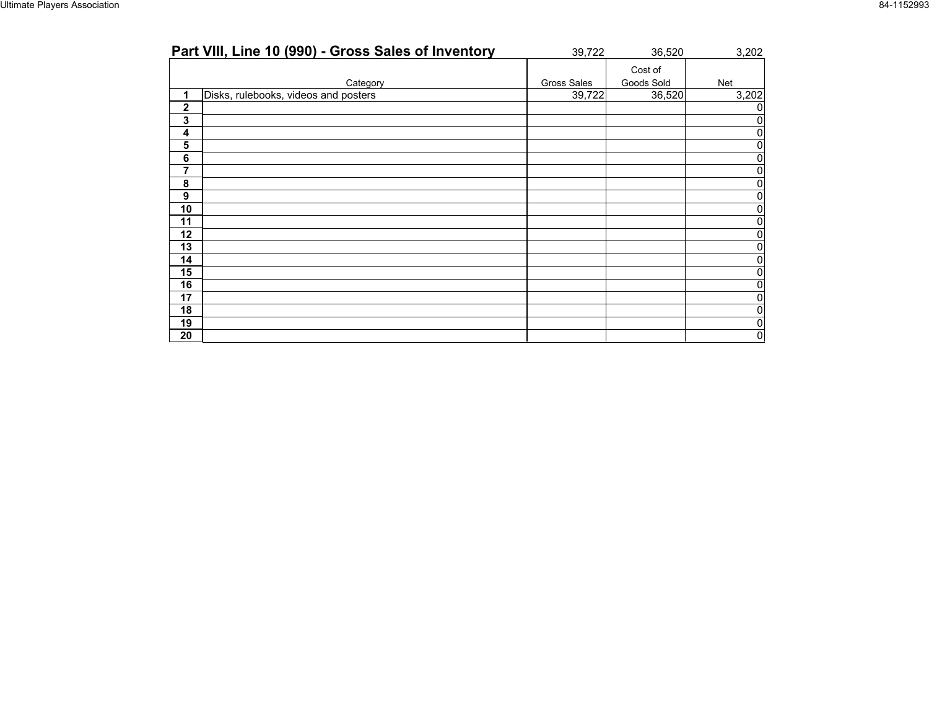| Part VIII, Line 10 (990) - Gross Sales of Inventory | 39,722      | 36,520     | 3,202          |
|-----------------------------------------------------|-------------|------------|----------------|
|                                                     |             | Cost of    |                |
| Category                                            | Gross Sales | Goods Sold | Net            |
| Disks, rulebooks, videos and posters<br>1           | 39,722      | 36,520     | 3,202          |
| $\mathbf 2$                                         |             |            |                |
| 3                                                   |             |            |                |
| 4                                                   |             |            |                |
| 5                                                   |             |            |                |
| 6                                                   |             |            | n.             |
| 7                                                   |             |            |                |
| 8                                                   |             |            | $\overline{0}$ |
| 9                                                   |             |            |                |
| 10                                                  |             |            |                |
| 11                                                  |             |            |                |
| 12                                                  |             |            |                |
| 13                                                  |             |            | n              |
| 14                                                  |             |            | n              |
| 15                                                  |             |            |                |
| 16                                                  |             |            |                |
| 17                                                  |             |            |                |
| 18                                                  |             |            | O.             |
| 19                                                  |             |            | 0              |
| 20                                                  |             |            | 0              |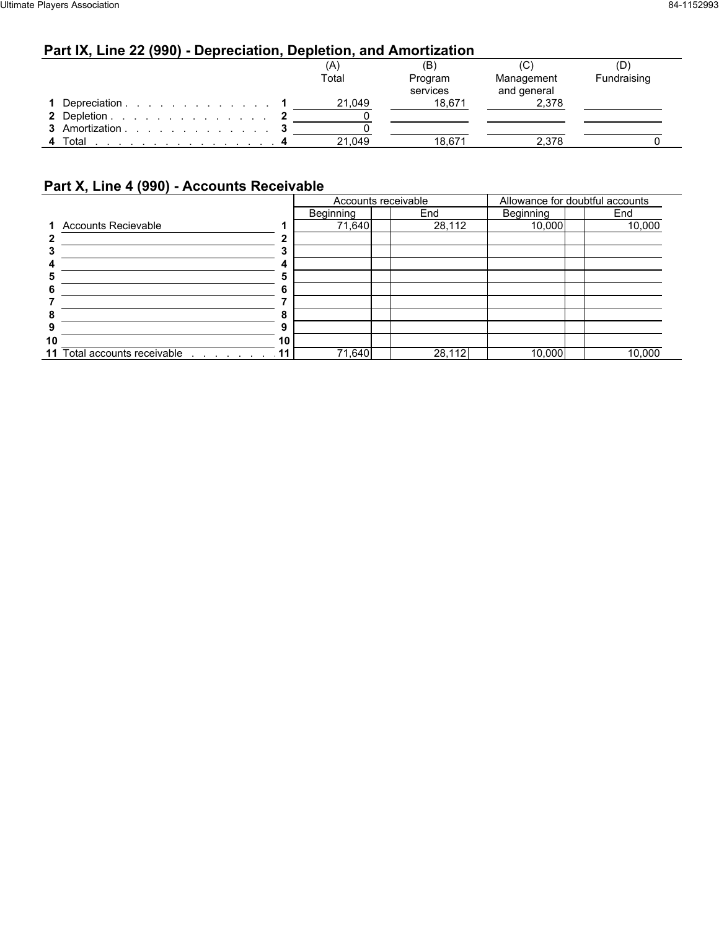## **Part IX, Line 22 (990) - Depreciation, Depletion, and Amortization**

|         |                |  |  | (A)    | (B)      | (C          | (D)         |
|---------|----------------|--|--|--------|----------|-------------|-------------|
|         |                |  |  | Total  | Program  | Management  | Fundraising |
|         |                |  |  |        | services | and general |             |
|         | Depreciation   |  |  | 21,049 | 18.671   | 2,378       |             |
|         | 2 Depletion    |  |  |        |          |             |             |
|         | 3 Amortization |  |  |        |          |             |             |
| 4 Total |                |  |  | 21,049 | 18.671   | 2.378       |             |

## **Part X, Line 4 (990) - Accounts Receivable**

|    |                                                    |           | Accounts receivable |        | Allowance for doubtful accounts |        |  |  |  |
|----|----------------------------------------------------|-----------|---------------------|--------|---------------------------------|--------|--|--|--|
|    |                                                    | Beginning |                     | End    | Beginning                       | End    |  |  |  |
|    | 1 Accounts Recievable                              |           | 71,640              | 28,112 | 10,000                          | 10,000 |  |  |  |
|    |                                                    |           |                     |        |                                 |        |  |  |  |
|    |                                                    |           |                     |        |                                 |        |  |  |  |
|    |                                                    |           |                     |        |                                 |        |  |  |  |
|    |                                                    |           |                     |        |                                 |        |  |  |  |
|    |                                                    |           |                     |        |                                 |        |  |  |  |
|    |                                                    |           |                     |        |                                 |        |  |  |  |
|    |                                                    |           |                     |        |                                 |        |  |  |  |
|    |                                                    |           |                     |        |                                 |        |  |  |  |
| 10 |                                                    | 10        |                     |        |                                 |        |  |  |  |
|    | 11 Total accounts receivable<br><u>.</u> <b>11</b> |           | 71,640              | 28,112 | 10,000                          | 10,000 |  |  |  |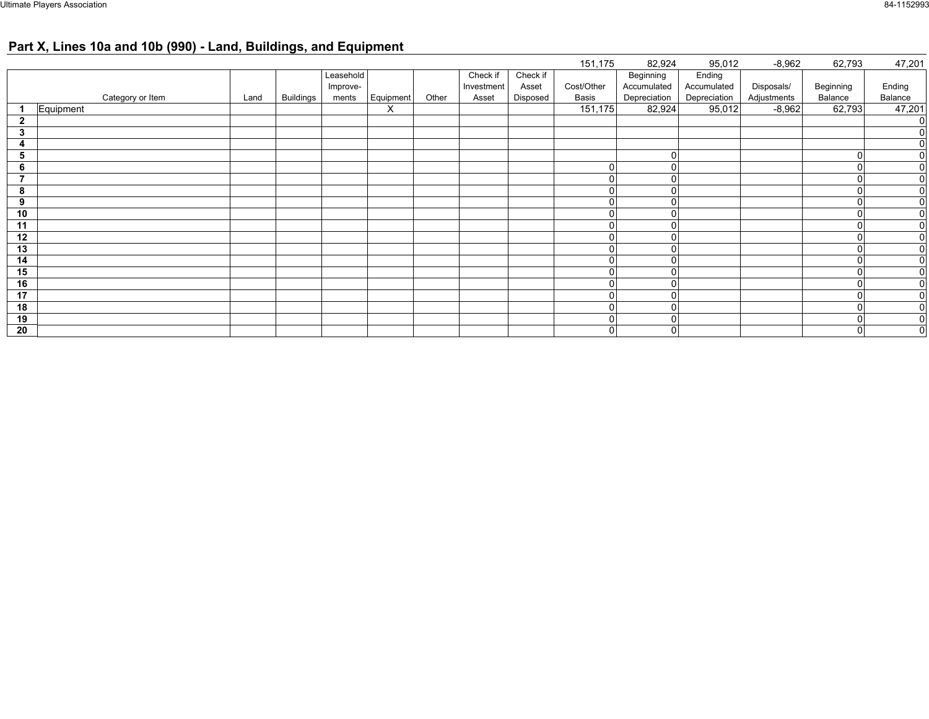## **Part X, Lines 10a and 10b (990) - Land, Buildings, and Equipment**

|                          |           |                  |      |                  |           |           |       |            |          | 151,175        | 82,924       | 95,012       | $-8,962$    | 62,793    | 47,201         |
|--------------------------|-----------|------------------|------|------------------|-----------|-----------|-------|------------|----------|----------------|--------------|--------------|-------------|-----------|----------------|
|                          |           |                  |      |                  | Leasehold |           |       | Check if   | Check if |                | Beginning    | Ending       |             |           |                |
|                          |           |                  |      |                  | Improve-  |           |       | Investment | Asset    | Cost/Other     | Accumulated  | Accumulated  | Disposals/  | Beginning | Ending         |
|                          |           | Category or Item | Land | <b>Buildings</b> | ments     | Equipment | Other | Asset      | Disposed | Basis          | Depreciation | Depreciation | Adjustments | Balance   | Balance        |
|                          | Equipment |                  |      |                  |           | X         |       |            |          | 151,175        | 82,924       | 95,012       | $-8,962$    | 62,793    | 47,201         |
| $\mathbf{2}$             |           |                  |      |                  |           |           |       |            |          |                |              |              |             |           | $\overline{0}$ |
| 3                        |           |                  |      |                  |           |           |       |            |          |                |              |              |             |           | $\overline{0}$ |
| 4                        |           |                  |      |                  |           |           |       |            |          |                |              |              |             |           | $\overline{0}$ |
| 5                        |           |                  |      |                  |           |           |       |            |          |                | $\Omega$     |              |             | $\Omega$  | $\overline{0}$ |
| 6                        |           |                  |      |                  |           |           |       |            |          | $\Omega$       |              |              |             |           | $\overline{0}$ |
| $\overline{\phantom{a}}$ |           |                  |      |                  |           |           |       |            |          | $\Omega$       | $\Omega$     |              |             | $\Omega$  | 0              |
| 8                        |           |                  |      |                  |           |           |       |            |          |                | $\Omega$     |              |             |           | 0              |
| 9                        |           |                  |      |                  |           |           |       |            |          | 0              | $\Omega$     |              |             | $\Omega$  | $\overline{0}$ |
| 10                       |           |                  |      |                  |           |           |       |            |          | $\Omega$       | $\Omega$     |              |             |           | $\overline{0}$ |
| 11                       |           |                  |      |                  |           |           |       |            |          | $\overline{0}$ | $\Omega$     |              |             | $\Omega$  | $\overline{0}$ |
| 12                       |           |                  |      |                  |           |           |       |            |          | $\Omega$       | $\mathbf 0$  |              |             | 0         | $\overline{0}$ |
| 13                       |           |                  |      |                  |           |           |       |            |          | $\Omega$       | $\Omega$     |              |             |           | $\overline{0}$ |
| 14                       |           |                  |      |                  |           |           |       |            |          | $\mathbf{0}$   | $\Omega$     |              |             |           | $\overline{0}$ |
| 15                       |           |                  |      |                  |           |           |       |            |          |                |              |              |             |           | $\overline{0}$ |
| 16                       |           |                  |      |                  |           |           |       |            |          | $\Omega$       | $\Omega$     |              |             | $\Omega$  | $\mathbf{0}$   |
| 17                       |           |                  |      |                  |           |           |       |            |          | $\Omega$       | $\Omega$     |              |             |           | $\overline{0}$ |
| 18                       |           |                  |      |                  |           |           |       |            |          | 0              | $\Omega$     |              |             | $\Omega$  | 0              |
| 19                       |           |                  |      |                  |           |           |       |            |          | 0              | $\mathbf 0$  |              |             | $\Omega$  | $\overline{0}$ |
| 20                       |           |                  |      |                  |           |           |       |            |          | $\mathbf{0}$   | $\mathbf 0$  |              |             | $\Omega$  | 0              |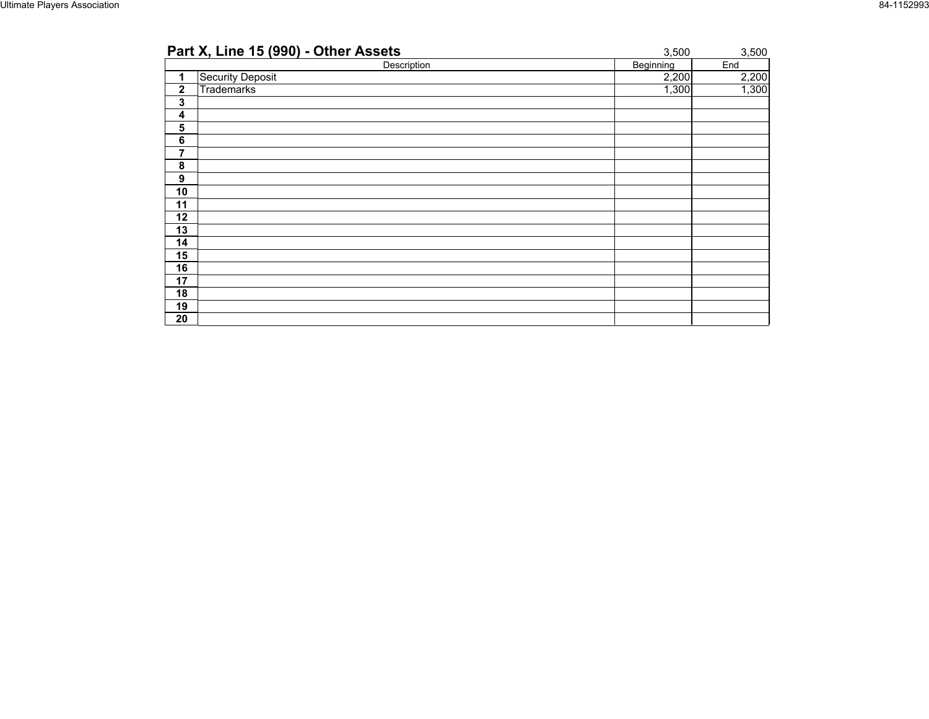| Part X, Line 15 (990) - Other Assets | 3,500     | 3,500 |
|--------------------------------------|-----------|-------|
| Description                          | Beginning | End   |
| Security Deposit<br>1                | 2,200     | 2,200 |
| $\mathbf 2$<br>Trademarks            | 1,300     | 1,300 |
| 3                                    |           |       |
| 4                                    |           |       |
| 5                                    |           |       |
| $\bf 6$                              |           |       |
| 7                                    |           |       |
| 8                                    |           |       |
| 9                                    |           |       |
| 10                                   |           |       |
| 11                                   |           |       |
| 12                                   |           |       |
| 13                                   |           |       |
| 14                                   |           |       |
| 15                                   |           |       |
| 16                                   |           |       |
| 17                                   |           |       |
| 18                                   |           |       |
| 19                                   |           |       |
| 20                                   |           |       |